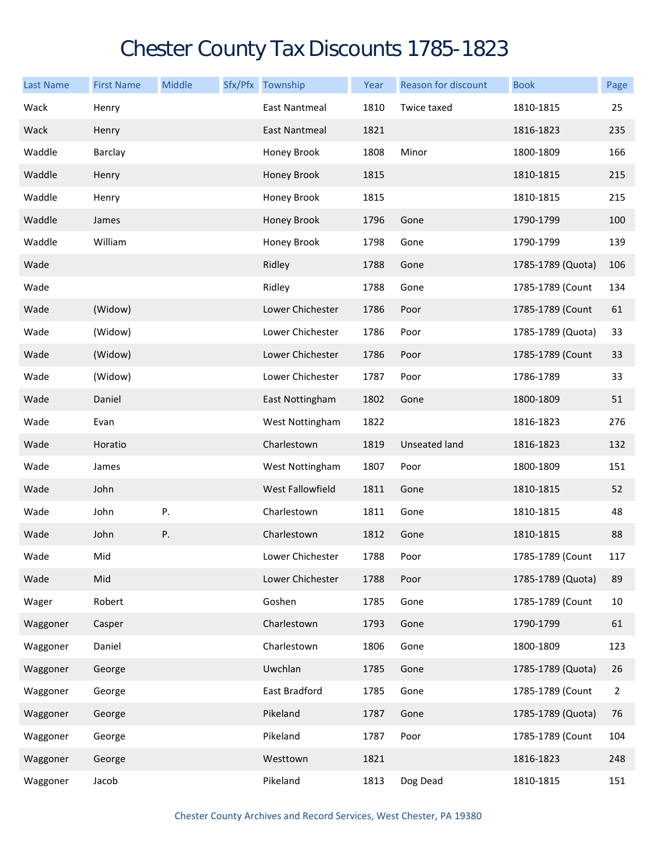## Chester County Tax Discounts 1785-1823

| <b>Last Name</b> | <b>First Name</b> | Middle | Sfx/Pfx Township     | Year | <b>Reason for discount</b> | <b>Book</b>       | Page |
|------------------|-------------------|--------|----------------------|------|----------------------------|-------------------|------|
| Wack             | Henry             |        | East Nantmeal        | 1810 | Twice taxed                | 1810-1815         | 25   |
| Wack             | Henry             |        | <b>East Nantmeal</b> | 1821 |                            | 1816-1823         | 235  |
| Waddle           | Barclay           |        | Honey Brook          | 1808 | Minor                      | 1800-1809         | 166  |
| Waddle           | Henry             |        | Honey Brook          | 1815 |                            | 1810-1815         | 215  |
| Waddle           | Henry             |        | Honey Brook          | 1815 |                            | 1810-1815         | 215  |
| Waddle           | James             |        | Honey Brook          | 1796 | Gone                       | 1790-1799         | 100  |
| Waddle           | William           |        | Honey Brook          | 1798 | Gone                       | 1790-1799         | 139  |
| Wade             |                   |        | Ridley               | 1788 | Gone                       | 1785-1789 (Quota) | 106  |
| Wade             |                   |        | Ridley               | 1788 | Gone                       | 1785-1789 (Count  | 134  |
| Wade             | (Widow)           |        | Lower Chichester     | 1786 | Poor                       | 1785-1789 (Count  | 61   |
| Wade             | (Widow)           |        | Lower Chichester     | 1786 | Poor                       | 1785-1789 (Quota) | 33   |
| Wade             | (Widow)           |        | Lower Chichester     | 1786 | Poor                       | 1785-1789 (Count  | 33   |
| Wade             | (Widow)           |        | Lower Chichester     | 1787 | Poor                       | 1786-1789         | 33   |
| Wade             | Daniel            |        | East Nottingham      | 1802 | Gone                       | 1800-1809         | 51   |
| Wade             | Evan              |        | West Nottingham      | 1822 |                            | 1816-1823         | 276  |
| Wade             | Horatio           |        | Charlestown          | 1819 | <b>Unseated land</b>       | 1816-1823         | 132  |
| Wade             | James             |        | West Nottingham      | 1807 | Poor                       | 1800-1809         | 151  |
| Wade             | John              |        | West Fallowfield     | 1811 | Gone                       | 1810-1815         | 52   |
| Wade             | John              | Ρ.     | Charlestown          | 1811 | Gone                       | 1810-1815         | 48   |
| Wade             | John              | Ρ.     | Charlestown          | 1812 | Gone                       | 1810-1815         | 88   |
| Wade             | Mid               |        | Lower Chichester     | 1788 | Poor                       | 1785-1789 (Count  | 117  |
| Wade             | Mid               |        | Lower Chichester     | 1788 | Poor                       | 1785-1789 (Quota) | 89   |
| Wager            | Robert            |        | Goshen               | 1785 | Gone                       | 1785-1789 (Count  | 10   |
| Waggoner         | Casper            |        | Charlestown          | 1793 | Gone                       | 1790-1799         | 61   |
| Waggoner         | Daniel            |        | Charlestown          | 1806 | Gone                       | 1800-1809         | 123  |
| Waggoner         | George            |        | Uwchlan              | 1785 | Gone                       | 1785-1789 (Quota) | 26   |
| Waggoner         | George            |        | East Bradford        | 1785 | Gone                       | 1785-1789 (Count  | 2    |
| Waggoner         | George            |        | Pikeland             | 1787 | Gone                       | 1785-1789 (Quota) | 76   |
| Waggoner         | George            |        | Pikeland             | 1787 | Poor                       | 1785-1789 (Count  | 104  |
| Waggoner         | George            |        | Westtown             | 1821 |                            | 1816-1823         | 248  |
| Waggoner         | Jacob             |        | Pikeland             | 1813 | Dog Dead                   | 1810-1815         | 151  |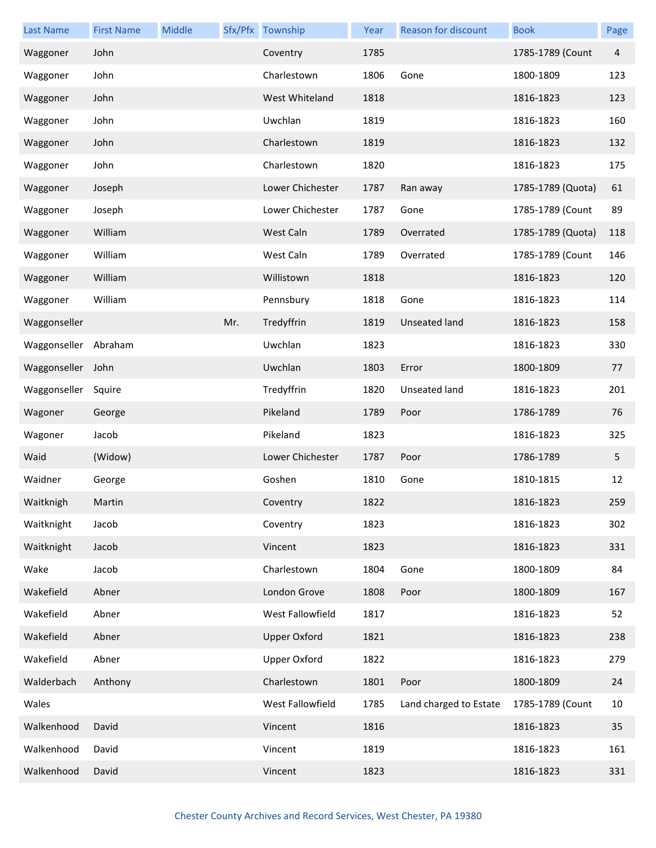| <b>Last Name</b> | <b>First Name</b> | Middle |     | Sfx/Pfx Township    | Year | Reason for discount    | <b>Book</b>       | Page |
|------------------|-------------------|--------|-----|---------------------|------|------------------------|-------------------|------|
| Waggoner         | John              |        |     | Coventry            | 1785 |                        | 1785-1789 (Count  | 4    |
| Waggoner         | John              |        |     | Charlestown         | 1806 | Gone                   | 1800-1809         | 123  |
| Waggoner         | John              |        |     | West Whiteland      | 1818 |                        | 1816-1823         | 123  |
| Waggoner         | John              |        |     | Uwchlan             | 1819 |                        | 1816-1823         | 160  |
| Waggoner         | John              |        |     | Charlestown         | 1819 |                        | 1816-1823         | 132  |
| Waggoner         | John              |        |     | Charlestown         | 1820 |                        | 1816-1823         | 175  |
| Waggoner         | Joseph            |        |     | Lower Chichester    | 1787 | Ran away               | 1785-1789 (Quota) | 61   |
| Waggoner         | Joseph            |        |     | Lower Chichester    | 1787 | Gone                   | 1785-1789 (Count  | 89   |
| Waggoner         | William           |        |     | West Caln           | 1789 | Overrated              | 1785-1789 (Quota) | 118  |
| Waggoner         | William           |        |     | West Caln           | 1789 | Overrated              | 1785-1789 (Count  | 146  |
| Waggoner         | William           |        |     | Willistown          | 1818 |                        | 1816-1823         | 120  |
| Waggoner         | William           |        |     | Pennsbury           | 1818 | Gone                   | 1816-1823         | 114  |
| Waggonseller     |                   |        | Mr. | Tredyffrin          | 1819 | Unseated land          | 1816-1823         | 158  |
| Waggonseller     | Abraham           |        |     | Uwchlan             | 1823 |                        | 1816-1823         | 330  |
| Waggonseller     | John              |        |     | Uwchlan             | 1803 | Error                  | 1800-1809         | 77   |
| Waggonseller     | Squire            |        |     | Tredyffrin          | 1820 | Unseated land          | 1816-1823         | 201  |
| Wagoner          | George            |        |     | Pikeland            | 1789 | Poor                   | 1786-1789         | 76   |
| Wagoner          | Jacob             |        |     | Pikeland            | 1823 |                        | 1816-1823         | 325  |
| Waid             | (Widow)           |        |     | Lower Chichester    | 1787 | Poor                   | 1786-1789         | 5    |
| Waidner          | George            |        |     | Goshen              | 1810 | Gone                   | 1810-1815         | 12   |
| Waitknigh        | Martin            |        |     | Coventry            | 1822 |                        | 1816-1823         | 259  |
| Waitknight       | Jacob             |        |     | Coventry            | 1823 |                        | 1816-1823         | 302  |
| Waitknight       | Jacob             |        |     | Vincent             | 1823 |                        | 1816-1823         | 331  |
| Wake             | Jacob             |        |     | Charlestown         | 1804 | Gone                   | 1800-1809         | 84   |
| Wakefield        | Abner             |        |     | London Grove        | 1808 | Poor                   | 1800-1809         | 167  |
| Wakefield        | Abner             |        |     | West Fallowfield    | 1817 |                        | 1816-1823         | 52   |
| Wakefield        | Abner             |        |     | <b>Upper Oxford</b> | 1821 |                        | 1816-1823         | 238  |
| Wakefield        | Abner             |        |     | Upper Oxford        | 1822 |                        | 1816-1823         | 279  |
| Walderbach       | Anthony           |        |     | Charlestown         | 1801 | Poor                   | 1800-1809         | 24   |
| Wales            |                   |        |     | West Fallowfield    | 1785 | Land charged to Estate | 1785-1789 (Count  | 10   |
| Walkenhood       | David             |        |     | Vincent             | 1816 |                        | 1816-1823         | 35   |
| Walkenhood       | David             |        |     | Vincent             | 1819 |                        | 1816-1823         | 161  |
| Walkenhood       | David             |        |     | Vincent             | 1823 |                        | 1816-1823         | 331  |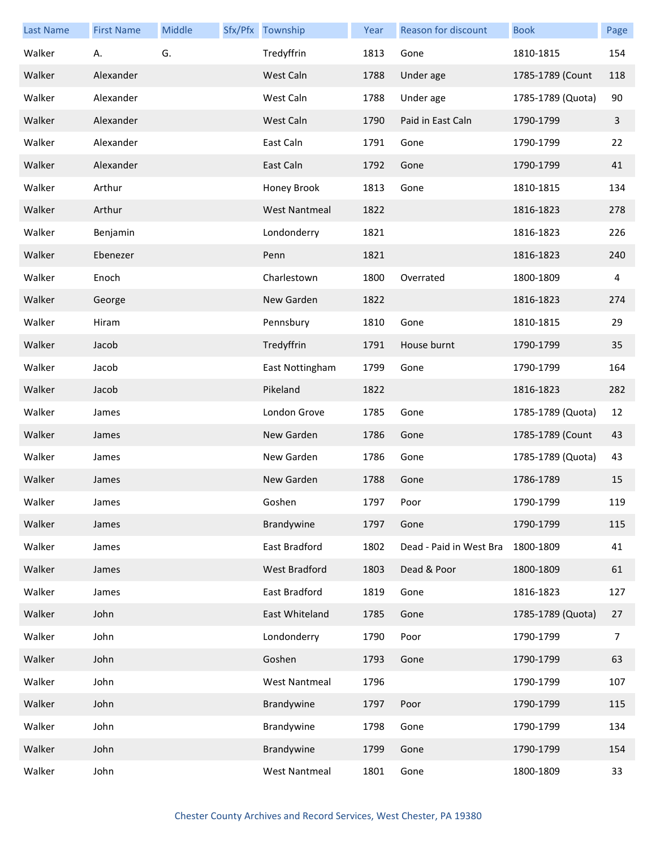| <b>Last Name</b> | <b>First Name</b> | Middle | Sfx/Pfx Township     | Year | Reason for discount     | <b>Book</b>       | Page           |
|------------------|-------------------|--------|----------------------|------|-------------------------|-------------------|----------------|
| Walker           | Α.                | G.     | Tredyffrin           | 1813 | Gone                    | 1810-1815         | 154            |
| Walker           | Alexander         |        | West Caln            | 1788 | Under age               | 1785-1789 (Count  | 118            |
| Walker           | Alexander         |        | West Caln            | 1788 | Under age               | 1785-1789 (Quota) | 90             |
| Walker           | Alexander         |        | West Caln            | 1790 | Paid in East Caln       | 1790-1799         | $\mathbf{3}$   |
| Walker           | Alexander         |        | East Caln            | 1791 | Gone                    | 1790-1799         | 22             |
| Walker           | Alexander         |        | East Caln            | 1792 | Gone                    | 1790-1799         | 41             |
| Walker           | Arthur            |        | Honey Brook          | 1813 | Gone                    | 1810-1815         | 134            |
| Walker           | Arthur            |        | <b>West Nantmeal</b> | 1822 |                         | 1816-1823         | 278            |
| Walker           | Benjamin          |        | Londonderry          | 1821 |                         | 1816-1823         | 226            |
| Walker           | Ebenezer          |        | Penn                 | 1821 |                         | 1816-1823         | 240            |
| Walker           | Enoch             |        | Charlestown          | 1800 | Overrated               | 1800-1809         | 4              |
| Walker           | George            |        | New Garden           | 1822 |                         | 1816-1823         | 274            |
| Walker           | Hiram             |        | Pennsbury            | 1810 | Gone                    | 1810-1815         | 29             |
| Walker           | Jacob             |        | Tredyffrin           | 1791 | House burnt             | 1790-1799         | 35             |
| Walker           | Jacob             |        | East Nottingham      | 1799 | Gone                    | 1790-1799         | 164            |
| Walker           | Jacob             |        | Pikeland             | 1822 |                         | 1816-1823         | 282            |
| Walker           | James             |        | London Grove         | 1785 | Gone                    | 1785-1789 (Quota) | 12             |
| Walker           | James             |        | New Garden           | 1786 | Gone                    | 1785-1789 (Count  | 43             |
| Walker           | James             |        | New Garden           | 1786 | Gone                    | 1785-1789 (Quota) | 43             |
| Walker           | James             |        | New Garden           | 1788 | Gone                    | 1786-1789         | 15             |
| Walker           | James             |        | Goshen               | 1797 | Poor                    | 1790-1799         | 119            |
| Walker           | James             |        | Brandywine           | 1797 | Gone                    | 1790-1799         | 115            |
| Walker           | James             |        | East Bradford        | 1802 | Dead - Paid in West Bra | 1800-1809         | 41             |
| Walker           | James             |        | West Bradford        | 1803 | Dead & Poor             | 1800-1809         | 61             |
| Walker           | James             |        | East Bradford        | 1819 | Gone                    | 1816-1823         | 127            |
| Walker           | John              |        | East Whiteland       | 1785 | Gone                    | 1785-1789 (Quota) | 27             |
| Walker           | John              |        | Londonderry          | 1790 | Poor                    | 1790-1799         | $\overline{7}$ |
| Walker           | John              |        | Goshen               | 1793 | Gone                    | 1790-1799         | 63             |
| Walker           | John              |        | <b>West Nantmeal</b> | 1796 |                         | 1790-1799         | 107            |
| Walker           | John              |        | Brandywine           | 1797 | Poor                    | 1790-1799         | 115            |
| Walker           | John              |        | Brandywine           | 1798 | Gone                    | 1790-1799         | 134            |
| Walker           | John              |        | Brandywine           | 1799 | Gone                    | 1790-1799         | 154            |
| Walker           | John              |        | <b>West Nantmeal</b> | 1801 | Gone                    | 1800-1809         | 33             |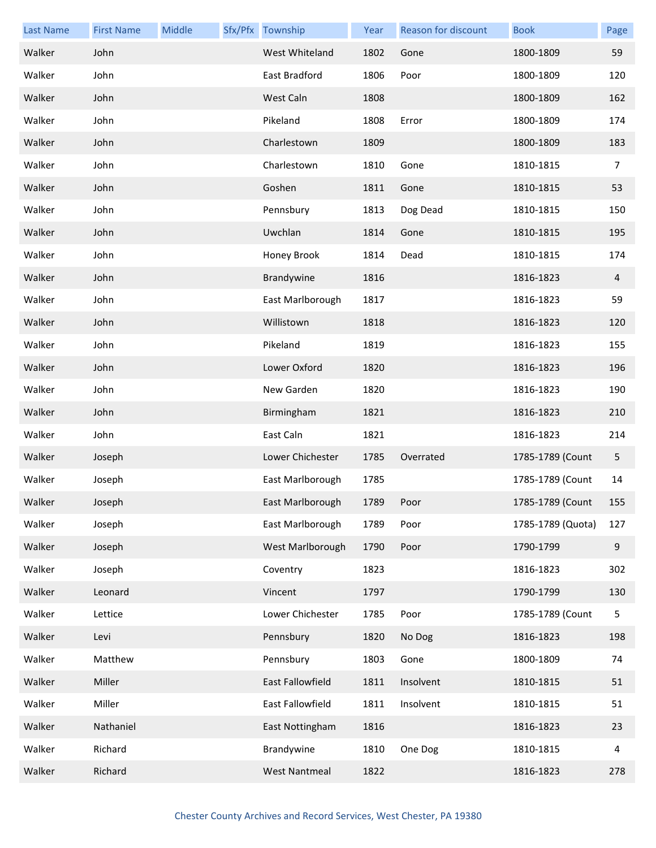| <b>Last Name</b> | <b>First Name</b> | Middle | Sfx/Pfx Township     | Year | <b>Reason for discount</b> | <b>Book</b>       | Page             |
|------------------|-------------------|--------|----------------------|------|----------------------------|-------------------|------------------|
| Walker           | John              |        | West Whiteland       | 1802 | Gone                       | 1800-1809         | 59               |
| Walker           | John              |        | East Bradford        | 1806 | Poor                       | 1800-1809         | 120              |
| Walker           | John              |        | West Caln            | 1808 |                            | 1800-1809         | 162              |
| Walker           | John              |        | Pikeland             | 1808 | Error                      | 1800-1809         | 174              |
| Walker           | John              |        | Charlestown          | 1809 |                            | 1800-1809         | 183              |
| Walker           | John              |        | Charlestown          | 1810 | Gone                       | 1810-1815         | 7                |
| Walker           | John              |        | Goshen               | 1811 | Gone                       | 1810-1815         | 53               |
| Walker           | John              |        | Pennsbury            | 1813 | Dog Dead                   | 1810-1815         | 150              |
| Walker           | John              |        | Uwchlan              | 1814 | Gone                       | 1810-1815         | 195              |
| Walker           | John              |        | Honey Brook          | 1814 | Dead                       | 1810-1815         | 174              |
| Walker           | John              |        | Brandywine           | 1816 |                            | 1816-1823         | 4                |
| Walker           | John              |        | East Marlborough     | 1817 |                            | 1816-1823         | 59               |
| Walker           | John              |        | Willistown           | 1818 |                            | 1816-1823         | 120              |
| Walker           | John              |        | Pikeland             | 1819 |                            | 1816-1823         | 155              |
| Walker           | John              |        | Lower Oxford         | 1820 |                            | 1816-1823         | 196              |
| Walker           | John              |        | New Garden           | 1820 |                            | 1816-1823         | 190              |
| Walker           | John              |        | Birmingham           | 1821 |                            | 1816-1823         | 210              |
| Walker           | John              |        | East Caln            | 1821 |                            | 1816-1823         | 214              |
| Walker           | Joseph            |        | Lower Chichester     | 1785 | Overrated                  | 1785-1789 (Count  | 5                |
| Walker           | Joseph            |        | East Marlborough     | 1785 |                            | 1785-1789 (Count  | 14               |
| Walker           | Joseph            |        | East Marlborough     | 1789 | Poor                       | 1785-1789 (Count  | 155              |
| Walker           | Joseph            |        | East Marlborough     | 1789 | Poor                       | 1785-1789 (Quota) | 127              |
| Walker           | Joseph            |        | West Marlborough     | 1790 | Poor                       | 1790-1799         | $\boldsymbol{9}$ |
| Walker           | Joseph            |        | Coventry             | 1823 |                            | 1816-1823         | 302              |
| Walker           | Leonard           |        | Vincent              | 1797 |                            | 1790-1799         | 130              |
| Walker           | Lettice           |        | Lower Chichester     | 1785 | Poor                       | 1785-1789 (Count  | 5                |
| Walker           | Levi              |        | Pennsbury            | 1820 | No Dog                     | 1816-1823         | 198              |
| Walker           | Matthew           |        | Pennsbury            | 1803 | Gone                       | 1800-1809         | 74               |
| Walker           | Miller            |        | East Fallowfield     | 1811 | Insolvent                  | 1810-1815         | 51               |
| Walker           | Miller            |        | East Fallowfield     | 1811 | Insolvent                  | 1810-1815         | 51               |
| Walker           | Nathaniel         |        | East Nottingham      | 1816 |                            | 1816-1823         | 23               |
| Walker           | Richard           |        | Brandywine           | 1810 | One Dog                    | 1810-1815         | 4                |
| Walker           | Richard           |        | <b>West Nantmeal</b> | 1822 |                            | 1816-1823         | 278              |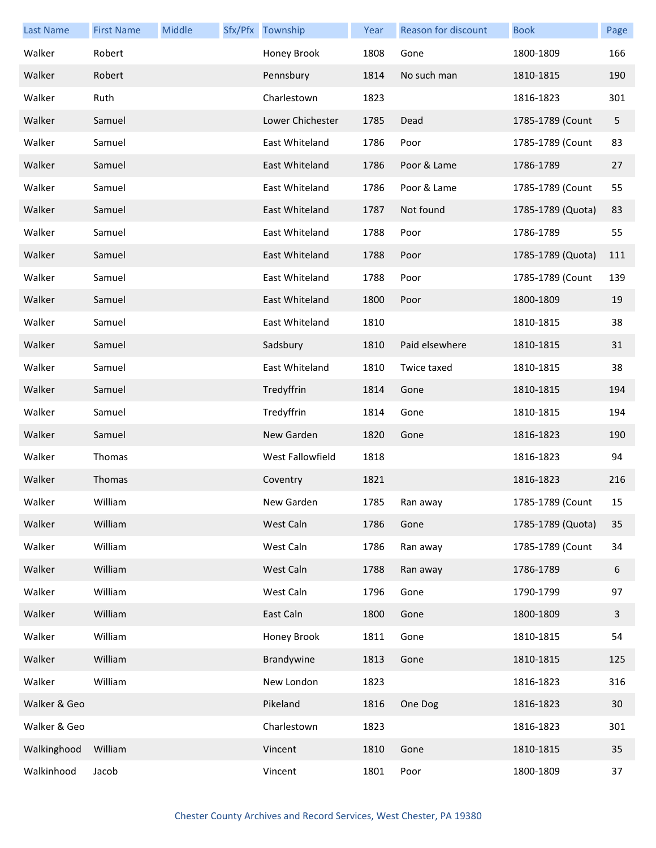| <b>Last Name</b> | <b>First Name</b> | Middle | Sfx/Pfx Township | Year | <b>Reason for discount</b> | <b>Book</b>       | Page |
|------------------|-------------------|--------|------------------|------|----------------------------|-------------------|------|
| Walker           | Robert            |        | Honey Brook      | 1808 | Gone                       | 1800-1809         | 166  |
| Walker           | Robert            |        | Pennsbury        | 1814 | No such man                | 1810-1815         | 190  |
| Walker           | Ruth              |        | Charlestown      | 1823 |                            | 1816-1823         | 301  |
| Walker           | Samuel            |        | Lower Chichester | 1785 | Dead                       | 1785-1789 (Count  | 5    |
| Walker           | Samuel            |        | East Whiteland   | 1786 | Poor                       | 1785-1789 (Count  | 83   |
| Walker           | Samuel            |        | East Whiteland   | 1786 | Poor & Lame                | 1786-1789         | 27   |
| Walker           | Samuel            |        | East Whiteland   | 1786 | Poor & Lame                | 1785-1789 (Count  | 55   |
| Walker           | Samuel            |        | East Whiteland   | 1787 | Not found                  | 1785-1789 (Quota) | 83   |
| Walker           | Samuel            |        | East Whiteland   | 1788 | Poor                       | 1786-1789         | 55   |
| Walker           | Samuel            |        | East Whiteland   | 1788 | Poor                       | 1785-1789 (Quota) | 111  |
| Walker           | Samuel            |        | East Whiteland   | 1788 | Poor                       | 1785-1789 (Count  | 139  |
| Walker           | Samuel            |        | East Whiteland   | 1800 | Poor                       | 1800-1809         | 19   |
| Walker           | Samuel            |        | East Whiteland   | 1810 |                            | 1810-1815         | 38   |
| Walker           | Samuel            |        | Sadsbury         | 1810 | Paid elsewhere             | 1810-1815         | 31   |
| Walker           | Samuel            |        | East Whiteland   | 1810 | Twice taxed                | 1810-1815         | 38   |
| Walker           | Samuel            |        | Tredyffrin       | 1814 | Gone                       | 1810-1815         | 194  |
| Walker           | Samuel            |        | Tredyffrin       | 1814 | Gone                       | 1810-1815         | 194  |
| Walker           | Samuel            |        | New Garden       | 1820 | Gone                       | 1816-1823         | 190  |
| Walker           | Thomas            |        | West Fallowfield | 1818 |                            | 1816-1823         | 94   |
| Walker           | Thomas            |        | Coventry         | 1821 |                            | 1816-1823         | 216  |
| Walker           | William           |        | New Garden       | 1785 | Ran away                   | 1785-1789 (Count  | 15   |
| Walker           | William           |        | West Caln        | 1786 | Gone                       | 1785-1789 (Quota) | 35   |
| Walker           | William           |        | West Caln        | 1786 | Ran away                   | 1785-1789 (Count  | 34   |
| Walker           | William           |        | West Caln        | 1788 | Ran away                   | 1786-1789         | 6    |
| Walker           | William           |        | West Caln        | 1796 | Gone                       | 1790-1799         | 97   |
| Walker           | William           |        | East Caln        | 1800 | Gone                       | 1800-1809         | 3    |
| Walker           | William           |        | Honey Brook      | 1811 | Gone                       | 1810-1815         | 54   |
| Walker           | William           |        | Brandywine       | 1813 | Gone                       | 1810-1815         | 125  |
| Walker           | William           |        | New London       | 1823 |                            | 1816-1823         | 316  |
| Walker & Geo     |                   |        | Pikeland         | 1816 | One Dog                    | 1816-1823         | 30   |
| Walker & Geo     |                   |        | Charlestown      | 1823 |                            | 1816-1823         | 301  |
| Walkinghood      | William           |        | Vincent          | 1810 | Gone                       | 1810-1815         | 35   |
| Walkinhood       | Jacob             |        | Vincent          | 1801 | Poor                       | 1800-1809         | 37   |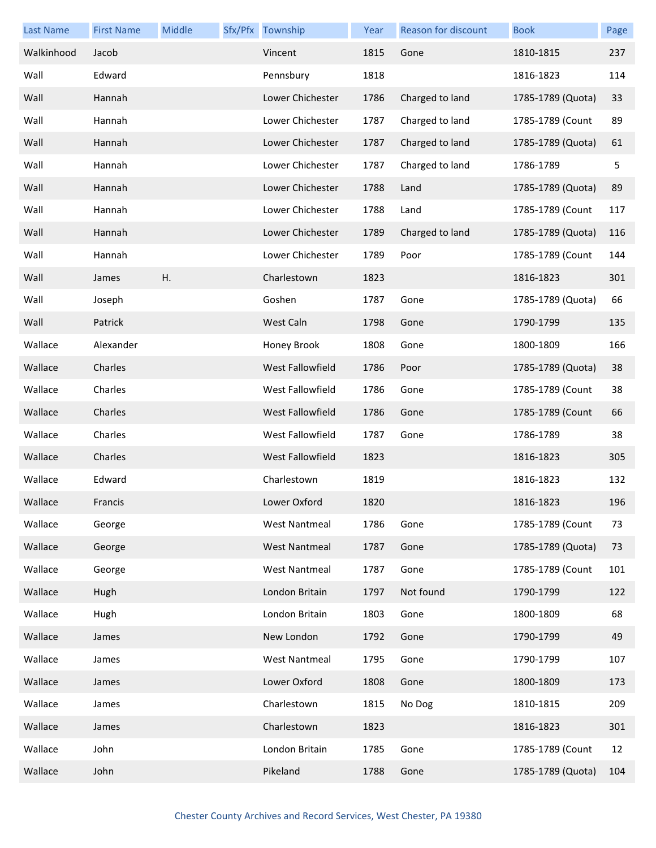| <b>Last Name</b> | <b>First Name</b> | Middle | Sfx/Pfx Township     | Year | Reason for discount | <b>Book</b>       | Page |
|------------------|-------------------|--------|----------------------|------|---------------------|-------------------|------|
| Walkinhood       | Jacob             |        | Vincent              | 1815 | Gone                | 1810-1815         | 237  |
| Wall             | Edward            |        | Pennsbury            | 1818 |                     | 1816-1823         | 114  |
| Wall             | Hannah            |        | Lower Chichester     | 1786 | Charged to land     | 1785-1789 (Quota) | 33   |
| Wall             | Hannah            |        | Lower Chichester     | 1787 | Charged to land     | 1785-1789 (Count  | 89   |
| Wall             | Hannah            |        | Lower Chichester     | 1787 | Charged to land     | 1785-1789 (Quota) | 61   |
| Wall             | Hannah            |        | Lower Chichester     | 1787 | Charged to land     | 1786-1789         | 5    |
| Wall             | Hannah            |        | Lower Chichester     | 1788 | Land                | 1785-1789 (Quota) | 89   |
| Wall             | Hannah            |        | Lower Chichester     | 1788 | Land                | 1785-1789 (Count  | 117  |
| Wall             | Hannah            |        | Lower Chichester     | 1789 | Charged to land     | 1785-1789 (Quota) | 116  |
| Wall             | Hannah            |        | Lower Chichester     | 1789 | Poor                | 1785-1789 (Count  | 144  |
| Wall             | James             | Η.     | Charlestown          | 1823 |                     | 1816-1823         | 301  |
| Wall             | Joseph            |        | Goshen               | 1787 | Gone                | 1785-1789 (Quota) | 66   |
| Wall             | Patrick           |        | West Caln            | 1798 | Gone                | 1790-1799         | 135  |
| Wallace          | Alexander         |        | Honey Brook          | 1808 | Gone                | 1800-1809         | 166  |
| Wallace          | Charles           |        | West Fallowfield     | 1786 | Poor                | 1785-1789 (Quota) | 38   |
| Wallace          | Charles           |        | West Fallowfield     | 1786 | Gone                | 1785-1789 (Count  | 38   |
| Wallace          | Charles           |        | West Fallowfield     | 1786 | Gone                | 1785-1789 (Count  | 66   |
| Wallace          | Charles           |        | West Fallowfield     | 1787 | Gone                | 1786-1789         | 38   |
| Wallace          | Charles           |        | West Fallowfield     | 1823 |                     | 1816-1823         | 305  |
| Wallace          | Edward            |        | Charlestown          | 1819 |                     | 1816-1823         | 132  |
| Wallace          | Francis           |        | Lower Oxford         | 1820 |                     | 1816-1823         | 196  |
| Wallace          | George            |        | <b>West Nantmeal</b> | 1786 | Gone                | 1785-1789 (Count  | 73   |
| Wallace          | George            |        | <b>West Nantmeal</b> | 1787 | Gone                | 1785-1789 (Quota) | 73   |
| Wallace          | George            |        | <b>West Nantmeal</b> | 1787 | Gone                | 1785-1789 (Count  | 101  |
| Wallace          | Hugh              |        | London Britain       | 1797 | Not found           | 1790-1799         | 122  |
| Wallace          | Hugh              |        | London Britain       | 1803 | Gone                | 1800-1809         | 68   |
| Wallace          | James             |        | New London           | 1792 | Gone                | 1790-1799         | 49   |
| Wallace          | James             |        | <b>West Nantmeal</b> | 1795 | Gone                | 1790-1799         | 107  |
| Wallace          | James             |        | Lower Oxford         | 1808 | Gone                | 1800-1809         | 173  |
| Wallace          | James             |        | Charlestown          | 1815 | No Dog              | 1810-1815         | 209  |
| Wallace          | James             |        | Charlestown          | 1823 |                     | 1816-1823         | 301  |
| Wallace          | John              |        | London Britain       | 1785 | Gone                | 1785-1789 (Count  | 12   |
| Wallace          | John              |        | Pikeland             | 1788 | Gone                | 1785-1789 (Quota) | 104  |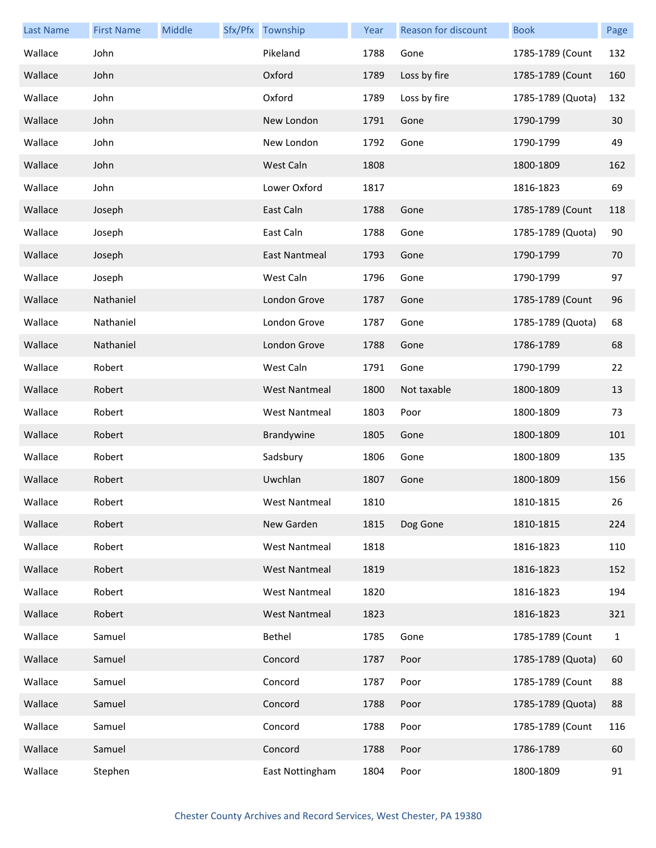| <b>Last Name</b> | <b>First Name</b> | Middle | Sfx/Pfx Township     | Year | <b>Reason for discount</b> | <b>Book</b>       | Page         |
|------------------|-------------------|--------|----------------------|------|----------------------------|-------------------|--------------|
| Wallace          | John              |        | Pikeland             | 1788 | Gone                       | 1785-1789 (Count  | 132          |
| Wallace          | John              |        | Oxford               | 1789 | Loss by fire               | 1785-1789 (Count  | 160          |
| Wallace          | John              |        | Oxford               | 1789 | Loss by fire               | 1785-1789 (Quota) | 132          |
| Wallace          | John              |        | New London           | 1791 | Gone                       | 1790-1799         | 30           |
| Wallace          | John              |        | New London           | 1792 | Gone                       | 1790-1799         | 49           |
| Wallace          | John              |        | West Caln            | 1808 |                            | 1800-1809         | 162          |
| Wallace          | John              |        | Lower Oxford         | 1817 |                            | 1816-1823         | 69           |
| Wallace          | Joseph            |        | East Caln            | 1788 | Gone                       | 1785-1789 (Count  | 118          |
| Wallace          | Joseph            |        | East Caln            | 1788 | Gone                       | 1785-1789 (Quota) | 90           |
| Wallace          | Joseph            |        | East Nantmeal        | 1793 | Gone                       | 1790-1799         | 70           |
| Wallace          | Joseph            |        | West Caln            | 1796 | Gone                       | 1790-1799         | 97           |
| Wallace          | Nathaniel         |        | London Grove         | 1787 | Gone                       | 1785-1789 (Count  | 96           |
| Wallace          | Nathaniel         |        | London Grove         | 1787 | Gone                       | 1785-1789 (Quota) | 68           |
| Wallace          | Nathaniel         |        | London Grove         | 1788 | Gone                       | 1786-1789         | 68           |
| Wallace          | Robert            |        | West Caln            | 1791 | Gone                       | 1790-1799         | 22           |
| Wallace          | Robert            |        | <b>West Nantmeal</b> | 1800 | Not taxable                | 1800-1809         | 13           |
| Wallace          | Robert            |        | <b>West Nantmeal</b> | 1803 | Poor                       | 1800-1809         | 73           |
| Wallace          | Robert            |        | Brandywine           | 1805 | Gone                       | 1800-1809         | 101          |
| Wallace          | Robert            |        | Sadsbury             | 1806 | Gone                       | 1800-1809         | 135          |
| Wallace          | Robert            |        | Uwchlan              | 1807 | Gone                       | 1800-1809         | 156          |
| Wallace          | Robert            |        | West Nantmeal        | 1810 |                            | 1810-1815         | 26           |
| Wallace          | Robert            |        | New Garden           | 1815 | Dog Gone                   | 1810-1815         | 224          |
| Wallace          | Robert            |        | <b>West Nantmeal</b> | 1818 |                            | 1816-1823         | 110          |
| Wallace          | Robert            |        | <b>West Nantmeal</b> | 1819 |                            | 1816-1823         | 152          |
| Wallace          | Robert            |        | <b>West Nantmeal</b> | 1820 |                            | 1816-1823         | 194          |
| Wallace          | Robert            |        | <b>West Nantmeal</b> | 1823 |                            | 1816-1823         | 321          |
| Wallace          | Samuel            |        | Bethel               | 1785 | Gone                       | 1785-1789 (Count  | $\mathbf{1}$ |
| Wallace          | Samuel            |        | Concord              | 1787 | Poor                       | 1785-1789 (Quota) | 60           |
| Wallace          | Samuel            |        | Concord              | 1787 | Poor                       | 1785-1789 (Count  | 88           |
| Wallace          | Samuel            |        | Concord              | 1788 | Poor                       | 1785-1789 (Quota) | 88           |
| Wallace          | Samuel            |        | Concord              | 1788 | Poor                       | 1785-1789 (Count  | 116          |
| Wallace          | Samuel            |        | Concord              | 1788 | Poor                       | 1786-1789         | 60           |
| Wallace          | Stephen           |        | East Nottingham      | 1804 | Poor                       | 1800-1809         | 91           |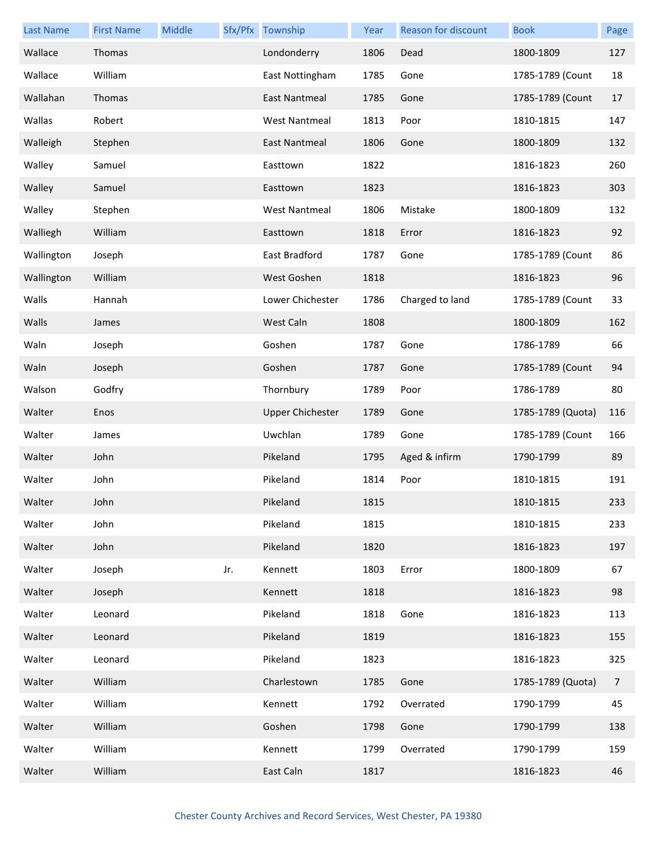| <b>Last Name</b> | <b>First Name</b> | Middle |     | Sfx/Pfx Township        | Year | <b>Reason for discount</b> | <b>Book</b>       | Page           |
|------------------|-------------------|--------|-----|-------------------------|------|----------------------------|-------------------|----------------|
| Wallace          | Thomas            |        |     | Londonderry             | 1806 | Dead                       | 1800-1809         | 127            |
| Wallace          | William           |        |     | East Nottingham         | 1785 | Gone                       | 1785-1789 (Count  | 18             |
| Wallahan         | Thomas            |        |     | <b>East Nantmeal</b>    | 1785 | Gone                       | 1785-1789 (Count  | 17             |
| Wallas           | Robert            |        |     | <b>West Nantmeal</b>    | 1813 | Poor                       | 1810-1815         | 147            |
| Walleigh         | Stephen           |        |     | East Nantmeal           | 1806 | Gone                       | 1800-1809         | 132            |
| Walley           | Samuel            |        |     | Easttown                | 1822 |                            | 1816-1823         | 260            |
| Walley           | Samuel            |        |     | Easttown                | 1823 |                            | 1816-1823         | 303            |
| Walley           | Stephen           |        |     | <b>West Nantmeal</b>    | 1806 | Mistake                    | 1800-1809         | 132            |
| Walliegh         | William           |        |     | Easttown                | 1818 | Error                      | 1816-1823         | 92             |
| Wallington       | Joseph            |        |     | <b>East Bradford</b>    | 1787 | Gone                       | 1785-1789 (Count  | 86             |
| Wallington       | William           |        |     | West Goshen             | 1818 |                            | 1816-1823         | 96             |
| Walls            | Hannah            |        |     | Lower Chichester        | 1786 | Charged to land            | 1785-1789 (Count  | 33             |
| Walls            | James             |        |     | West Caln               | 1808 |                            | 1800-1809         | 162            |
| Waln             | Joseph            |        |     | Goshen                  | 1787 | Gone                       | 1786-1789         | 66             |
| Waln             | Joseph            |        |     | Goshen                  | 1787 | Gone                       | 1785-1789 (Count  | 94             |
| Walson           | Godfry            |        |     | Thornbury               | 1789 | Poor                       | 1786-1789         | 80             |
| Walter           | Enos              |        |     | <b>Upper Chichester</b> | 1789 | Gone                       | 1785-1789 (Quota) | 116            |
| Walter           | James             |        |     | Uwchlan                 | 1789 | Gone                       | 1785-1789 (Count  | 166            |
| Walter           | John              |        |     | Pikeland                | 1795 | Aged & infirm              | 1790-1799         | 89             |
| Walter           | John              |        |     | Pikeland                | 1814 | Poor                       | 1810-1815         | 191            |
| Walter           | John              |        |     | Pikeland                | 1815 |                            | 1810-1815         | 233            |
| Walter           | John              |        |     | Pikeland                | 1815 |                            | 1810-1815         | 233            |
| Walter           | John              |        |     | Pikeland                | 1820 |                            | 1816-1823         | 197            |
| Walter           | Joseph            |        | Jr. | Kennett                 | 1803 | Error                      | 1800-1809         | 67             |
| Walter           | Joseph            |        |     | Kennett                 | 1818 |                            | 1816-1823         | 98             |
| Walter           | Leonard           |        |     | Pikeland                | 1818 | Gone                       | 1816-1823         | 113            |
| Walter           | Leonard           |        |     | Pikeland                | 1819 |                            | 1816-1823         | 155            |
| Walter           | Leonard           |        |     | Pikeland                | 1823 |                            | 1816-1823         | 325            |
| Walter           | William           |        |     | Charlestown             | 1785 | Gone                       | 1785-1789 (Quota) | $\overline{7}$ |
| Walter           | William           |        |     | Kennett                 | 1792 | Overrated                  | 1790-1799         | 45             |
| Walter           | William           |        |     | Goshen                  | 1798 | Gone                       | 1790-1799         | 138            |
| Walter           | William           |        |     | Kennett                 | 1799 | Overrated                  | 1790-1799         | 159            |
| Walter           | William           |        |     | East Caln               | 1817 |                            | 1816-1823         | 46             |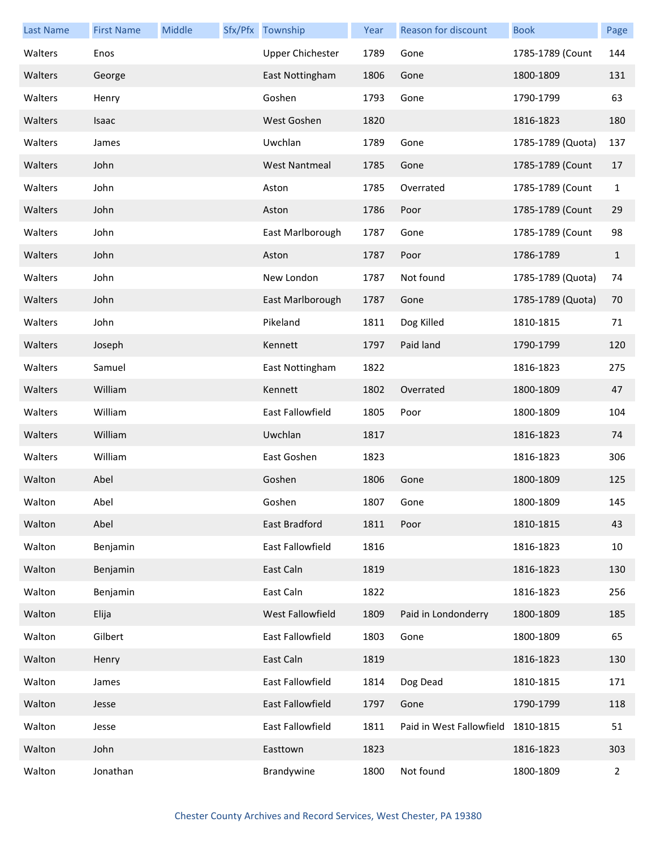| <b>Last Name</b> | <b>First Name</b> | Middle | Sfx/Pfx Township        | Year | Reason for discount      | <b>Book</b>       | Page           |
|------------------|-------------------|--------|-------------------------|------|--------------------------|-------------------|----------------|
| Walters          | Enos              |        | <b>Upper Chichester</b> | 1789 | Gone                     | 1785-1789 (Count  | 144            |
| Walters          | George            |        | East Nottingham         | 1806 | Gone                     | 1800-1809         | 131            |
| Walters          | Henry             |        | Goshen                  | 1793 | Gone                     | 1790-1799         | 63             |
| Walters          | Isaac             |        | West Goshen             | 1820 |                          | 1816-1823         | 180            |
| Walters          | James             |        | Uwchlan                 | 1789 | Gone                     | 1785-1789 (Quota) | 137            |
| Walters          | John              |        | <b>West Nantmeal</b>    | 1785 | Gone                     | 1785-1789 (Count  | 17             |
| Walters          | John              |        | Aston                   | 1785 | Overrated                | 1785-1789 (Count  | 1              |
| Walters          | John              |        | Aston                   | 1786 | Poor                     | 1785-1789 (Count  | 29             |
| Walters          | John              |        | East Marlborough        | 1787 | Gone                     | 1785-1789 (Count  | 98             |
| Walters          | John              |        | Aston                   | 1787 | Poor                     | 1786-1789         | $\mathbf{1}$   |
| Walters          | John              |        | New London              | 1787 | Not found                | 1785-1789 (Quota) | 74             |
| Walters          | John              |        | East Marlborough        | 1787 | Gone                     | 1785-1789 (Quota) | 70             |
| Walters          | John              |        | Pikeland                | 1811 | Dog Killed               | 1810-1815         | 71             |
| Walters          | Joseph            |        | Kennett                 | 1797 | Paid land                | 1790-1799         | 120            |
| Walters          | Samuel            |        | East Nottingham         | 1822 |                          | 1816-1823         | 275            |
| Walters          | William           |        | Kennett                 | 1802 | Overrated                | 1800-1809         | 47             |
| Walters          | William           |        | East Fallowfield        | 1805 | Poor                     | 1800-1809         | 104            |
| Walters          | William           |        | Uwchlan                 | 1817 |                          | 1816-1823         | 74             |
| Walters          | William           |        | East Goshen             | 1823 |                          | 1816-1823         | 306            |
| Walton           | Abel              |        | Goshen                  | 1806 | Gone                     | 1800-1809         | 125            |
| Walton           | Abel              |        | Goshen                  | 1807 | Gone                     | 1800-1809         | 145            |
| Walton           | Abel              |        | East Bradford           | 1811 | Poor                     | 1810-1815         | 43             |
| Walton           | Benjamin          |        | East Fallowfield        | 1816 |                          | 1816-1823         | 10             |
| Walton           | Benjamin          |        | East Caln               | 1819 |                          | 1816-1823         | 130            |
| Walton           | Benjamin          |        | East Caln               | 1822 |                          | 1816-1823         | 256            |
| Walton           | Elija             |        | West Fallowfield        | 1809 | Paid in Londonderry      | 1800-1809         | 185            |
| Walton           | Gilbert           |        | East Fallowfield        | 1803 | Gone                     | 1800-1809         | 65             |
| Walton           | Henry             |        | East Caln               | 1819 |                          | 1816-1823         | 130            |
| Walton           | James             |        | East Fallowfield        | 1814 | Dog Dead                 | 1810-1815         | 171            |
| Walton           | Jesse             |        | East Fallowfield        | 1797 | Gone                     | 1790-1799         | 118            |
| Walton           | Jesse             |        | East Fallowfield        | 1811 | Paid in West Fallowfield | 1810-1815         | 51             |
| Walton           | John              |        | Easttown                | 1823 |                          | 1816-1823         | 303            |
| Walton           | Jonathan          |        | Brandywine              | 1800 | Not found                | 1800-1809         | $\overline{2}$ |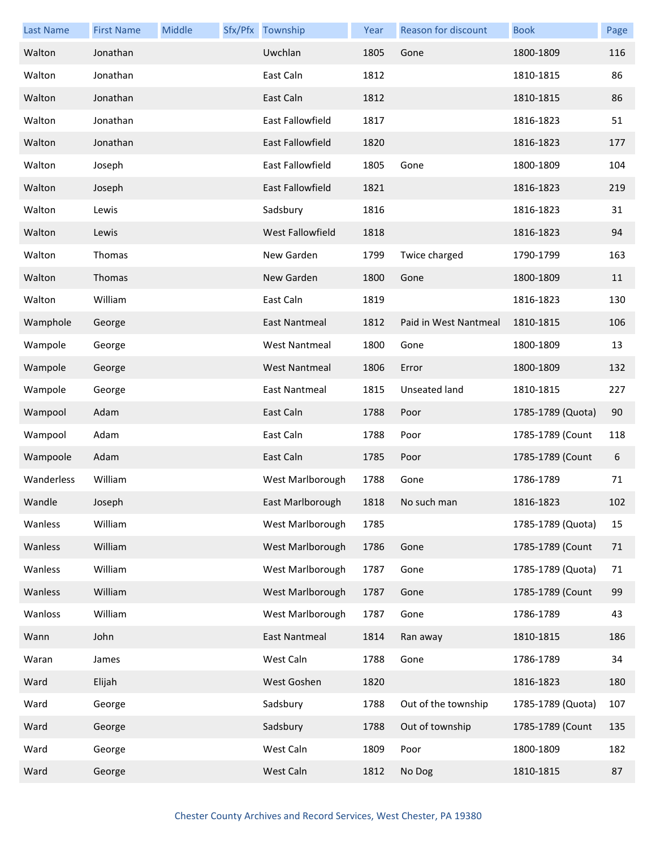| <b>Last Name</b> | <b>First Name</b> | Middle | Sfx/Pfx Township        | Year | <b>Reason for discount</b> | <b>Book</b>       | Page |
|------------------|-------------------|--------|-------------------------|------|----------------------------|-------------------|------|
| Walton           | Jonathan          |        | Uwchlan                 | 1805 | Gone                       | 1800-1809         | 116  |
| Walton           | Jonathan          |        | East Caln               | 1812 |                            | 1810-1815         | 86   |
| Walton           | Jonathan          |        | East Caln               | 1812 |                            | 1810-1815         | 86   |
| Walton           | Jonathan          |        | East Fallowfield        | 1817 |                            | 1816-1823         | 51   |
| Walton           | Jonathan          |        | <b>East Fallowfield</b> | 1820 |                            | 1816-1823         | 177  |
| Walton           | Joseph            |        | East Fallowfield        | 1805 | Gone                       | 1800-1809         | 104  |
| Walton           | Joseph            |        | <b>East Fallowfield</b> | 1821 |                            | 1816-1823         | 219  |
| Walton           | Lewis             |        | Sadsbury                | 1816 |                            | 1816-1823         | 31   |
| Walton           | Lewis             |        | West Fallowfield        | 1818 |                            | 1816-1823         | 94   |
| Walton           | Thomas            |        | New Garden              | 1799 | Twice charged              | 1790-1799         | 163  |
| Walton           | Thomas            |        | New Garden              | 1800 | Gone                       | 1800-1809         | 11   |
| Walton           | William           |        | East Caln               | 1819 |                            | 1816-1823         | 130  |
| Wamphole         | George            |        | East Nantmeal           | 1812 | Paid in West Nantmeal      | 1810-1815         | 106  |
| Wampole          | George            |        | <b>West Nantmeal</b>    | 1800 | Gone                       | 1800-1809         | 13   |
| Wampole          | George            |        | <b>West Nantmeal</b>    | 1806 | Error                      | 1800-1809         | 132  |
| Wampole          | George            |        | East Nantmeal           | 1815 | Unseated land              | 1810-1815         | 227  |
| Wampool          | Adam              |        | East Caln               | 1788 | Poor                       | 1785-1789 (Quota) | 90   |
| Wampool          | Adam              |        | East Caln               | 1788 | Poor                       | 1785-1789 (Count  | 118  |
| Wampoole         | Adam              |        | East Caln               | 1785 | Poor                       | 1785-1789 (Count  | 6    |
| Wanderless       | William           |        | West Marlborough        | 1788 | Gone                       | 1786-1789         | 71   |
| Wandle           | Joseph            |        | East Marlborough        | 1818 | No such man                | 1816-1823         | 102  |
| Wanless          | William           |        | West Marlborough        | 1785 |                            | 1785-1789 (Quota) | 15   |
| Wanless          | William           |        | West Marlborough        | 1786 | Gone                       | 1785-1789 (Count  | 71   |
| Wanless          | William           |        | West Marlborough        | 1787 | Gone                       | 1785-1789 (Quota) | 71   |
| Wanless          | William           |        | West Marlborough        | 1787 | Gone                       | 1785-1789 (Count  | 99   |
| Wanloss          | William           |        | West Marlborough        | 1787 | Gone                       | 1786-1789         | 43   |
| Wann             | John              |        | East Nantmeal           | 1814 | Ran away                   | 1810-1815         | 186  |
| Waran            | James             |        | West Caln               | 1788 | Gone                       | 1786-1789         | 34   |
| Ward             | Elijah            |        | West Goshen             | 1820 |                            | 1816-1823         | 180  |
| Ward             | George            |        | Sadsbury                | 1788 | Out of the township        | 1785-1789 (Quota) | 107  |
| Ward             | George            |        | Sadsbury                | 1788 | Out of township            | 1785-1789 (Count  | 135  |
| Ward             | George            |        | West Caln               | 1809 | Poor                       | 1800-1809         | 182  |
| Ward             | George            |        | West Caln               | 1812 | No Dog                     | 1810-1815         | 87   |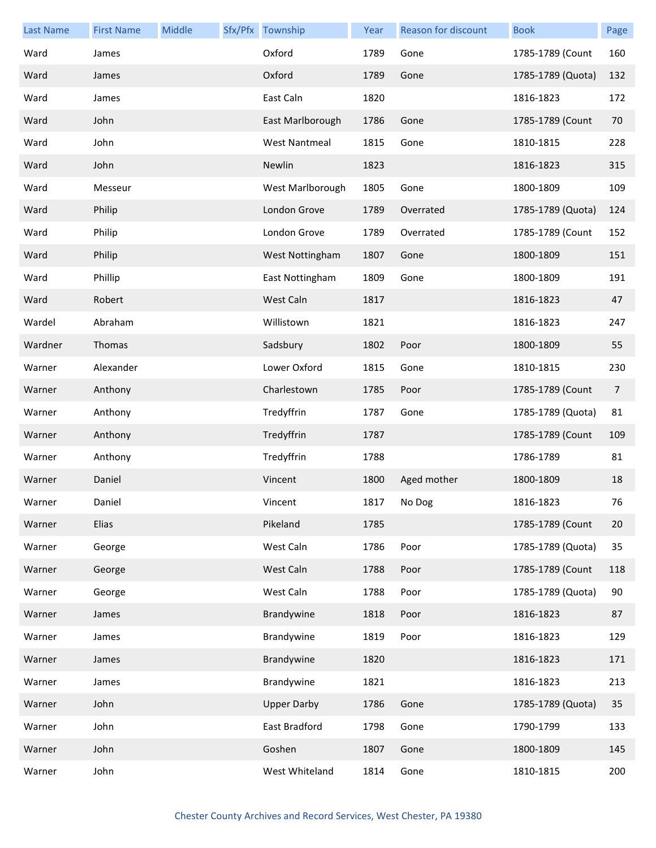| <b>Last Name</b> | <b>First Name</b> | Middle | Sfx/Pfx Township     | Year | Reason for discount | <b>Book</b>       | Page           |
|------------------|-------------------|--------|----------------------|------|---------------------|-------------------|----------------|
| Ward             | James             |        | Oxford               | 1789 | Gone                | 1785-1789 (Count  | 160            |
| Ward             | James             |        | Oxford               | 1789 | Gone                | 1785-1789 (Quota) | 132            |
| Ward             | James             |        | East Caln            | 1820 |                     | 1816-1823         | 172            |
| Ward             | John              |        | East Marlborough     | 1786 | Gone                | 1785-1789 (Count  | 70             |
| Ward             | John              |        | <b>West Nantmeal</b> | 1815 | Gone                | 1810-1815         | 228            |
| Ward             | John              |        | Newlin               | 1823 |                     | 1816-1823         | 315            |
| Ward             | Messeur           |        | West Marlborough     | 1805 | Gone                | 1800-1809         | 109            |
| Ward             | Philip            |        | London Grove         | 1789 | Overrated           | 1785-1789 (Quota) | 124            |
| Ward             | Philip            |        | London Grove         | 1789 | Overrated           | 1785-1789 (Count  | 152            |
| Ward             | Philip            |        | West Nottingham      | 1807 | Gone                | 1800-1809         | 151            |
| Ward             | Phillip           |        | East Nottingham      | 1809 | Gone                | 1800-1809         | 191            |
| Ward             | Robert            |        | West Caln            | 1817 |                     | 1816-1823         | 47             |
| Wardel           | Abraham           |        | Willistown           | 1821 |                     | 1816-1823         | 247            |
| Wardner          | Thomas            |        | Sadsbury             | 1802 | Poor                | 1800-1809         | 55             |
| Warner           | Alexander         |        | Lower Oxford         | 1815 | Gone                | 1810-1815         | 230            |
| Warner           | Anthony           |        | Charlestown          | 1785 | Poor                | 1785-1789 (Count  | $\overline{7}$ |
| Warner           | Anthony           |        | Tredyffrin           | 1787 | Gone                | 1785-1789 (Quota) | 81             |
| Warner           | Anthony           |        | Tredyffrin           | 1787 |                     | 1785-1789 (Count  | 109            |
| Warner           | Anthony           |        | Tredyffrin           | 1788 |                     | 1786-1789         | 81             |
| Warner           | Daniel            |        | Vincent              | 1800 | Aged mother         | 1800-1809         | 18             |
| Warner           | Daniel            |        | Vincent              | 1817 | No Dog              | 1816-1823         | 76             |
| Warner           | Elias             |        | Pikeland             | 1785 |                     | 1785-1789 (Count  | 20             |
| Warner           | George            |        | West Caln            | 1786 | Poor                | 1785-1789 (Quota) | 35             |
| Warner           | George            |        | West Caln            | 1788 | Poor                | 1785-1789 (Count  | 118            |
| Warner           | George            |        | West Caln            | 1788 | Poor                | 1785-1789 (Quota) | 90             |
| Warner           | James             |        | Brandywine           | 1818 | Poor                | 1816-1823         | 87             |
| Warner           | James             |        | Brandywine           | 1819 | Poor                | 1816-1823         | 129            |
| Warner           | James             |        | Brandywine           | 1820 |                     | 1816-1823         | 171            |
| Warner           | James             |        | Brandywine           | 1821 |                     | 1816-1823         | 213            |
| Warner           | John              |        | <b>Upper Darby</b>   | 1786 | Gone                | 1785-1789 (Quota) | 35             |
| Warner           | John              |        | East Bradford        | 1798 | Gone                | 1790-1799         | 133            |
| Warner           | John              |        | Goshen               | 1807 | Gone                | 1800-1809         | 145            |
| Warner           | John              |        | West Whiteland       | 1814 | Gone                | 1810-1815         | 200            |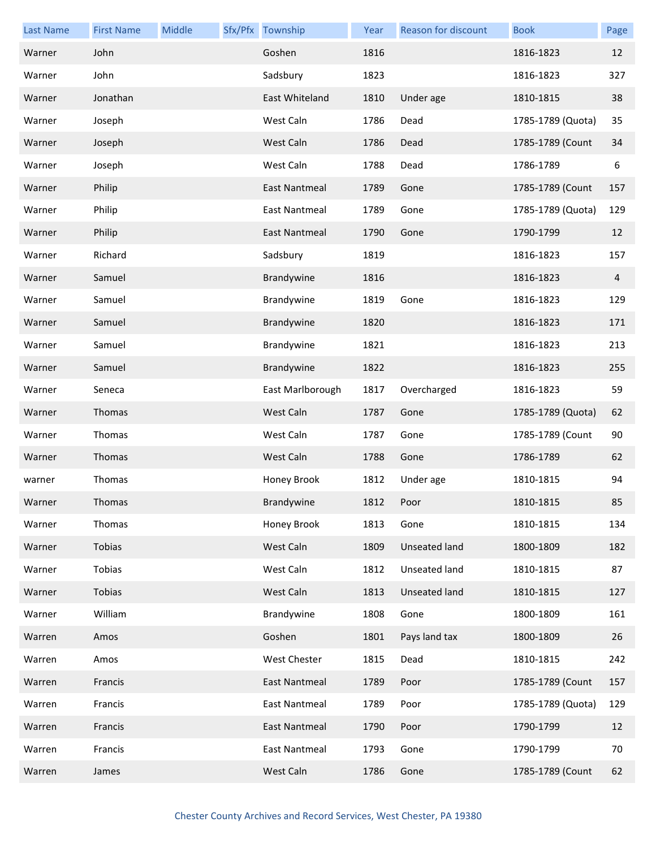| <b>Last Name</b> | <b>First Name</b> | Middle | Sfx/Pfx Township     | Year | Reason for discount  | <b>Book</b>       | Page |
|------------------|-------------------|--------|----------------------|------|----------------------|-------------------|------|
| Warner           | John              |        | Goshen               | 1816 |                      | 1816-1823         | 12   |
| Warner           | John              |        | Sadsbury             | 1823 |                      | 1816-1823         | 327  |
| Warner           | Jonathan          |        | East Whiteland       | 1810 | Under age            | 1810-1815         | 38   |
| Warner           | Joseph            |        | West Caln            | 1786 | Dead                 | 1785-1789 (Quota) | 35   |
| Warner           | Joseph            |        | West Caln            | 1786 | Dead                 | 1785-1789 (Count  | 34   |
| Warner           | Joseph            |        | West Caln            | 1788 | Dead                 | 1786-1789         | 6    |
| Warner           | Philip            |        | <b>East Nantmeal</b> | 1789 | Gone                 | 1785-1789 (Count  | 157  |
| Warner           | Philip            |        | East Nantmeal        | 1789 | Gone                 | 1785-1789 (Quota) | 129  |
| Warner           | Philip            |        | East Nantmeal        | 1790 | Gone                 | 1790-1799         | 12   |
| Warner           | Richard           |        | Sadsbury             | 1819 |                      | 1816-1823         | 157  |
| Warner           | Samuel            |        | Brandywine           | 1816 |                      | 1816-1823         | 4    |
| Warner           | Samuel            |        | Brandywine           | 1819 | Gone                 | 1816-1823         | 129  |
| Warner           | Samuel            |        | Brandywine           | 1820 |                      | 1816-1823         | 171  |
| Warner           | Samuel            |        | Brandywine           | 1821 |                      | 1816-1823         | 213  |
| Warner           | Samuel            |        | Brandywine           | 1822 |                      | 1816-1823         | 255  |
| Warner           | Seneca            |        | East Marlborough     | 1817 | Overcharged          | 1816-1823         | 59   |
| Warner           | Thomas            |        | West Caln            | 1787 | Gone                 | 1785-1789 (Quota) | 62   |
| Warner           | Thomas            |        | West Caln            | 1787 | Gone                 | 1785-1789 (Count  | 90   |
| Warner           | Thomas            |        | West Caln            | 1788 | Gone                 | 1786-1789         | 62   |
| warner           | Thomas            |        | Honey Brook          | 1812 | Under age            | 1810-1815         | 94   |
| Warner           | Thomas            |        | Brandywine           | 1812 | Poor                 | 1810-1815         | 85   |
| Warner           | Thomas            |        | Honey Brook          | 1813 | Gone                 | 1810-1815         | 134  |
| Warner           | Tobias            |        | West Caln            | 1809 | <b>Unseated land</b> | 1800-1809         | 182  |
| Warner           | Tobias            |        | West Caln            | 1812 | Unseated land        | 1810-1815         | 87   |
| Warner           | Tobias            |        | West Caln            | 1813 | Unseated land        | 1810-1815         | 127  |
| Warner           | William           |        | Brandywine           | 1808 | Gone                 | 1800-1809         | 161  |
| Warren           | Amos              |        | Goshen               | 1801 | Pays land tax        | 1800-1809         | 26   |
| Warren           | Amos              |        | West Chester         | 1815 | Dead                 | 1810-1815         | 242  |
| Warren           | Francis           |        | <b>East Nantmeal</b> | 1789 | Poor                 | 1785-1789 (Count  | 157  |
| Warren           | Francis           |        | <b>East Nantmeal</b> | 1789 | Poor                 | 1785-1789 (Quota) | 129  |
| Warren           | Francis           |        | <b>East Nantmeal</b> | 1790 | Poor                 | 1790-1799         | 12   |
| Warren           | Francis           |        | East Nantmeal        | 1793 | Gone                 | 1790-1799         | 70   |
| Warren           | James             |        | West Caln            | 1786 | Gone                 | 1785-1789 (Count  | 62   |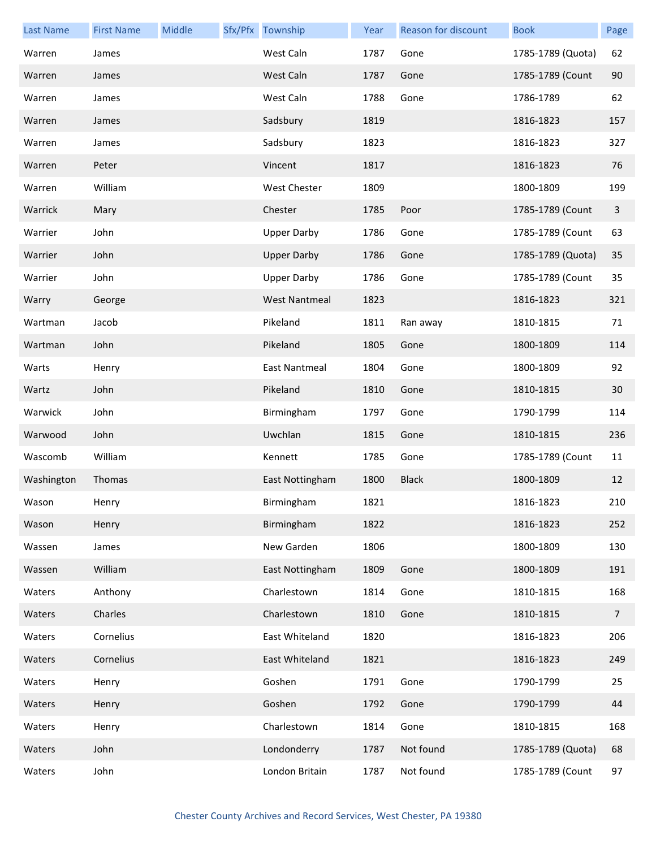| <b>Last Name</b> | <b>First Name</b> | Middle | Sfx/Pfx Township     | Year | Reason for discount | <b>Book</b>       | Page           |
|------------------|-------------------|--------|----------------------|------|---------------------|-------------------|----------------|
| Warren           | James             |        | West Caln            | 1787 | Gone                | 1785-1789 (Quota) | 62             |
| Warren           | James             |        | West Caln            | 1787 | Gone                | 1785-1789 (Count  | 90             |
| Warren           | James             |        | West Caln            | 1788 | Gone                | 1786-1789         | 62             |
| Warren           | James             |        | Sadsbury             | 1819 |                     | 1816-1823         | 157            |
| Warren           | James             |        | Sadsbury             | 1823 |                     | 1816-1823         | 327            |
| Warren           | Peter             |        | Vincent              | 1817 |                     | 1816-1823         | 76             |
| Warren           | William           |        | West Chester         | 1809 |                     | 1800-1809         | 199            |
| Warrick          | Mary              |        | Chester              | 1785 | Poor                | 1785-1789 (Count  | 3              |
| Warrier          | John              |        | <b>Upper Darby</b>   | 1786 | Gone                | 1785-1789 (Count  | 63             |
| Warrier          | John              |        | <b>Upper Darby</b>   | 1786 | Gone                | 1785-1789 (Quota) | 35             |
| Warrier          | John              |        | <b>Upper Darby</b>   | 1786 | Gone                | 1785-1789 (Count  | 35             |
| Warry            | George            |        | <b>West Nantmeal</b> | 1823 |                     | 1816-1823         | 321            |
| Wartman          | Jacob             |        | Pikeland             | 1811 | Ran away            | 1810-1815         | 71             |
| Wartman          | John              |        | Pikeland             | 1805 | Gone                | 1800-1809         | 114            |
| Warts            | Henry             |        | <b>East Nantmeal</b> | 1804 | Gone                | 1800-1809         | 92             |
| Wartz            | John              |        | Pikeland             | 1810 | Gone                | 1810-1815         | 30             |
| Warwick          | John              |        | Birmingham           | 1797 | Gone                | 1790-1799         | 114            |
| Warwood          | John              |        | Uwchlan              | 1815 | Gone                | 1810-1815         | 236            |
| Wascomb          | William           |        | Kennett              | 1785 | Gone                | 1785-1789 (Count  | 11             |
| Washington       | Thomas            |        | East Nottingham      | 1800 | <b>Black</b>        | 1800-1809         | 12             |
| Wason            | Henry             |        | Birmingham           | 1821 |                     | 1816-1823         | 210            |
| Wason            | Henry             |        | Birmingham           | 1822 |                     | 1816-1823         | 252            |
| Wassen           | James             |        | New Garden           | 1806 |                     | 1800-1809         | 130            |
| Wassen           | William           |        | East Nottingham      | 1809 | Gone                | 1800-1809         | 191            |
| Waters           | Anthony           |        | Charlestown          | 1814 | Gone                | 1810-1815         | 168            |
| Waters           | Charles           |        | Charlestown          | 1810 | Gone                | 1810-1815         | $\overline{7}$ |
| Waters           | Cornelius         |        | East Whiteland       | 1820 |                     | 1816-1823         | 206            |
| Waters           | Cornelius         |        | East Whiteland       | 1821 |                     | 1816-1823         | 249            |
| Waters           | Henry             |        | Goshen               | 1791 | Gone                | 1790-1799         | 25             |
| Waters           | Henry             |        | Goshen               | 1792 | Gone                | 1790-1799         | 44             |
| Waters           | Henry             |        | Charlestown          | 1814 | Gone                | 1810-1815         | 168            |
| Waters           | John              |        | Londonderry          | 1787 | Not found           | 1785-1789 (Quota) | 68             |
| Waters           | John              |        | London Britain       | 1787 | Not found           | 1785-1789 (Count  | 97             |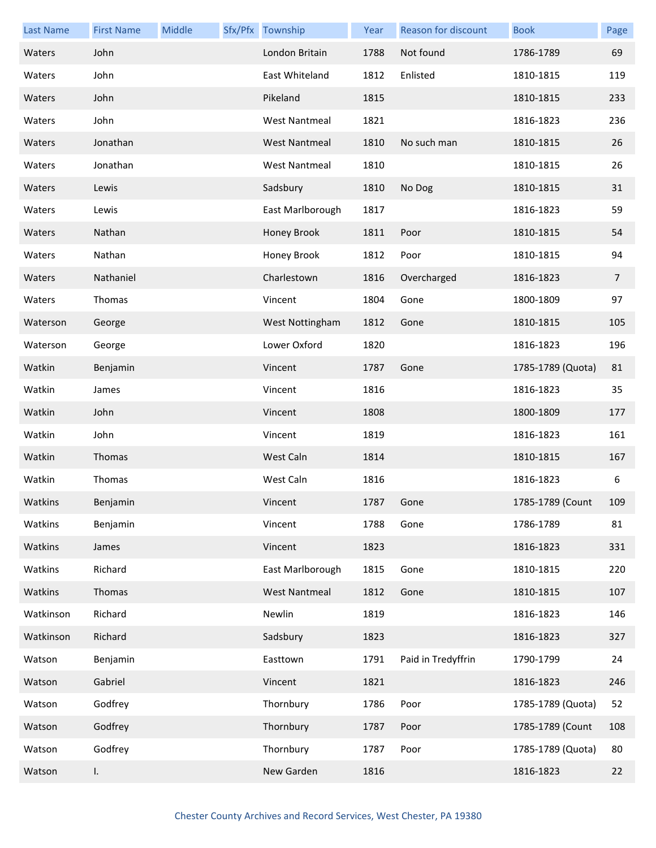| <b>Last Name</b> | <b>First Name</b> | Middle | Sfx/Pfx Township     | Year | Reason for discount | <b>Book</b>       | Page           |
|------------------|-------------------|--------|----------------------|------|---------------------|-------------------|----------------|
| Waters           | John              |        | London Britain       | 1788 | Not found           | 1786-1789         | 69             |
| Waters           | John              |        | East Whiteland       | 1812 | Enlisted            | 1810-1815         | 119            |
| Waters           | John              |        | Pikeland             | 1815 |                     | 1810-1815         | 233            |
| Waters           | John              |        | <b>West Nantmeal</b> | 1821 |                     | 1816-1823         | 236            |
| Waters           | Jonathan          |        | <b>West Nantmeal</b> | 1810 | No such man         | 1810-1815         | 26             |
| Waters           | Jonathan          |        | <b>West Nantmeal</b> | 1810 |                     | 1810-1815         | 26             |
| Waters           | Lewis             |        | Sadsbury             | 1810 | No Dog              | 1810-1815         | 31             |
| Waters           | Lewis             |        | East Marlborough     | 1817 |                     | 1816-1823         | 59             |
| Waters           | Nathan            |        | Honey Brook          | 1811 | Poor                | 1810-1815         | 54             |
| Waters           | Nathan            |        | Honey Brook          | 1812 | Poor                | 1810-1815         | 94             |
| Waters           | Nathaniel         |        | Charlestown          | 1816 | Overcharged         | 1816-1823         | $\overline{7}$ |
| Waters           | Thomas            |        | Vincent              | 1804 | Gone                | 1800-1809         | 97             |
| Waterson         | George            |        | West Nottingham      | 1812 | Gone                | 1810-1815         | 105            |
| Waterson         | George            |        | Lower Oxford         | 1820 |                     | 1816-1823         | 196            |
| Watkin           | Benjamin          |        | Vincent              | 1787 | Gone                | 1785-1789 (Quota) | 81             |
| Watkin           | James             |        | Vincent              | 1816 |                     | 1816-1823         | 35             |
| Watkin           | John              |        | Vincent              | 1808 |                     | 1800-1809         | 177            |
| Watkin           | John              |        | Vincent              | 1819 |                     | 1816-1823         | 161            |
| Watkin           | Thomas            |        | West Caln            | 1814 |                     | 1810-1815         | 167            |
| Watkin           | Thomas            |        | West Caln            | 1816 |                     | 1816-1823         | 6              |
| Watkins          | Benjamin          |        | Vincent              | 1787 | Gone                | 1785-1789 (Count  | 109            |
| Watkins          | Benjamin          |        | Vincent              | 1788 | Gone                | 1786-1789         | 81             |
| Watkins          | James             |        | Vincent              | 1823 |                     | 1816-1823         | 331            |
| Watkins          | Richard           |        | East Marlborough     | 1815 | Gone                | 1810-1815         | 220            |
| Watkins          | Thomas            |        | <b>West Nantmeal</b> | 1812 | Gone                | 1810-1815         | 107            |
| Watkinson        | Richard           |        | Newlin               | 1819 |                     | 1816-1823         | 146            |
| Watkinson        | Richard           |        | Sadsbury             | 1823 |                     | 1816-1823         | 327            |
| Watson           | Benjamin          |        | Easttown             | 1791 | Paid in Tredyffrin  | 1790-1799         | 24             |
| Watson           | Gabriel           |        | Vincent              | 1821 |                     | 1816-1823         | 246            |
| Watson           | Godfrey           |        | Thornbury            | 1786 | Poor                | 1785-1789 (Quota) | 52             |
| Watson           | Godfrey           |        | Thornbury            | 1787 | Poor                | 1785-1789 (Count  | 108            |
| Watson           | Godfrey           |        | Thornbury            | 1787 | Poor                | 1785-1789 (Quota) | 80             |
| Watson           | I.                |        | New Garden           | 1816 |                     | 1816-1823         | 22             |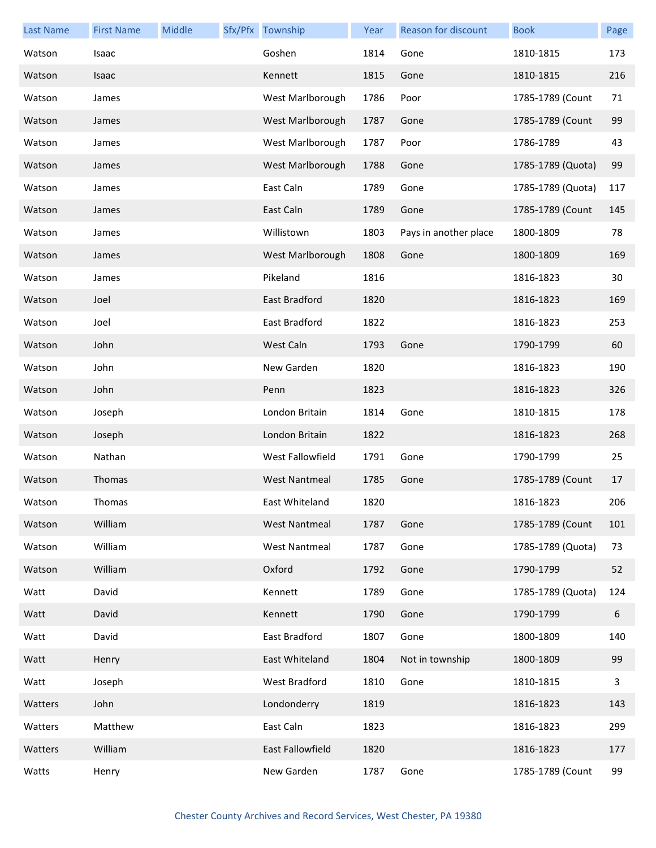| <b>Last Name</b> | <b>First Name</b> | Middle | Sfx/Pfx Township     | Year | Reason for discount   | <b>Book</b>       | Page |
|------------------|-------------------|--------|----------------------|------|-----------------------|-------------------|------|
| Watson           | Isaac             |        | Goshen               | 1814 | Gone                  | 1810-1815         | 173  |
| Watson           | Isaac             |        | Kennett              | 1815 | Gone                  | 1810-1815         | 216  |
| Watson           | James             |        | West Marlborough     | 1786 | Poor                  | 1785-1789 (Count  | 71   |
| Watson           | James             |        | West Marlborough     | 1787 | Gone                  | 1785-1789 (Count  | 99   |
| Watson           | James             |        | West Marlborough     | 1787 | Poor                  | 1786-1789         | 43   |
| Watson           | James             |        | West Marlborough     | 1788 | Gone                  | 1785-1789 (Quota) | 99   |
| Watson           | James             |        | East Caln            | 1789 | Gone                  | 1785-1789 (Quota) | 117  |
| Watson           | James             |        | East Caln            | 1789 | Gone                  | 1785-1789 (Count  | 145  |
| Watson           | James             |        | Willistown           | 1803 | Pays in another place | 1800-1809         | 78   |
| Watson           | James             |        | West Marlborough     | 1808 | Gone                  | 1800-1809         | 169  |
| Watson           | James             |        | Pikeland             | 1816 |                       | 1816-1823         | 30   |
| Watson           | Joel              |        | East Bradford        | 1820 |                       | 1816-1823         | 169  |
| Watson           | Joel              |        | East Bradford        | 1822 |                       | 1816-1823         | 253  |
| Watson           | John              |        | West Caln            | 1793 | Gone                  | 1790-1799         | 60   |
| Watson           | John              |        | New Garden           | 1820 |                       | 1816-1823         | 190  |
| Watson           | John              |        | Penn                 | 1823 |                       | 1816-1823         | 326  |
| Watson           | Joseph            |        | London Britain       | 1814 | Gone                  | 1810-1815         | 178  |
| Watson           | Joseph            |        | London Britain       | 1822 |                       | 1816-1823         | 268  |
| Watson           | Nathan            |        | West Fallowfield     | 1791 | Gone                  | 1790-1799         | 25   |
| Watson           | Thomas            |        | <b>West Nantmeal</b> | 1785 | Gone                  | 1785-1789 (Count  | 17   |
| Watson           | Thomas            |        | East Whiteland       | 1820 |                       | 1816-1823         | 206  |
| Watson           | William           |        | <b>West Nantmeal</b> | 1787 | Gone                  | 1785-1789 (Count  | 101  |
| Watson           | William           |        | <b>West Nantmeal</b> | 1787 | Gone                  | 1785-1789 (Quota) | 73   |
| Watson           | William           |        | Oxford               | 1792 | Gone                  | 1790-1799         | 52   |
| Watt             | David             |        | Kennett              | 1789 | Gone                  | 1785-1789 (Quota) | 124  |
| Watt             | David             |        | Kennett              | 1790 | Gone                  | 1790-1799         | 6    |
| Watt             | David             |        | East Bradford        | 1807 | Gone                  | 1800-1809         | 140  |
| Watt             | Henry             |        | East Whiteland       | 1804 | Not in township       | 1800-1809         | 99   |
| Watt             | Joseph            |        | <b>West Bradford</b> | 1810 | Gone                  | 1810-1815         | 3    |
| Watters          | John              |        | Londonderry          | 1819 |                       | 1816-1823         | 143  |
| Watters          | Matthew           |        | East Caln            | 1823 |                       | 1816-1823         | 299  |
| Watters          | William           |        | East Fallowfield     | 1820 |                       | 1816-1823         | 177  |
| Watts            | Henry             |        | New Garden           | 1787 | Gone                  | 1785-1789 (Count  | 99   |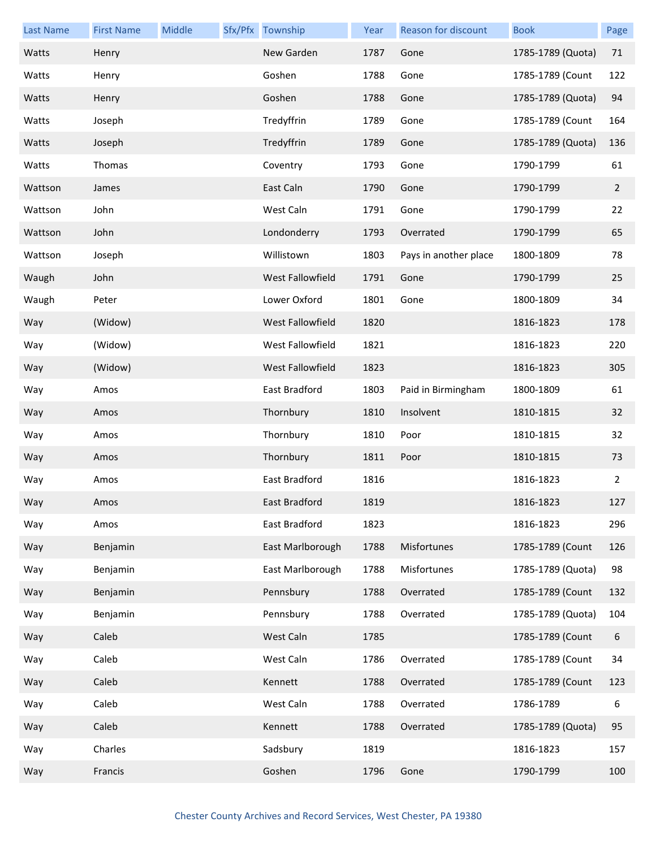| <b>Last Name</b> | <b>First Name</b> | Middle | Sfx/Pfx Township | Year | <b>Reason for discount</b> | <b>Book</b>       | Page           |
|------------------|-------------------|--------|------------------|------|----------------------------|-------------------|----------------|
| Watts            | Henry             |        | New Garden       | 1787 | Gone                       | 1785-1789 (Quota) | 71             |
| Watts            | Henry             |        | Goshen           | 1788 | Gone                       | 1785-1789 (Count  | 122            |
| Watts            | Henry             |        | Goshen           | 1788 | Gone                       | 1785-1789 (Quota) | 94             |
| Watts            | Joseph            |        | Tredyffrin       | 1789 | Gone                       | 1785-1789 (Count  | 164            |
| Watts            | Joseph            |        | Tredyffrin       | 1789 | Gone                       | 1785-1789 (Quota) | 136            |
| Watts            | Thomas            |        | Coventry         | 1793 | Gone                       | 1790-1799         | 61             |
| Wattson          | James             |        | East Caln        | 1790 | Gone                       | 1790-1799         | $\overline{2}$ |
| Wattson          | John              |        | West Caln        | 1791 | Gone                       | 1790-1799         | 22             |
| Wattson          | John              |        | Londonderry      | 1793 | Overrated                  | 1790-1799         | 65             |
| Wattson          | Joseph            |        | Willistown       | 1803 | Pays in another place      | 1800-1809         | 78             |
| Waugh            | John              |        | West Fallowfield | 1791 | Gone                       | 1790-1799         | 25             |
| Waugh            | Peter             |        | Lower Oxford     | 1801 | Gone                       | 1800-1809         | 34             |
| Way              | (Widow)           |        | West Fallowfield | 1820 |                            | 1816-1823         | 178            |
| Way              | (Widow)           |        | West Fallowfield | 1821 |                            | 1816-1823         | 220            |
| Way              | (Widow)           |        | West Fallowfield | 1823 |                            | 1816-1823         | 305            |
| Way              | Amos              |        | East Bradford    | 1803 | Paid in Birmingham         | 1800-1809         | 61             |
| Way              | Amos              |        | Thornbury        | 1810 | Insolvent                  | 1810-1815         | 32             |
| Way              | Amos              |        | Thornbury        | 1810 | Poor                       | 1810-1815         | 32             |
| Way              | Amos              |        | Thornbury        | 1811 | Poor                       | 1810-1815         | 73             |
| Way              | Amos              |        | East Bradford    | 1816 |                            | 1816-1823         | 2              |
| Way              | Amos              |        | East Bradford    | 1819 |                            | 1816-1823         | 127            |
| Way              | Amos              |        | East Bradford    | 1823 |                            | 1816-1823         | 296            |
| Way              | Benjamin          |        | East Marlborough | 1788 | Misfortunes                | 1785-1789 (Count  | 126            |
| Way              | Benjamin          |        | East Marlborough | 1788 | Misfortunes                | 1785-1789 (Quota) | 98             |
| Way              | Benjamin          |        | Pennsbury        | 1788 | Overrated                  | 1785-1789 (Count  | 132            |
| Way              | Benjamin          |        | Pennsbury        | 1788 | Overrated                  | 1785-1789 (Quota) | 104            |
| Way              | Caleb             |        | West Caln        | 1785 |                            | 1785-1789 (Count  | 6              |
| Way              | Caleb             |        | West Caln        | 1786 | Overrated                  | 1785-1789 (Count  | 34             |
| Way              | Caleb             |        | Kennett          | 1788 | Overrated                  | 1785-1789 (Count  | 123            |
| Way              | Caleb             |        | West Caln        | 1788 | Overrated                  | 1786-1789         | 6              |
| Way              | Caleb             |        | Kennett          | 1788 | Overrated                  | 1785-1789 (Quota) | 95             |
| Way              | Charles           |        | Sadsbury         | 1819 |                            | 1816-1823         | 157            |
| Way              | Francis           |        | Goshen           | 1796 | Gone                       | 1790-1799         | 100            |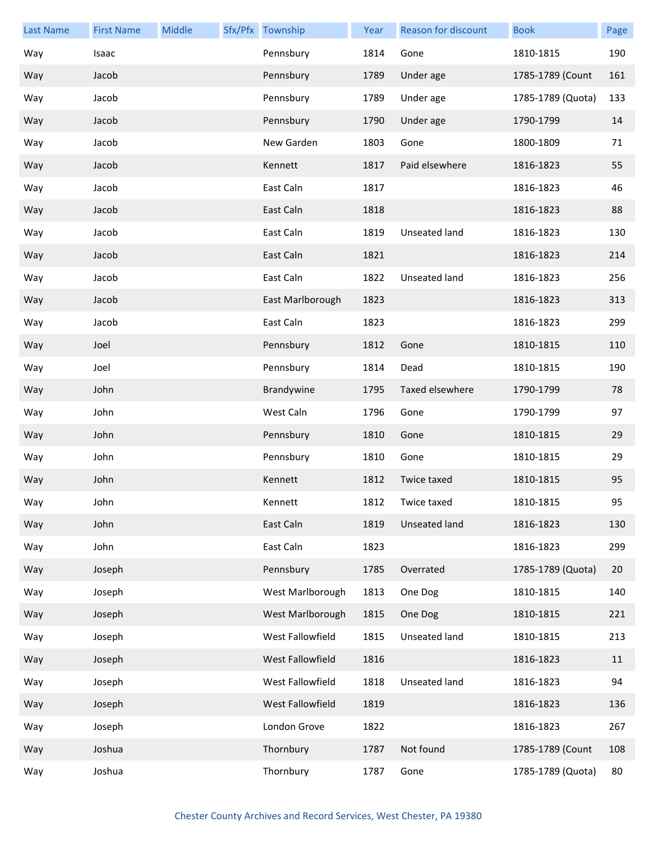| <b>Last Name</b> | <b>First Name</b> | Middle | Sfx/Pfx Township | Year | Reason for discount | <b>Book</b>       | Page |
|------------------|-------------------|--------|------------------|------|---------------------|-------------------|------|
| Way              | Isaac             |        | Pennsbury        | 1814 | Gone                | 1810-1815         | 190  |
| Way              | Jacob             |        | Pennsbury        | 1789 | Under age           | 1785-1789 (Count  | 161  |
| Way              | Jacob             |        | Pennsbury        | 1789 | Under age           | 1785-1789 (Quota) | 133  |
| Way              | Jacob             |        | Pennsbury        | 1790 | Under age           | 1790-1799         | 14   |
| Way              | Jacob             |        | New Garden       | 1803 | Gone                | 1800-1809         | 71   |
| Way              | Jacob             |        | Kennett          | 1817 | Paid elsewhere      | 1816-1823         | 55   |
| Way              | Jacob             |        | East Caln        | 1817 |                     | 1816-1823         | 46   |
| Way              | Jacob             |        | East Caln        | 1818 |                     | 1816-1823         | 88   |
| Way              | Jacob             |        | East Caln        | 1819 | Unseated land       | 1816-1823         | 130  |
| Way              | Jacob             |        | East Caln        | 1821 |                     | 1816-1823         | 214  |
| Way              | Jacob             |        | East Caln        | 1822 | Unseated land       | 1816-1823         | 256  |
| Way              | Jacob             |        | East Marlborough | 1823 |                     | 1816-1823         | 313  |
| Way              | Jacob             |        | East Caln        | 1823 |                     | 1816-1823         | 299  |
| Way              | Joel              |        | Pennsbury        | 1812 | Gone                | 1810-1815         | 110  |
| Way              | Joel              |        | Pennsbury        | 1814 | Dead                | 1810-1815         | 190  |
| Way              | John              |        | Brandywine       | 1795 | Taxed elsewhere     | 1790-1799         | 78   |
| Way              | John              |        | West Caln        | 1796 | Gone                | 1790-1799         | 97   |
| Way              | John              |        | Pennsbury        | 1810 | Gone                | 1810-1815         | 29   |
| Way              | John              |        | Pennsbury        | 1810 | Gone                | 1810-1815         | 29   |
| Way              | John              |        | Kennett          | 1812 | Twice taxed         | 1810-1815         | 95   |
| Way              | John              |        | Kennett          | 1812 | Twice taxed         | 1810-1815         | 95   |
| Way              | John              |        | East Caln        | 1819 | Unseated land       | 1816-1823         | 130  |
| Way              | John              |        | East Caln        | 1823 |                     | 1816-1823         | 299  |
| Way              | Joseph            |        | Pennsbury        | 1785 | Overrated           | 1785-1789 (Quota) | 20   |
| Way              | Joseph            |        | West Marlborough | 1813 | One Dog             | 1810-1815         | 140  |
| Way              | Joseph            |        | West Marlborough | 1815 | One Dog             | 1810-1815         | 221  |
| Way              | Joseph            |        | West Fallowfield | 1815 | Unseated land       | 1810-1815         | 213  |
| Way              | Joseph            |        | West Fallowfield | 1816 |                     | 1816-1823         | 11   |
| Way              | Joseph            |        | West Fallowfield | 1818 | Unseated land       | 1816-1823         | 94   |
| Way              | Joseph            |        | West Fallowfield | 1819 |                     | 1816-1823         | 136  |
| Way              | Joseph            |        | London Grove     | 1822 |                     | 1816-1823         | 267  |
| Way              | Joshua            |        | Thornbury        | 1787 | Not found           | 1785-1789 (Count  | 108  |
| Way              | Joshua            |        | Thornbury        | 1787 | Gone                | 1785-1789 (Quota) | 80   |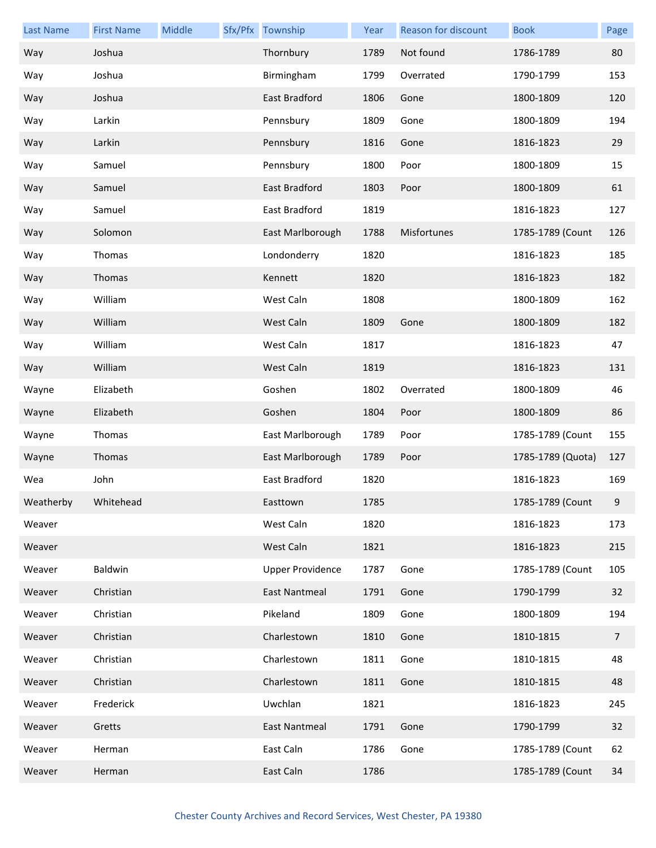| <b>Last Name</b> | <b>First Name</b> | Middle | Sfx/Pfx Township        | Year | Reason for discount | <b>Book</b>       | Page           |
|------------------|-------------------|--------|-------------------------|------|---------------------|-------------------|----------------|
| Way              | Joshua            |        | Thornbury               | 1789 | Not found           | 1786-1789         | 80             |
| Way              | Joshua            |        | Birmingham              | 1799 | Overrated           | 1790-1799         | 153            |
| Way              | Joshua            |        | East Bradford           | 1806 | Gone                | 1800-1809         | 120            |
| Way              | Larkin            |        | Pennsbury               | 1809 | Gone                | 1800-1809         | 194            |
| Way              | Larkin            |        | Pennsbury               | 1816 | Gone                | 1816-1823         | 29             |
| Way              | Samuel            |        | Pennsbury               | 1800 | Poor                | 1800-1809         | 15             |
| Way              | Samuel            |        | East Bradford           | 1803 | Poor                | 1800-1809         | 61             |
| Way              | Samuel            |        | East Bradford           | 1819 |                     | 1816-1823         | 127            |
| Way              | Solomon           |        | East Marlborough        | 1788 | Misfortunes         | 1785-1789 (Count  | 126            |
| Way              | Thomas            |        | Londonderry             | 1820 |                     | 1816-1823         | 185            |
| Way              | Thomas            |        | Kennett                 | 1820 |                     | 1816-1823         | 182            |
| Way              | William           |        | West Caln               | 1808 |                     | 1800-1809         | 162            |
| Way              | William           |        | West Caln               | 1809 | Gone                | 1800-1809         | 182            |
| Way              | William           |        | West Caln               | 1817 |                     | 1816-1823         | 47             |
| Way              | William           |        | West Caln               | 1819 |                     | 1816-1823         | 131            |
| Wayne            | Elizabeth         |        | Goshen                  | 1802 | Overrated           | 1800-1809         | 46             |
| Wayne            | Elizabeth         |        | Goshen                  | 1804 | Poor                | 1800-1809         | 86             |
| Wayne            | Thomas            |        | East Marlborough        | 1789 | Poor                | 1785-1789 (Count  | 155            |
| Wayne            | Thomas            |        | East Marlborough        | 1789 | Poor                | 1785-1789 (Quota) | 127            |
| Wea              | John              |        | East Bradford           | 1820 |                     | 1816-1823         | 169            |
| Weatherby        | Whitehead         |        | Easttown                | 1785 |                     | 1785-1789 (Count  | 9              |
| Weaver           |                   |        | West Caln               | 1820 |                     | 1816-1823         | 173            |
| Weaver           |                   |        | West Caln               | 1821 |                     | 1816-1823         | 215            |
| Weaver           | Baldwin           |        | <b>Upper Providence</b> | 1787 | Gone                | 1785-1789 (Count  | 105            |
| Weaver           | Christian         |        | <b>East Nantmeal</b>    | 1791 | Gone                | 1790-1799         | 32             |
| Weaver           | Christian         |        | Pikeland                | 1809 | Gone                | 1800-1809         | 194            |
| Weaver           | Christian         |        | Charlestown             | 1810 | Gone                | 1810-1815         | $\overline{7}$ |
| Weaver           | Christian         |        | Charlestown             | 1811 | Gone                | 1810-1815         | 48             |
| Weaver           | Christian         |        | Charlestown             | 1811 | Gone                | 1810-1815         | 48             |
| Weaver           | Frederick         |        | Uwchlan                 | 1821 |                     | 1816-1823         | 245            |
| Weaver           | Gretts            |        | <b>East Nantmeal</b>    | 1791 | Gone                | 1790-1799         | 32             |
| Weaver           | Herman            |        | East Caln               | 1786 | Gone                | 1785-1789 (Count  | 62             |
| Weaver           | Herman            |        | East Caln               | 1786 |                     | 1785-1789 (Count  | 34             |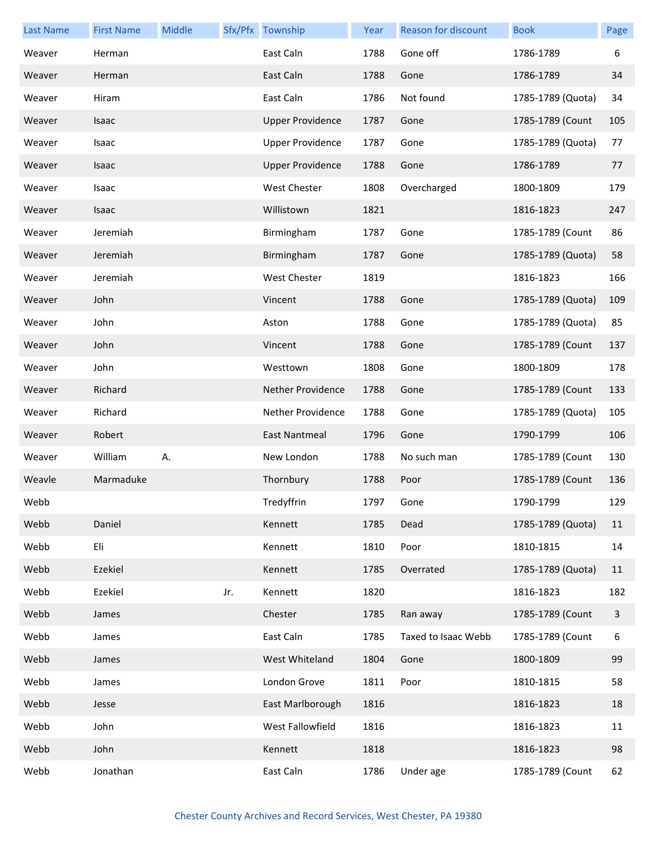| <b>Last Name</b> | <b>First Name</b> | Middle |     | Sfx/Pfx Township         | Year | Reason for discount | <b>Book</b>       | Page |
|------------------|-------------------|--------|-----|--------------------------|------|---------------------|-------------------|------|
| Weaver           | Herman            |        |     | East Caln                | 1788 | Gone off            | 1786-1789         | 6    |
| Weaver           | Herman            |        |     | East Caln                | 1788 | Gone                | 1786-1789         | 34   |
| Weaver           | Hiram             |        |     | East Caln                | 1786 | Not found           | 1785-1789 (Quota) | 34   |
| Weaver           | Isaac             |        |     | <b>Upper Providence</b>  | 1787 | Gone                | 1785-1789 (Count  | 105  |
| Weaver           | Isaac             |        |     | <b>Upper Providence</b>  | 1787 | Gone                | 1785-1789 (Quota) | 77   |
| Weaver           | Isaac             |        |     | <b>Upper Providence</b>  | 1788 | Gone                | 1786-1789         | 77   |
| Weaver           | Isaac             |        |     | West Chester             | 1808 | Overcharged         | 1800-1809         | 179  |
| Weaver           | Isaac             |        |     | Willistown               | 1821 |                     | 1816-1823         | 247  |
| Weaver           | Jeremiah          |        |     | Birmingham               | 1787 | Gone                | 1785-1789 (Count  | 86   |
| Weaver           | Jeremiah          |        |     | Birmingham               | 1787 | Gone                | 1785-1789 (Quota) | 58   |
| Weaver           | Jeremiah          |        |     | <b>West Chester</b>      | 1819 |                     | 1816-1823         | 166  |
| Weaver           | John              |        |     | Vincent                  | 1788 | Gone                | 1785-1789 (Quota) | 109  |
| Weaver           | John              |        |     | Aston                    | 1788 | Gone                | 1785-1789 (Quota) | 85   |
| Weaver           | John              |        |     | Vincent                  | 1788 | Gone                | 1785-1789 (Count  | 137  |
| Weaver           | John              |        |     | Westtown                 | 1808 | Gone                | 1800-1809         | 178  |
| Weaver           | Richard           |        |     | <b>Nether Providence</b> | 1788 | Gone                | 1785-1789 (Count  | 133  |
| Weaver           | Richard           |        |     | Nether Providence        | 1788 | Gone                | 1785-1789 (Quota) | 105  |
| Weaver           | Robert            |        |     | East Nantmeal            | 1796 | Gone                | 1790-1799         | 106  |
| Weaver           | William           | Α.     |     | New London               | 1788 | No such man         | 1785-1789 (Count  | 130  |
| Weavle           | Marmaduke         |        |     | Thornbury                | 1788 | Poor                | 1785-1789 (Count  | 136  |
| Webb             |                   |        |     | Tredyffrin               | 1797 | Gone                | 1790-1799         | 129  |
| Webb             | Daniel            |        |     | Kennett                  | 1785 | Dead                | 1785-1789 (Quota) | 11   |
| Webb             | Eli               |        |     | Kennett                  | 1810 | Poor                | 1810-1815         | 14   |
| Webb             | Ezekiel           |        |     | Kennett                  | 1785 | Overrated           | 1785-1789 (Quota) | 11   |
| Webb             | Ezekiel           |        | Jr. | Kennett                  | 1820 |                     | 1816-1823         | 182  |
| Webb             | James             |        |     | Chester                  | 1785 | Ran away            | 1785-1789 (Count  | 3    |
| Webb             | James             |        |     | East Caln                | 1785 | Taxed to Isaac Webb | 1785-1789 (Count  | 6    |
| Webb             | James             |        |     | West Whiteland           | 1804 | Gone                | 1800-1809         | 99   |
| Webb             | James             |        |     | London Grove             | 1811 | Poor                | 1810-1815         | 58   |
| Webb             | Jesse             |        |     | East Marlborough         | 1816 |                     | 1816-1823         | 18   |
| Webb             | John              |        |     | West Fallowfield         | 1816 |                     | 1816-1823         | 11   |
| Webb             | John              |        |     | Kennett                  | 1818 |                     | 1816-1823         | 98   |
| Webb             | Jonathan          |        |     | East Caln                | 1786 | Under age           | 1785-1789 (Count  | 62   |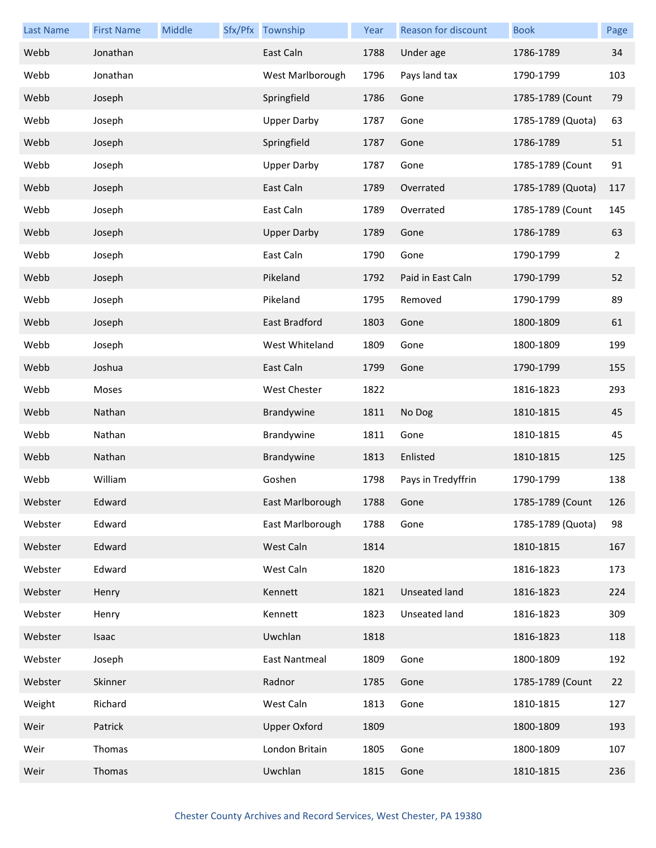| <b>Last Name</b> | <b>First Name</b> | Middle | Sfx/Pfx Township    | Year | <b>Reason for discount</b> | <b>Book</b>       | Page |
|------------------|-------------------|--------|---------------------|------|----------------------------|-------------------|------|
| Webb             | Jonathan          |        | East Caln           | 1788 | Under age                  | 1786-1789         | 34   |
| Webb             | Jonathan          |        | West Marlborough    | 1796 | Pays land tax              | 1790-1799         | 103  |
| Webb             | Joseph            |        | Springfield         | 1786 | Gone                       | 1785-1789 (Count  | 79   |
| Webb             | Joseph            |        | <b>Upper Darby</b>  | 1787 | Gone                       | 1785-1789 (Quota) | 63   |
| Webb             | Joseph            |        | Springfield         | 1787 | Gone                       | 1786-1789         | 51   |
| Webb             | Joseph            |        | <b>Upper Darby</b>  | 1787 | Gone                       | 1785-1789 (Count  | 91   |
| Webb             | Joseph            |        | East Caln           | 1789 | Overrated                  | 1785-1789 (Quota) | 117  |
| Webb             | Joseph            |        | East Caln           | 1789 | Overrated                  | 1785-1789 (Count  | 145  |
| Webb             | Joseph            |        | <b>Upper Darby</b>  | 1789 | Gone                       | 1786-1789         | 63   |
| Webb             | Joseph            |        | East Caln           | 1790 | Gone                       | 1790-1799         | 2    |
| Webb             | Joseph            |        | Pikeland            | 1792 | Paid in East Caln          | 1790-1799         | 52   |
| Webb             | Joseph            |        | Pikeland            | 1795 | Removed                    | 1790-1799         | 89   |
| Webb             | Joseph            |        | East Bradford       | 1803 | Gone                       | 1800-1809         | 61   |
| Webb             | Joseph            |        | West Whiteland      | 1809 | Gone                       | 1800-1809         | 199  |
| Webb             | Joshua            |        | East Caln           | 1799 | Gone                       | 1790-1799         | 155  |
| Webb             | Moses             |        | West Chester        | 1822 |                            | 1816-1823         | 293  |
| Webb             | Nathan            |        | Brandywine          | 1811 | No Dog                     | 1810-1815         | 45   |
| Webb             | Nathan            |        | Brandywine          | 1811 | Gone                       | 1810-1815         | 45   |
| Webb             | Nathan            |        | Brandywine          | 1813 | Enlisted                   | 1810-1815         | 125  |
| Webb             | William           |        | Goshen              | 1798 | Pays in Tredyffrin         | 1790-1799         | 138  |
| Webster          | Edward            |        | East Marlborough    | 1788 | Gone                       | 1785-1789 (Count  | 126  |
| Webster          | Edward            |        | East Marlborough    | 1788 | Gone                       | 1785-1789 (Quota) | 98   |
| Webster          | Edward            |        | West Caln           | 1814 |                            | 1810-1815         | 167  |
| Webster          | Edward            |        | West Caln           | 1820 |                            | 1816-1823         | 173  |
| Webster          | Henry             |        | Kennett             | 1821 | <b>Unseated land</b>       | 1816-1823         | 224  |
| Webster          | Henry             |        | Kennett             | 1823 | Unseated land              | 1816-1823         | 309  |
| Webster          | Isaac             |        | Uwchlan             | 1818 |                            | 1816-1823         | 118  |
| Webster          | Joseph            |        | East Nantmeal       | 1809 | Gone                       | 1800-1809         | 192  |
| Webster          | Skinner           |        | Radnor              | 1785 | Gone                       | 1785-1789 (Count  | 22   |
| Weight           | Richard           |        | West Caln           | 1813 | Gone                       | 1810-1815         | 127  |
| Weir             | Patrick           |        | <b>Upper Oxford</b> | 1809 |                            | 1800-1809         | 193  |
| Weir             | Thomas            |        | London Britain      | 1805 | Gone                       | 1800-1809         | 107  |
| Weir             | Thomas            |        | Uwchlan             | 1815 | Gone                       | 1810-1815         | 236  |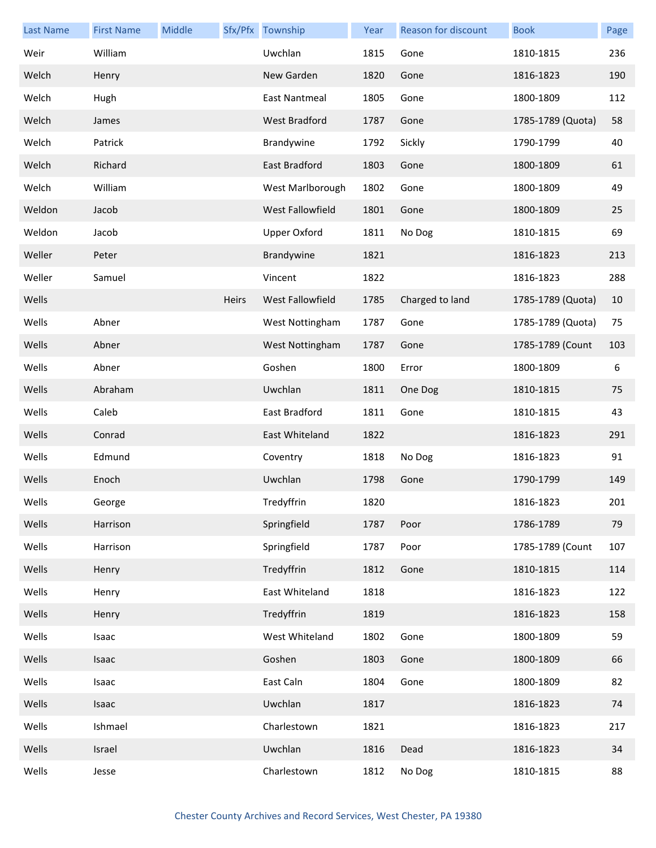| <b>Last Name</b> | <b>First Name</b> | Middle |       | Sfx/Pfx Township     | Year | <b>Reason for discount</b> | <b>Book</b>       | Page |
|------------------|-------------------|--------|-------|----------------------|------|----------------------------|-------------------|------|
| Weir             | William           |        |       | Uwchlan              | 1815 | Gone                       | 1810-1815         | 236  |
| Welch            | Henry             |        |       | New Garden           | 1820 | Gone                       | 1816-1823         | 190  |
| Welch            | Hugh              |        |       | East Nantmeal        | 1805 | Gone                       | 1800-1809         | 112  |
| Welch            | James             |        |       | <b>West Bradford</b> | 1787 | Gone                       | 1785-1789 (Quota) | 58   |
| Welch            | Patrick           |        |       | Brandywine           | 1792 | Sickly                     | 1790-1799         | 40   |
| Welch            | Richard           |        |       | East Bradford        | 1803 | Gone                       | 1800-1809         | 61   |
| Welch            | William           |        |       | West Marlborough     | 1802 | Gone                       | 1800-1809         | 49   |
| Weldon           | Jacob             |        |       | West Fallowfield     | 1801 | Gone                       | 1800-1809         | 25   |
| Weldon           | Jacob             |        |       | <b>Upper Oxford</b>  | 1811 | No Dog                     | 1810-1815         | 69   |
| Weller           | Peter             |        |       | Brandywine           | 1821 |                            | 1816-1823         | 213  |
| Weller           | Samuel            |        |       | Vincent              | 1822 |                            | 1816-1823         | 288  |
| Wells            |                   |        | Heirs | West Fallowfield     | 1785 | Charged to land            | 1785-1789 (Quota) | 10   |
| Wells            | Abner             |        |       | West Nottingham      | 1787 | Gone                       | 1785-1789 (Quota) | 75   |
| Wells            | Abner             |        |       | West Nottingham      | 1787 | Gone                       | 1785-1789 (Count  | 103  |
| Wells            | Abner             |        |       | Goshen               | 1800 | Error                      | 1800-1809         | 6    |
| Wells            | Abraham           |        |       | Uwchlan              | 1811 | One Dog                    | 1810-1815         | 75   |
| Wells            | Caleb             |        |       | East Bradford        | 1811 | Gone                       | 1810-1815         | 43   |
| Wells            | Conrad            |        |       | East Whiteland       | 1822 |                            | 1816-1823         | 291  |
| Wells            | Edmund            |        |       | Coventry             | 1818 | No Dog                     | 1816-1823         | 91   |
| Wells            | Enoch             |        |       | Uwchlan              | 1798 | Gone                       | 1790-1799         | 149  |
| Wells            | George            |        |       | Tredyffrin           | 1820 |                            | 1816-1823         | 201  |
| Wells            | Harrison          |        |       | Springfield          | 1787 | Poor                       | 1786-1789         | 79   |
| Wells            | Harrison          |        |       | Springfield          | 1787 | Poor                       | 1785-1789 (Count  | 107  |
| Wells            | Henry             |        |       | Tredyffrin           | 1812 | Gone                       | 1810-1815         | 114  |
| Wells            | Henry             |        |       | East Whiteland       | 1818 |                            | 1816-1823         | 122  |
| Wells            | Henry             |        |       | Tredyffrin           | 1819 |                            | 1816-1823         | 158  |
| Wells            | Isaac             |        |       | West Whiteland       | 1802 | Gone                       | 1800-1809         | 59   |
| Wells            | Isaac             |        |       | Goshen               | 1803 | Gone                       | 1800-1809         | 66   |
| Wells            | Isaac             |        |       | East Caln            | 1804 | Gone                       | 1800-1809         | 82   |
| Wells            | Isaac             |        |       | Uwchlan              | 1817 |                            | 1816-1823         | 74   |
| Wells            | Ishmael           |        |       | Charlestown          | 1821 |                            | 1816-1823         | 217  |
| Wells            | Israel            |        |       | Uwchlan              | 1816 | Dead                       | 1816-1823         | 34   |
| Wells            | Jesse             |        |       | Charlestown          | 1812 | No Dog                     | 1810-1815         | 88   |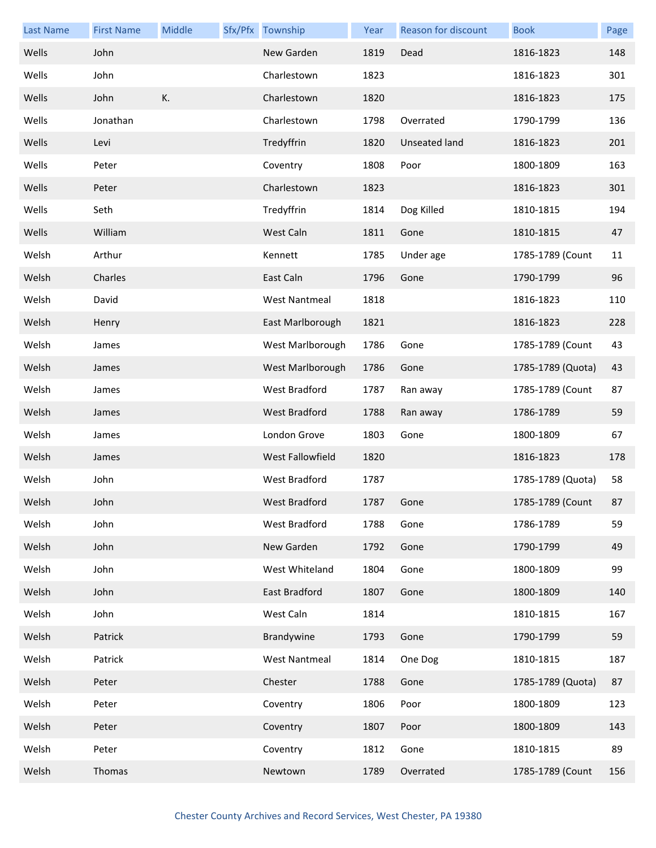| <b>Last Name</b> | <b>First Name</b> | Middle | Sfx/Pfx Township     | Year | <b>Reason for discount</b> | <b>Book</b>       | Page |
|------------------|-------------------|--------|----------------------|------|----------------------------|-------------------|------|
| Wells            | John              |        | New Garden           | 1819 | Dead                       | 1816-1823         | 148  |
| Wells            | John              |        | Charlestown          | 1823 |                            | 1816-1823         | 301  |
| Wells            | John              | К.     | Charlestown          | 1820 |                            | 1816-1823         | 175  |
| Wells            | Jonathan          |        | Charlestown          | 1798 | Overrated                  | 1790-1799         | 136  |
| Wells            | Levi              |        | Tredyffrin           | 1820 | Unseated land              | 1816-1823         | 201  |
| Wells            | Peter             |        | Coventry             | 1808 | Poor                       | 1800-1809         | 163  |
| Wells            | Peter             |        | Charlestown          | 1823 |                            | 1816-1823         | 301  |
| Wells            | Seth              |        | Tredyffrin           | 1814 | Dog Killed                 | 1810-1815         | 194  |
| Wells            | William           |        | West Caln            | 1811 | Gone                       | 1810-1815         | 47   |
| Welsh            | Arthur            |        | Kennett              | 1785 | Under age                  | 1785-1789 (Count  | 11   |
| Welsh            | Charles           |        | East Caln            | 1796 | Gone                       | 1790-1799         | 96   |
| Welsh            | David             |        | <b>West Nantmeal</b> | 1818 |                            | 1816-1823         | 110  |
| Welsh            | Henry             |        | East Marlborough     | 1821 |                            | 1816-1823         | 228  |
| Welsh            | James             |        | West Marlborough     | 1786 | Gone                       | 1785-1789 (Count  | 43   |
| Welsh            | James             |        | West Marlborough     | 1786 | Gone                       | 1785-1789 (Quota) | 43   |
| Welsh            | James             |        | <b>West Bradford</b> | 1787 | Ran away                   | 1785-1789 (Count  | 87   |
| Welsh            | James             |        | West Bradford        | 1788 | Ran away                   | 1786-1789         | 59   |
| Welsh            | James             |        | London Grove         | 1803 | Gone                       | 1800-1809         | 67   |
| Welsh            | James             |        | West Fallowfield     | 1820 |                            | 1816-1823         | 178  |
| Welsh            | John              |        | West Bradford        | 1787 |                            | 1785-1789 (Quota) | 58   |
| Welsh            | John              |        | West Bradford        | 1787 | Gone                       | 1785-1789 (Count  | 87   |
| Welsh            | John              |        | West Bradford        | 1788 | Gone                       | 1786-1789         | 59   |
| Welsh            | John              |        | New Garden           | 1792 | Gone                       | 1790-1799         | 49   |
| Welsh            | John              |        | West Whiteland       | 1804 | Gone                       | 1800-1809         | 99   |
| Welsh            | John              |        | East Bradford        | 1807 | Gone                       | 1800-1809         | 140  |
| Welsh            | John              |        | West Caln            | 1814 |                            | 1810-1815         | 167  |
| Welsh            | Patrick           |        | Brandywine           | 1793 | Gone                       | 1790-1799         | 59   |
| Welsh            | Patrick           |        | <b>West Nantmeal</b> | 1814 | One Dog                    | 1810-1815         | 187  |
| Welsh            | Peter             |        | Chester              | 1788 | Gone                       | 1785-1789 (Quota) | 87   |
| Welsh            | Peter             |        | Coventry             | 1806 | Poor                       | 1800-1809         | 123  |
| Welsh            | Peter             |        | Coventry             | 1807 | Poor                       | 1800-1809         | 143  |
| Welsh            | Peter             |        | Coventry             | 1812 | Gone                       | 1810-1815         | 89   |
| Welsh            | Thomas            |        | Newtown              | 1789 | Overrated                  | 1785-1789 (Count  | 156  |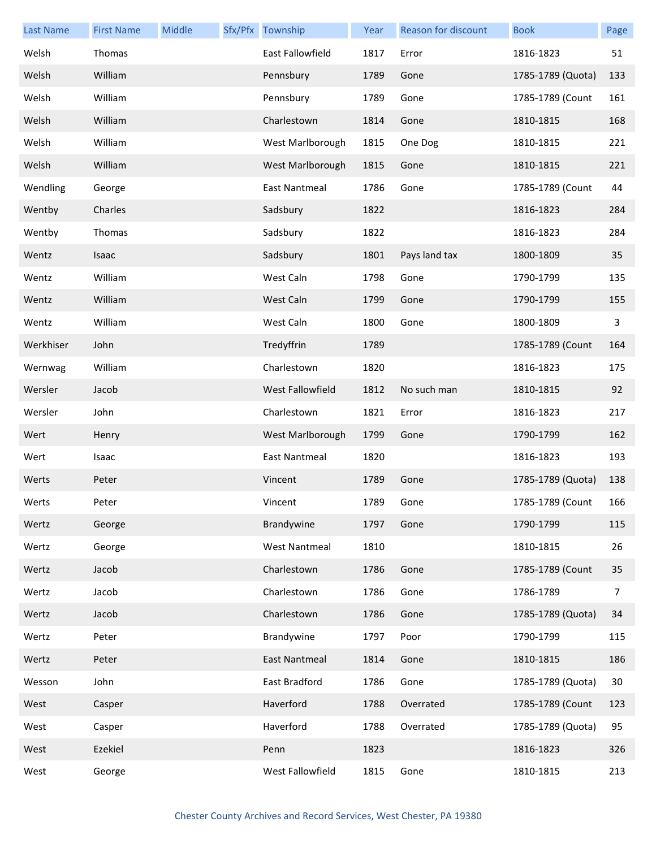| <b>Last Name</b> | <b>First Name</b> | Middle | Sfx/Pfx Township     | Year | Reason for discount | <b>Book</b>       | Page         |
|------------------|-------------------|--------|----------------------|------|---------------------|-------------------|--------------|
| Welsh            | Thomas            |        | East Fallowfield     | 1817 | Error               | 1816-1823         | 51           |
| Welsh            | William           |        | Pennsbury            | 1789 | Gone                | 1785-1789 (Quota) | 133          |
| Welsh            | William           |        | Pennsbury            | 1789 | Gone                | 1785-1789 (Count  | 161          |
| Welsh            | William           |        | Charlestown          | 1814 | Gone                | 1810-1815         | 168          |
| Welsh            | William           |        | West Marlborough     | 1815 | One Dog             | 1810-1815         | 221          |
| Welsh            | William           |        | West Marlborough     | 1815 | Gone                | 1810-1815         | 221          |
| Wendling         | George            |        | East Nantmeal        | 1786 | Gone                | 1785-1789 (Count  | 44           |
| Wentby           | Charles           |        | Sadsbury             | 1822 |                     | 1816-1823         | 284          |
| Wentby           | Thomas            |        | Sadsbury             | 1822 |                     | 1816-1823         | 284          |
| Wentz            | Isaac             |        | Sadsbury             | 1801 | Pays land tax       | 1800-1809         | 35           |
| Wentz            | William           |        | West Caln            | 1798 | Gone                | 1790-1799         | 135          |
| Wentz            | William           |        | West Caln            | 1799 | Gone                | 1790-1799         | 155          |
| Wentz            | William           |        | West Caln            | 1800 | Gone                | 1800-1809         | $\mathbf{3}$ |
| Werkhiser        | John              |        | Tredyffrin           | 1789 |                     | 1785-1789 (Count  | 164          |
| Wernwag          | William           |        | Charlestown          | 1820 |                     | 1816-1823         | 175          |
| Wersler          | Jacob             |        | West Fallowfield     | 1812 | No such man         | 1810-1815         | 92           |
| Wersler          | John              |        | Charlestown          | 1821 | Error               | 1816-1823         | 217          |
| Wert             | Henry             |        | West Marlborough     | 1799 | Gone                | 1790-1799         | 162          |
| Wert             | Isaac             |        | <b>East Nantmeal</b> | 1820 |                     | 1816-1823         | 193          |
| Werts            | Peter             |        | Vincent              | 1789 | Gone                | 1785-1789 (Quota) | 138          |
| Werts            | Peter             |        | Vincent              | 1789 | Gone                | 1785-1789 (Count  | 166          |
| Wertz            | George            |        | Brandywine           | 1797 | Gone                | 1790-1799         | 115          |
| Wertz            | George            |        | <b>West Nantmeal</b> | 1810 |                     | 1810-1815         | 26           |
| Wertz            | Jacob             |        | Charlestown          | 1786 | Gone                | 1785-1789 (Count  | 35           |
| Wertz            | Jacob             |        | Charlestown          | 1786 | Gone                | 1786-1789         | 7            |
| Wertz            | Jacob             |        | Charlestown          | 1786 | Gone                | 1785-1789 (Quota) | 34           |
| Wertz            | Peter             |        | Brandywine           | 1797 | Poor                | 1790-1799         | 115          |
| Wertz            | Peter             |        | East Nantmeal        | 1814 | Gone                | 1810-1815         | 186          |
| Wesson           | John              |        | East Bradford        | 1786 | Gone                | 1785-1789 (Quota) | 30           |
| West             | Casper            |        | Haverford            | 1788 | Overrated           | 1785-1789 (Count  | 123          |
| West             | Casper            |        | Haverford            | 1788 | Overrated           | 1785-1789 (Quota) | 95           |
| West             | Ezekiel           |        | Penn                 | 1823 |                     | 1816-1823         | 326          |
| West             | George            |        | West Fallowfield     | 1815 | Gone                | 1810-1815         | 213          |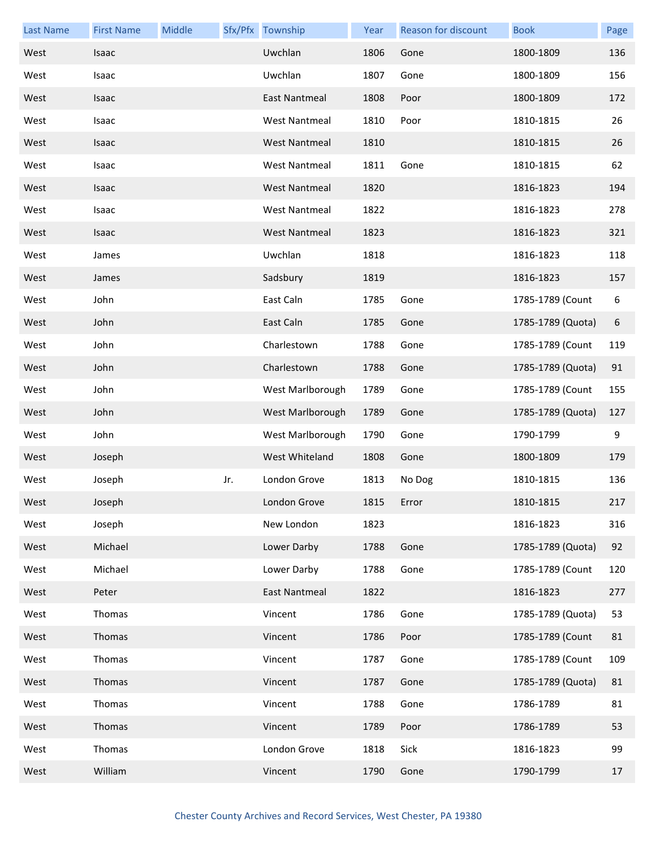| <b>Last Name</b> | <b>First Name</b> | Middle |     | Sfx/Pfx Township     | Year | <b>Reason for discount</b> | <b>Book</b>       | Page |
|------------------|-------------------|--------|-----|----------------------|------|----------------------------|-------------------|------|
| West             | Isaac             |        |     | Uwchlan              | 1806 | Gone                       | 1800-1809         | 136  |
| West             | Isaac             |        |     | Uwchlan              | 1807 | Gone                       | 1800-1809         | 156  |
| West             | Isaac             |        |     | <b>East Nantmeal</b> | 1808 | Poor                       | 1800-1809         | 172  |
| West             | Isaac             |        |     | <b>West Nantmeal</b> | 1810 | Poor                       | 1810-1815         | 26   |
| West             | Isaac             |        |     | West Nantmeal        | 1810 |                            | 1810-1815         | 26   |
| West             | Isaac             |        |     | <b>West Nantmeal</b> | 1811 | Gone                       | 1810-1815         | 62   |
| West             | Isaac             |        |     | <b>West Nantmeal</b> | 1820 |                            | 1816-1823         | 194  |
| West             | Isaac             |        |     | <b>West Nantmeal</b> | 1822 |                            | 1816-1823         | 278  |
| West             | Isaac             |        |     | West Nantmeal        | 1823 |                            | 1816-1823         | 321  |
| West             | James             |        |     | Uwchlan              | 1818 |                            | 1816-1823         | 118  |
| West             | James             |        |     | Sadsbury             | 1819 |                            | 1816-1823         | 157  |
| West             | John              |        |     | East Caln            | 1785 | Gone                       | 1785-1789 (Count  | 6    |
| West             | John              |        |     | East Caln            | 1785 | Gone                       | 1785-1789 (Quota) | 6    |
| West             | John              |        |     | Charlestown          | 1788 | Gone                       | 1785-1789 (Count  | 119  |
| West             | John              |        |     | Charlestown          | 1788 | Gone                       | 1785-1789 (Quota) | 91   |
| West             | John              |        |     | West Marlborough     | 1789 | Gone                       | 1785-1789 (Count  | 155  |
| West             | John              |        |     | West Marlborough     | 1789 | Gone                       | 1785-1789 (Quota) | 127  |
| West             | John              |        |     | West Marlborough     | 1790 | Gone                       | 1790-1799         | 9    |
| West             | Joseph            |        |     | West Whiteland       | 1808 | Gone                       | 1800-1809         | 179  |
| West             | Joseph            |        | Jr. | London Grove         | 1813 | No Dog                     | 1810-1815         | 136  |
| West             | Joseph            |        |     | London Grove         | 1815 | Error                      | 1810-1815         | 217  |
| West             | Joseph            |        |     | New London           | 1823 |                            | 1816-1823         | 316  |
| West             | Michael           |        |     | Lower Darby          | 1788 | Gone                       | 1785-1789 (Quota) | 92   |
| West             | Michael           |        |     | Lower Darby          | 1788 | Gone                       | 1785-1789 (Count  | 120  |
| West             | Peter             |        |     | <b>East Nantmeal</b> | 1822 |                            | 1816-1823         | 277  |
| West             | Thomas            |        |     | Vincent              | 1786 | Gone                       | 1785-1789 (Quota) | 53   |
| West             | Thomas            |        |     | Vincent              | 1786 | Poor                       | 1785-1789 (Count  | 81   |
| West             | Thomas            |        |     | Vincent              | 1787 | Gone                       | 1785-1789 (Count  | 109  |
| West             | Thomas            |        |     | Vincent              | 1787 | Gone                       | 1785-1789 (Quota) | 81   |
| West             | Thomas            |        |     | Vincent              | 1788 | Gone                       | 1786-1789         | 81   |
| West             | Thomas            |        |     | Vincent              | 1789 | Poor                       | 1786-1789         | 53   |
| West             | Thomas            |        |     | London Grove         | 1818 | Sick                       | 1816-1823         | 99   |
| West             | William           |        |     | Vincent              | 1790 | Gone                       | 1790-1799         | 17   |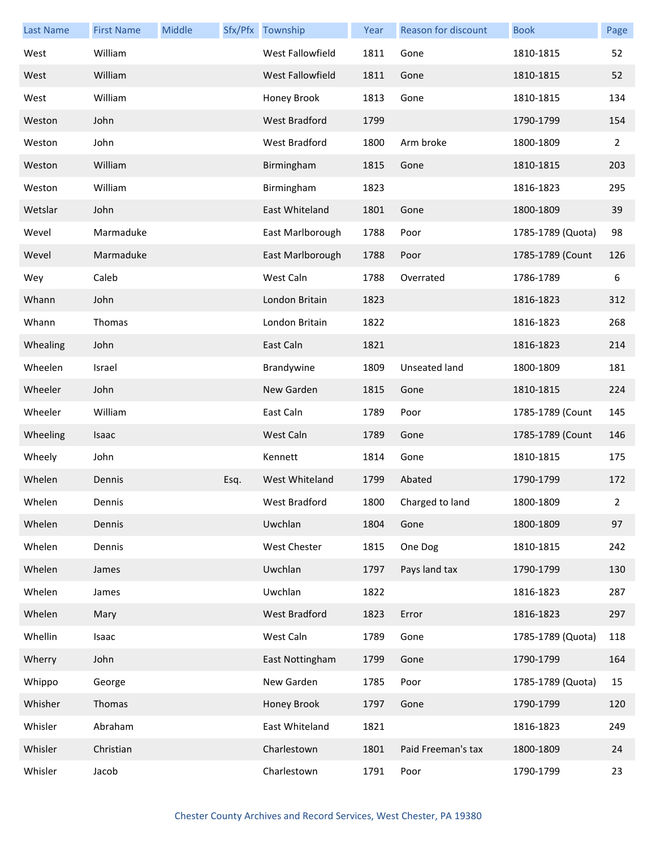| <b>Last Name</b> | <b>First Name</b> | Middle |      | Sfx/Pfx Township     | Year | Reason for discount  | <b>Book</b>       | Page        |
|------------------|-------------------|--------|------|----------------------|------|----------------------|-------------------|-------------|
| West             | William           |        |      | West Fallowfield     | 1811 | Gone                 | 1810-1815         | 52          |
| West             | William           |        |      | West Fallowfield     | 1811 | Gone                 | 1810-1815         | 52          |
| West             | William           |        |      | Honey Brook          | 1813 | Gone                 | 1810-1815         | 134         |
| Weston           | John              |        |      | <b>West Bradford</b> | 1799 |                      | 1790-1799         | 154         |
| Weston           | John              |        |      | West Bradford        | 1800 | Arm broke            | 1800-1809         | 2           |
| Weston           | William           |        |      | Birmingham           | 1815 | Gone                 | 1810-1815         | 203         |
| Weston           | William           |        |      | Birmingham           | 1823 |                      | 1816-1823         | 295         |
| Wetslar          | John              |        |      | East Whiteland       | 1801 | Gone                 | 1800-1809         | 39          |
| Wevel            | Marmaduke         |        |      | East Marlborough     | 1788 | Poor                 | 1785-1789 (Quota) | 98          |
| Wevel            | Marmaduke         |        |      | East Marlborough     | 1788 | Poor                 | 1785-1789 (Count  | 126         |
| Wey              | Caleb             |        |      | West Caln            | 1788 | Overrated            | 1786-1789         | 6           |
| Whann            | John              |        |      | London Britain       | 1823 |                      | 1816-1823         | 312         |
| Whann            | Thomas            |        |      | London Britain       | 1822 |                      | 1816-1823         | 268         |
| Whealing         | John              |        |      | East Caln            | 1821 |                      | 1816-1823         | 214         |
| Wheelen          | Israel            |        |      | Brandywine           | 1809 | <b>Unseated land</b> | 1800-1809         | 181         |
| Wheeler          | John              |        |      | New Garden           | 1815 | Gone                 | 1810-1815         | 224         |
| Wheeler          | William           |        |      | East Caln            | 1789 | Poor                 | 1785-1789 (Count  | 145         |
| Wheeling         | Isaac             |        |      | West Caln            | 1789 | Gone                 | 1785-1789 (Count  | 146         |
| Wheely           | John              |        |      | Kennett              | 1814 | Gone                 | 1810-1815         | 175         |
| Whelen           | Dennis            |        | Esq. | West Whiteland       | 1799 | Abated               | 1790-1799         | 172         |
| Whelen           | Dennis            |        |      | West Bradford        | 1800 | Charged to land      | 1800-1809         | $2^{\circ}$ |
| Whelen           | Dennis            |        |      | Uwchlan              | 1804 | Gone                 | 1800-1809         | 97          |
| Whelen           | Dennis            |        |      | West Chester         | 1815 | One Dog              | 1810-1815         | 242         |
| Whelen           | James             |        |      | Uwchlan              | 1797 | Pays land tax        | 1790-1799         | 130         |
| Whelen           | James             |        |      | Uwchlan              | 1822 |                      | 1816-1823         | 287         |
| Whelen           | Mary              |        |      | West Bradford        | 1823 | Error                | 1816-1823         | 297         |
| Whellin          | Isaac             |        |      | West Caln            | 1789 | Gone                 | 1785-1789 (Quota) | 118         |
| Wherry           | John              |        |      | East Nottingham      | 1799 | Gone                 | 1790-1799         | 164         |
| Whippo           | George            |        |      | New Garden           | 1785 | Poor                 | 1785-1789 (Quota) | 15          |
| Whisher          | Thomas            |        |      | Honey Brook          | 1797 | Gone                 | 1790-1799         | 120         |
| Whisler          | Abraham           |        |      | East Whiteland       | 1821 |                      | 1816-1823         | 249         |
| Whisler          | Christian         |        |      | Charlestown          | 1801 | Paid Freeman's tax   | 1800-1809         | 24          |
| Whisler          | Jacob             |        |      | Charlestown          | 1791 | Poor                 | 1790-1799         | 23          |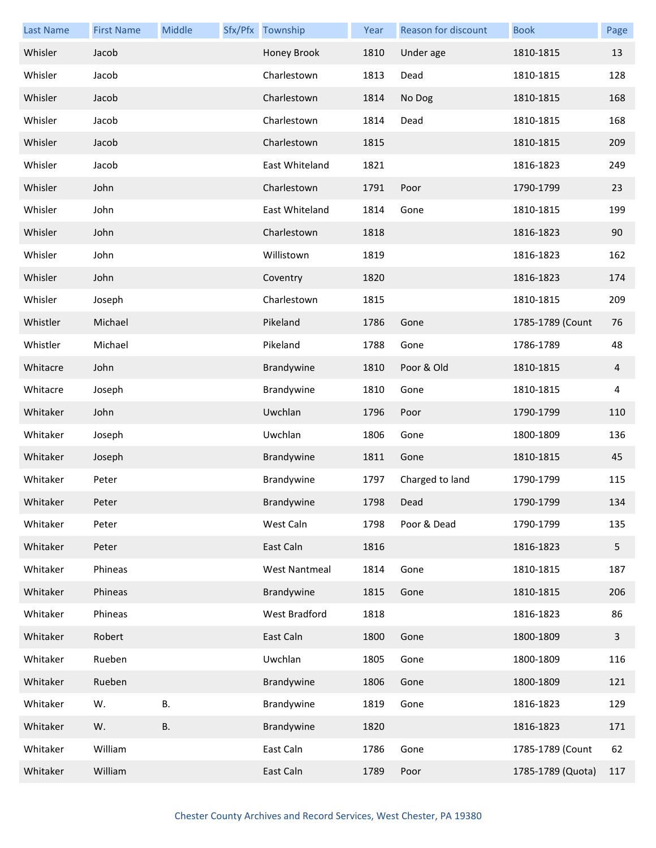| <b>Last Name</b> | <b>First Name</b> | Middle | Sfx/Pfx Township     | Year | Reason for discount | <b>Book</b>       | Page         |
|------------------|-------------------|--------|----------------------|------|---------------------|-------------------|--------------|
| Whisler          | Jacob             |        | Honey Brook          | 1810 | Under age           | 1810-1815         | 13           |
| Whisler          | Jacob             |        | Charlestown          | 1813 | Dead                | 1810-1815         | 128          |
| Whisler          | Jacob             |        | Charlestown          | 1814 | No Dog              | 1810-1815         | 168          |
| Whisler          | Jacob             |        | Charlestown          | 1814 | Dead                | 1810-1815         | 168          |
| Whisler          | Jacob             |        | Charlestown          | 1815 |                     | 1810-1815         | 209          |
| Whisler          | Jacob             |        | East Whiteland       | 1821 |                     | 1816-1823         | 249          |
| Whisler          | John              |        | Charlestown          | 1791 | Poor                | 1790-1799         | 23           |
| Whisler          | John              |        | East Whiteland       | 1814 | Gone                | 1810-1815         | 199          |
| Whisler          | John              |        | Charlestown          | 1818 |                     | 1816-1823         | 90           |
| Whisler          | John              |        | Willistown           | 1819 |                     | 1816-1823         | 162          |
| Whisler          | John              |        | Coventry             | 1820 |                     | 1816-1823         | 174          |
| Whisler          | Joseph            |        | Charlestown          | 1815 |                     | 1810-1815         | 209          |
| Whistler         | Michael           |        | Pikeland             | 1786 | Gone                | 1785-1789 (Count  | 76           |
| Whistler         | Michael           |        | Pikeland             | 1788 | Gone                | 1786-1789         | 48           |
| Whitacre         | John              |        | Brandywine           | 1810 | Poor & Old          | 1810-1815         | 4            |
| Whitacre         | Joseph            |        | Brandywine           | 1810 | Gone                | 1810-1815         | 4            |
| Whitaker         | John              |        | Uwchlan              | 1796 | Poor                | 1790-1799         | 110          |
| Whitaker         | Joseph            |        | Uwchlan              | 1806 | Gone                | 1800-1809         | 136          |
| Whitaker         | Joseph            |        | Brandywine           | 1811 | Gone                | 1810-1815         | 45           |
| Whitaker         | Peter             |        | Brandywine           | 1797 | Charged to land     | 1790-1799         | 115          |
| Whitaker         | Peter             |        | Brandywine           | 1798 | Dead                | 1790-1799         | 134          |
| Whitaker         | Peter             |        | West Caln            | 1798 | Poor & Dead         | 1790-1799         | 135          |
| Whitaker         | Peter             |        | East Caln            | 1816 |                     | 1816-1823         | 5            |
| Whitaker         | Phineas           |        | <b>West Nantmeal</b> | 1814 | Gone                | 1810-1815         | 187          |
| Whitaker         | Phineas           |        | Brandywine           | 1815 | Gone                | 1810-1815         | 206          |
| Whitaker         | Phineas           |        | West Bradford        | 1818 |                     | 1816-1823         | 86           |
| Whitaker         | Robert            |        | East Caln            | 1800 | Gone                | 1800-1809         | $\mathbf{3}$ |
| Whitaker         | Rueben            |        | Uwchlan              | 1805 | Gone                | 1800-1809         | 116          |
| Whitaker         | Rueben            |        | Brandywine           | 1806 | Gone                | 1800-1809         | 121          |
| Whitaker         | W.                | В.     | Brandywine           | 1819 | Gone                | 1816-1823         | 129          |
| Whitaker         | W.                | В.     | Brandywine           | 1820 |                     | 1816-1823         | 171          |
| Whitaker         | William           |        | East Caln            | 1786 | Gone                | 1785-1789 (Count  | 62           |
| Whitaker         | William           |        | East Caln            | 1789 | Poor                | 1785-1789 (Quota) | 117          |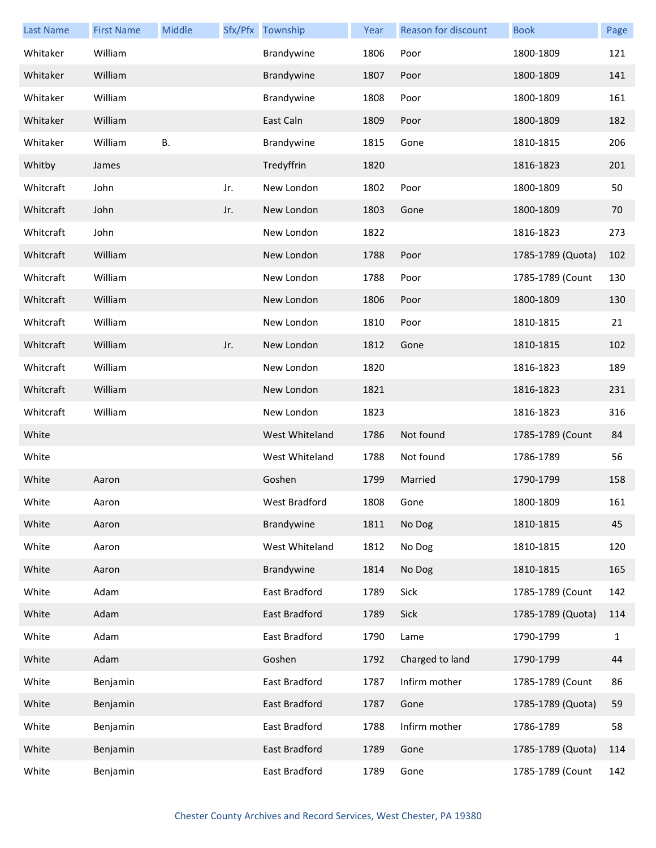| <b>Last Name</b> | <b>First Name</b> | Middle    |     | Sfx/Pfx Township | Year | Reason for discount | <b>Book</b>       | Page         |
|------------------|-------------------|-----------|-----|------------------|------|---------------------|-------------------|--------------|
| Whitaker         | William           |           |     | Brandywine       | 1806 | Poor                | 1800-1809         | 121          |
| Whitaker         | William           |           |     | Brandywine       | 1807 | Poor                | 1800-1809         | 141          |
| Whitaker         | William           |           |     | Brandywine       | 1808 | Poor                | 1800-1809         | 161          |
| Whitaker         | William           |           |     | East Caln        | 1809 | Poor                | 1800-1809         | 182          |
| Whitaker         | William           | <b>B.</b> |     | Brandywine       | 1815 | Gone                | 1810-1815         | 206          |
| Whitby           | James             |           |     | Tredyffrin       | 1820 |                     | 1816-1823         | 201          |
| Whitcraft        | John              |           | Jr. | New London       | 1802 | Poor                | 1800-1809         | 50           |
| Whitcraft        | John              |           | Jr. | New London       | 1803 | Gone                | 1800-1809         | 70           |
| Whitcraft        | John              |           |     | New London       | 1822 |                     | 1816-1823         | 273          |
| Whitcraft        | William           |           |     | New London       | 1788 | Poor                | 1785-1789 (Quota) | 102          |
| Whitcraft        | William           |           |     | New London       | 1788 | Poor                | 1785-1789 (Count  | 130          |
| Whitcraft        | William           |           |     | New London       | 1806 | Poor                | 1800-1809         | 130          |
| Whitcraft        | William           |           |     | New London       | 1810 | Poor                | 1810-1815         | 21           |
| Whitcraft        | William           |           | Jr. | New London       | 1812 | Gone                | 1810-1815         | 102          |
| Whitcraft        | William           |           |     | New London       | 1820 |                     | 1816-1823         | 189          |
| Whitcraft        | William           |           |     | New London       | 1821 |                     | 1816-1823         | 231          |
| Whitcraft        | William           |           |     | New London       | 1823 |                     | 1816-1823         | 316          |
| White            |                   |           |     | West Whiteland   | 1786 | Not found           | 1785-1789 (Count  | 84           |
| White            |                   |           |     | West Whiteland   | 1788 | Not found           | 1786-1789         | 56           |
| White            | Aaron             |           |     | Goshen           | 1799 | Married             | 1790-1799         | 158          |
| White            | Aaron             |           |     | West Bradford    | 1808 | Gone                | 1800-1809         | 161          |
| White            | Aaron             |           |     | Brandywine       | 1811 | No Dog              | 1810-1815         | 45           |
| White            | Aaron             |           |     | West Whiteland   | 1812 | No Dog              | 1810-1815         | 120          |
| White            | Aaron             |           |     | Brandywine       | 1814 | No Dog              | 1810-1815         | 165          |
| White            | Adam              |           |     | East Bradford    | 1789 | Sick                | 1785-1789 (Count  | 142          |
| White            | Adam              |           |     | East Bradford    | 1789 | Sick                | 1785-1789 (Quota) | 114          |
| White            | Adam              |           |     | East Bradford    | 1790 | Lame                | 1790-1799         | $\mathbf{1}$ |
| White            | Adam              |           |     | Goshen           | 1792 | Charged to land     | 1790-1799         | 44           |
| White            | Benjamin          |           |     | East Bradford    | 1787 | Infirm mother       | 1785-1789 (Count  | 86           |
| White            | Benjamin          |           |     | East Bradford    | 1787 | Gone                | 1785-1789 (Quota) | 59           |
| White            | Benjamin          |           |     | East Bradford    | 1788 | Infirm mother       | 1786-1789         | 58           |
| White            | Benjamin          |           |     | East Bradford    | 1789 | Gone                | 1785-1789 (Quota) | 114          |
| White            | Benjamin          |           |     | East Bradford    | 1789 | Gone                | 1785-1789 (Count  | 142          |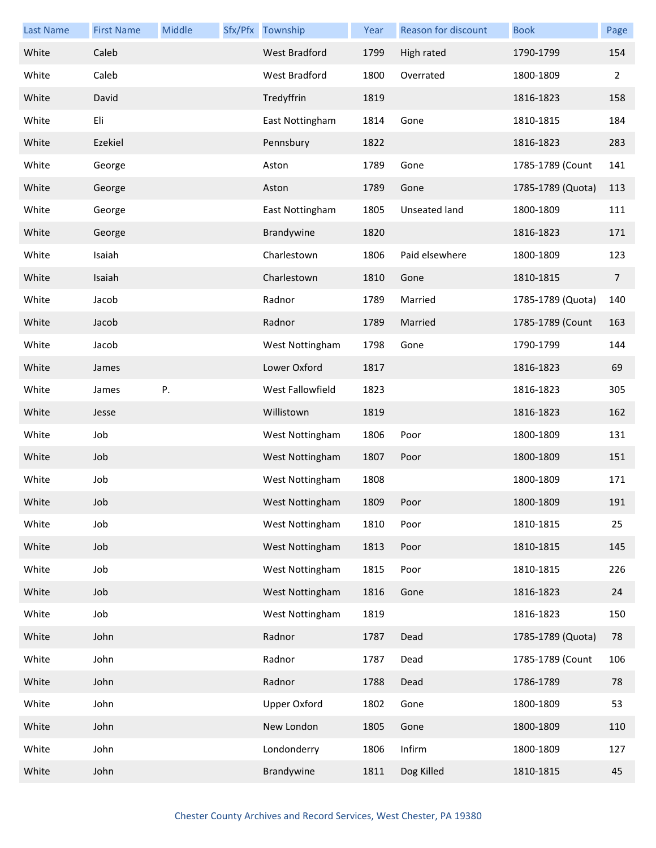| <b>Last Name</b> | <b>First Name</b> | Middle | Sfx/Pfx Township    | Year | Reason for discount | <b>Book</b>       | Page           |
|------------------|-------------------|--------|---------------------|------|---------------------|-------------------|----------------|
| White            | Caleb             |        | West Bradford       | 1799 | High rated          | 1790-1799         | 154            |
| White            | Caleb             |        | West Bradford       | 1800 | Overrated           | 1800-1809         | $\overline{2}$ |
| White            | David             |        | Tredyffrin          | 1819 |                     | 1816-1823         | 158            |
| White            | Eli               |        | East Nottingham     | 1814 | Gone                | 1810-1815         | 184            |
| White            | Ezekiel           |        | Pennsbury           | 1822 |                     | 1816-1823         | 283            |
| White            | George            |        | Aston               | 1789 | Gone                | 1785-1789 (Count  | 141            |
| White            | George            |        | Aston               | 1789 | Gone                | 1785-1789 (Quota) | 113            |
| White            | George            |        | East Nottingham     | 1805 | Unseated land       | 1800-1809         | 111            |
| White            | George            |        | Brandywine          | 1820 |                     | 1816-1823         | 171            |
| White            | Isaiah            |        | Charlestown         | 1806 | Paid elsewhere      | 1800-1809         | 123            |
| White            | Isaiah            |        | Charlestown         | 1810 | Gone                | 1810-1815         | $\overline{7}$ |
| White            | Jacob             |        | Radnor              | 1789 | Married             | 1785-1789 (Quota) | 140            |
| White            | Jacob             |        | Radnor              | 1789 | Married             | 1785-1789 (Count  | 163            |
| White            | Jacob             |        | West Nottingham     | 1798 | Gone                | 1790-1799         | 144            |
| White            | James             |        | Lower Oxford        | 1817 |                     | 1816-1823         | 69             |
| White            | James             | Ρ.     | West Fallowfield    | 1823 |                     | 1816-1823         | 305            |
| White            | Jesse             |        | Willistown          | 1819 |                     | 1816-1823         | 162            |
| White            | Job               |        | West Nottingham     | 1806 | Poor                | 1800-1809         | 131            |
| White            | Job               |        | West Nottingham     | 1807 | Poor                | 1800-1809         | 151            |
| White            | Job               |        | West Nottingham     | 1808 |                     | 1800-1809         | 171            |
| White            | Job               |        | West Nottingham     | 1809 | Poor                | 1800-1809         | 191            |
| White            | Job               |        | West Nottingham     | 1810 | Poor                | 1810-1815         | 25             |
| White            | Job               |        | West Nottingham     | 1813 | Poor                | 1810-1815         | 145            |
| White            | Job               |        | West Nottingham     | 1815 | Poor                | 1810-1815         | 226            |
| White            | Job               |        | West Nottingham     | 1816 | Gone                | 1816-1823         | 24             |
| White            | Job               |        | West Nottingham     | 1819 |                     | 1816-1823         | 150            |
| White            | John              |        | Radnor              | 1787 | Dead                | 1785-1789 (Quota) | 78             |
| White            | John              |        | Radnor              | 1787 | Dead                | 1785-1789 (Count  | 106            |
| White            | John              |        | Radnor              | 1788 | Dead                | 1786-1789         | 78             |
| White            | John              |        | <b>Upper Oxford</b> | 1802 | Gone                | 1800-1809         | 53             |
| White            | John              |        | New London          | 1805 | Gone                | 1800-1809         | 110            |
| White            | John              |        | Londonderry         | 1806 | Infirm              | 1800-1809         | 127            |
| White            | John              |        | Brandywine          | 1811 | Dog Killed          | 1810-1815         | 45             |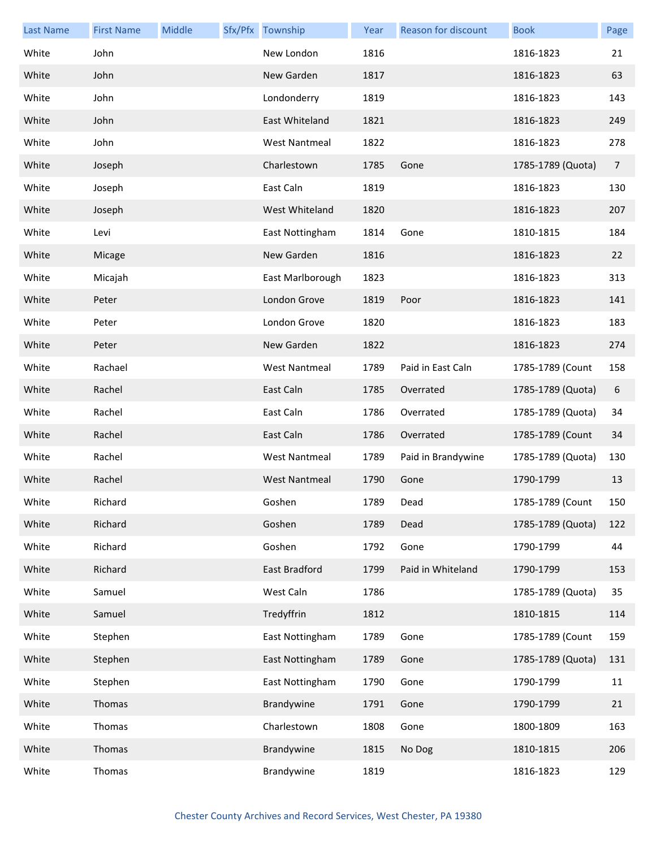| <b>Last Name</b> | <b>First Name</b> | Middle | Sfx/Pfx Township     | Year | Reason for discount | <b>Book</b>       | Page           |
|------------------|-------------------|--------|----------------------|------|---------------------|-------------------|----------------|
| White            | John              |        | New London           | 1816 |                     | 1816-1823         | 21             |
| White            | John              |        | New Garden           | 1817 |                     | 1816-1823         | 63             |
| White            | John              |        | Londonderry          | 1819 |                     | 1816-1823         | 143            |
| White            | John              |        | East Whiteland       | 1821 |                     | 1816-1823         | 249            |
| White            | John              |        | <b>West Nantmeal</b> | 1822 |                     | 1816-1823         | 278            |
| White            | Joseph            |        | Charlestown          | 1785 | Gone                | 1785-1789 (Quota) | $\overline{7}$ |
| White            | Joseph            |        | East Caln            | 1819 |                     | 1816-1823         | 130            |
| White            | Joseph            |        | West Whiteland       | 1820 |                     | 1816-1823         | 207            |
| White            | Levi              |        | East Nottingham      | 1814 | Gone                | 1810-1815         | 184            |
| White            | Micage            |        | New Garden           | 1816 |                     | 1816-1823         | 22             |
| White            | Micajah           |        | East Marlborough     | 1823 |                     | 1816-1823         | 313            |
| White            | Peter             |        | London Grove         | 1819 | Poor                | 1816-1823         | 141            |
| White            | Peter             |        | London Grove         | 1820 |                     | 1816-1823         | 183            |
| White            | Peter             |        | New Garden           | 1822 |                     | 1816-1823         | 274            |
| White            | Rachael           |        | <b>West Nantmeal</b> | 1789 | Paid in East Caln   | 1785-1789 (Count  | 158            |
| White            | Rachel            |        | East Caln            | 1785 | Overrated           | 1785-1789 (Quota) | 6              |
| White            | Rachel            |        | East Caln            | 1786 | Overrated           | 1785-1789 (Quota) | 34             |
| White            | Rachel            |        | East Caln            | 1786 | Overrated           | 1785-1789 (Count  | 34             |
| White            | Rachel            |        | <b>West Nantmeal</b> | 1789 | Paid in Brandywine  | 1785-1789 (Quota) | 130            |
| White            | Rachel            |        | <b>West Nantmeal</b> | 1790 | Gone                | 1790-1799         | 13             |
| White            | Richard           |        | Goshen               | 1789 | Dead                | 1785-1789 (Count  | 150            |
| White            | Richard           |        | Goshen               | 1789 | Dead                | 1785-1789 (Quota) | 122            |
| White            | Richard           |        | Goshen               | 1792 | Gone                | 1790-1799         | 44             |
| White            | Richard           |        | East Bradford        | 1799 | Paid in Whiteland   | 1790-1799         | 153            |
| White            | Samuel            |        | West Caln            | 1786 |                     | 1785-1789 (Quota) | 35             |
| White            | Samuel            |        | Tredyffrin           | 1812 |                     | 1810-1815         | 114            |
| White            | Stephen           |        | East Nottingham      | 1789 | Gone                | 1785-1789 (Count  | 159            |
| White            | Stephen           |        | East Nottingham      | 1789 | Gone                | 1785-1789 (Quota) | 131            |
| White            | Stephen           |        | East Nottingham      | 1790 | Gone                | 1790-1799         | 11             |
| White            | Thomas            |        | Brandywine           | 1791 | Gone                | 1790-1799         | 21             |
| White            | Thomas            |        | Charlestown          | 1808 | Gone                | 1800-1809         | 163            |
| White            | Thomas            |        | Brandywine           | 1815 | No Dog              | 1810-1815         | 206            |
| White            | Thomas            |        | Brandywine           | 1819 |                     | 1816-1823         | 129            |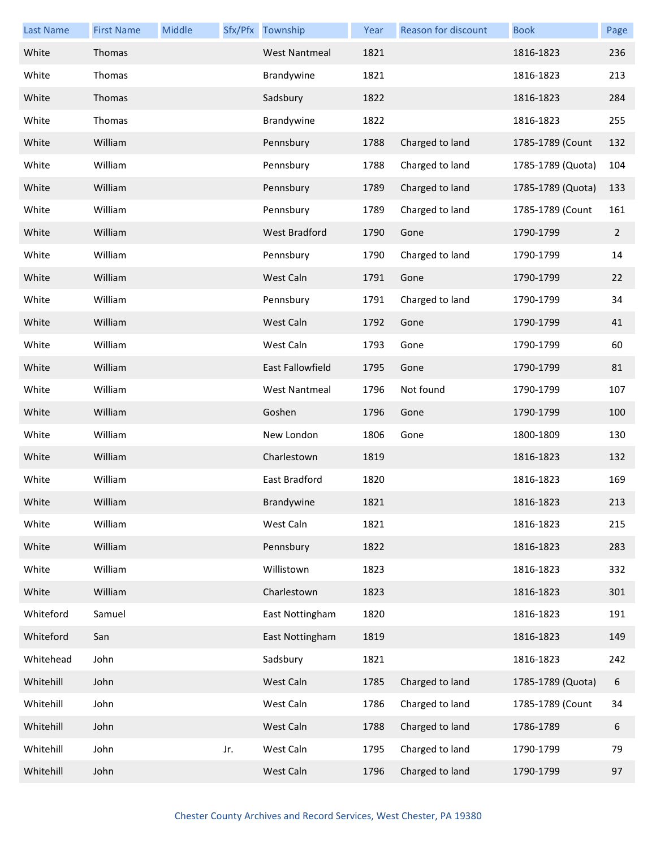| <b>Last Name</b> | <b>First Name</b> | Middle |     | Sfx/Pfx Township        | Year | Reason for discount | <b>Book</b>       | Page           |
|------------------|-------------------|--------|-----|-------------------------|------|---------------------|-------------------|----------------|
| White            | Thomas            |        |     | <b>West Nantmeal</b>    | 1821 |                     | 1816-1823         | 236            |
| White            | Thomas            |        |     | Brandywine              | 1821 |                     | 1816-1823         | 213            |
| White            | Thomas            |        |     | Sadsbury                | 1822 |                     | 1816-1823         | 284            |
| White            | Thomas            |        |     | Brandywine              | 1822 |                     | 1816-1823         | 255            |
| White            | William           |        |     | Pennsbury               | 1788 | Charged to land     | 1785-1789 (Count  | 132            |
| White            | William           |        |     | Pennsbury               | 1788 | Charged to land     | 1785-1789 (Quota) | 104            |
| White            | William           |        |     | Pennsbury               | 1789 | Charged to land     | 1785-1789 (Quota) | 133            |
| White            | William           |        |     | Pennsbury               | 1789 | Charged to land     | 1785-1789 (Count  | 161            |
| White            | William           |        |     | <b>West Bradford</b>    | 1790 | Gone                | 1790-1799         | $\overline{2}$ |
| White            | William           |        |     | Pennsbury               | 1790 | Charged to land     | 1790-1799         | 14             |
| White            | William           |        |     | West Caln               | 1791 | Gone                | 1790-1799         | 22             |
| White            | William           |        |     | Pennsbury               | 1791 | Charged to land     | 1790-1799         | 34             |
| White            | William           |        |     | West Caln               | 1792 | Gone                | 1790-1799         | 41             |
| White            | William           |        |     | West Caln               | 1793 | Gone                | 1790-1799         | 60             |
| White            | William           |        |     | <b>East Fallowfield</b> | 1795 | Gone                | 1790-1799         | 81             |
| White            | William           |        |     | <b>West Nantmeal</b>    | 1796 | Not found           | 1790-1799         | 107            |
| White            | William           |        |     | Goshen                  | 1796 | Gone                | 1790-1799         | 100            |
| White            | William           |        |     | New London              | 1806 | Gone                | 1800-1809         | 130            |
| White            | William           |        |     | Charlestown             | 1819 |                     | 1816-1823         | 132            |
| White            | William           |        |     | <b>East Bradford</b>    | 1820 |                     | 1816-1823         | 169            |
| White            | William           |        |     | Brandywine              | 1821 |                     | 1816-1823         | 213            |
| White            | William           |        |     | West Caln               | 1821 |                     | 1816-1823         | 215            |
| White            | William           |        |     | Pennsbury               | 1822 |                     | 1816-1823         | 283            |
| White            | William           |        |     | Willistown              | 1823 |                     | 1816-1823         | 332            |
| White            | William           |        |     | Charlestown             | 1823 |                     | 1816-1823         | 301            |
| Whiteford        | Samuel            |        |     | East Nottingham         | 1820 |                     | 1816-1823         | 191            |
| Whiteford        | San               |        |     | East Nottingham         | 1819 |                     | 1816-1823         | 149            |
| Whitehead        | John              |        |     | Sadsbury                | 1821 |                     | 1816-1823         | 242            |
| Whitehill        | John              |        |     | West Caln               | 1785 | Charged to land     | 1785-1789 (Quota) | 6              |
| Whitehill        | John              |        |     | West Caln               | 1786 | Charged to land     | 1785-1789 (Count  | 34             |
| Whitehill        | John              |        |     | West Caln               | 1788 | Charged to land     | 1786-1789         | 6              |
| Whitehill        | John              |        | Jr. | West Caln               | 1795 | Charged to land     | 1790-1799         | 79             |
| Whitehill        | John              |        |     | West Caln               | 1796 | Charged to land     | 1790-1799         | 97             |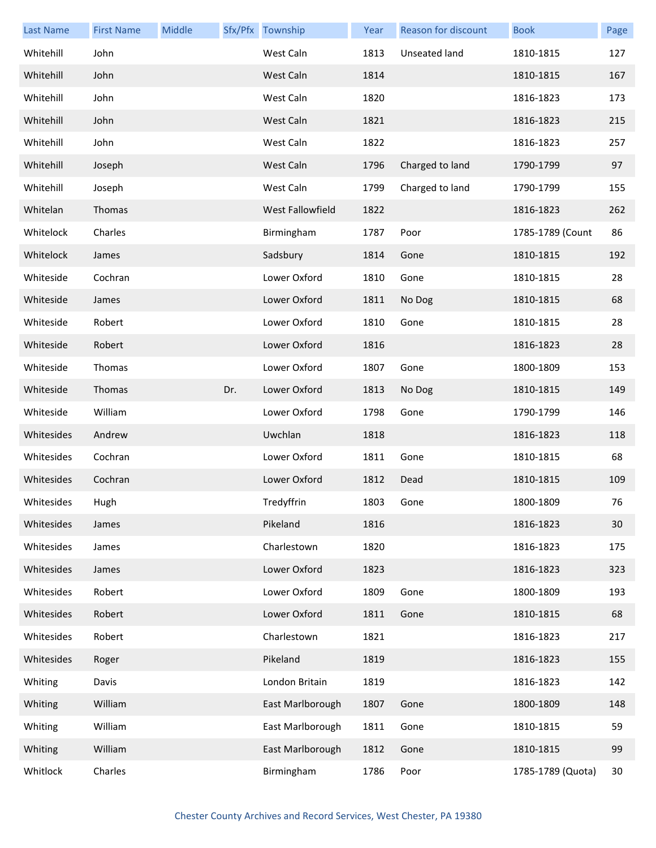| <b>Last Name</b> | <b>First Name</b> | Middle |     | Sfx/Pfx Township | Year | Reason for discount | <b>Book</b>       | Page |
|------------------|-------------------|--------|-----|------------------|------|---------------------|-------------------|------|
| Whitehill        | John              |        |     | West Caln        | 1813 | Unseated land       | 1810-1815         | 127  |
| Whitehill        | John              |        |     | West Caln        | 1814 |                     | 1810-1815         | 167  |
| Whitehill        | John              |        |     | West Caln        | 1820 |                     | 1816-1823         | 173  |
| Whitehill        | John              |        |     | West Caln        | 1821 |                     | 1816-1823         | 215  |
| Whitehill        | John              |        |     | West Caln        | 1822 |                     | 1816-1823         | 257  |
| Whitehill        | Joseph            |        |     | West Caln        | 1796 | Charged to land     | 1790-1799         | 97   |
| Whitehill        | Joseph            |        |     | West Caln        | 1799 | Charged to land     | 1790-1799         | 155  |
| Whitelan         | Thomas            |        |     | West Fallowfield | 1822 |                     | 1816-1823         | 262  |
| Whitelock        | Charles           |        |     | Birmingham       | 1787 | Poor                | 1785-1789 (Count  | 86   |
| Whitelock        | James             |        |     | Sadsbury         | 1814 | Gone                | 1810-1815         | 192  |
| Whiteside        | Cochran           |        |     | Lower Oxford     | 1810 | Gone                | 1810-1815         | 28   |
| Whiteside        | James             |        |     | Lower Oxford     | 1811 | No Dog              | 1810-1815         | 68   |
| Whiteside        | Robert            |        |     | Lower Oxford     | 1810 | Gone                | 1810-1815         | 28   |
| Whiteside        | Robert            |        |     | Lower Oxford     | 1816 |                     | 1816-1823         | 28   |
| Whiteside        | Thomas            |        |     | Lower Oxford     | 1807 | Gone                | 1800-1809         | 153  |
| Whiteside        | Thomas            |        | Dr. | Lower Oxford     | 1813 | No Dog              | 1810-1815         | 149  |
| Whiteside        | William           |        |     | Lower Oxford     | 1798 | Gone                | 1790-1799         | 146  |
| Whitesides       | Andrew            |        |     | Uwchlan          | 1818 |                     | 1816-1823         | 118  |
| Whitesides       | Cochran           |        |     | Lower Oxford     | 1811 | Gone                | 1810-1815         | 68   |
| Whitesides       | Cochran           |        |     | Lower Oxford     | 1812 | Dead                | 1810-1815         | 109  |
| Whitesides       | Hugh              |        |     | Tredyffrin       | 1803 | Gone                | 1800-1809         | 76   |
| Whitesides       | James             |        |     | Pikeland         | 1816 |                     | 1816-1823         | 30   |
| Whitesides       | James             |        |     | Charlestown      | 1820 |                     | 1816-1823         | 175  |
| Whitesides       | James             |        |     | Lower Oxford     | 1823 |                     | 1816-1823         | 323  |
| Whitesides       | Robert            |        |     | Lower Oxford     | 1809 | Gone                | 1800-1809         | 193  |
| Whitesides       | Robert            |        |     | Lower Oxford     | 1811 | Gone                | 1810-1815         | 68   |
| Whitesides       | Robert            |        |     | Charlestown      | 1821 |                     | 1816-1823         | 217  |
| Whitesides       | Roger             |        |     | Pikeland         | 1819 |                     | 1816-1823         | 155  |
| Whiting          | Davis             |        |     | London Britain   | 1819 |                     | 1816-1823         | 142  |
| Whiting          | William           |        |     | East Marlborough | 1807 | Gone                | 1800-1809         | 148  |
| Whiting          | William           |        |     | East Marlborough | 1811 | Gone                | 1810-1815         | 59   |
| Whiting          | William           |        |     | East Marlborough | 1812 | Gone                | 1810-1815         | 99   |
| Whitlock         | Charles           |        |     | Birmingham       | 1786 | Poor                | 1785-1789 (Quota) | 30   |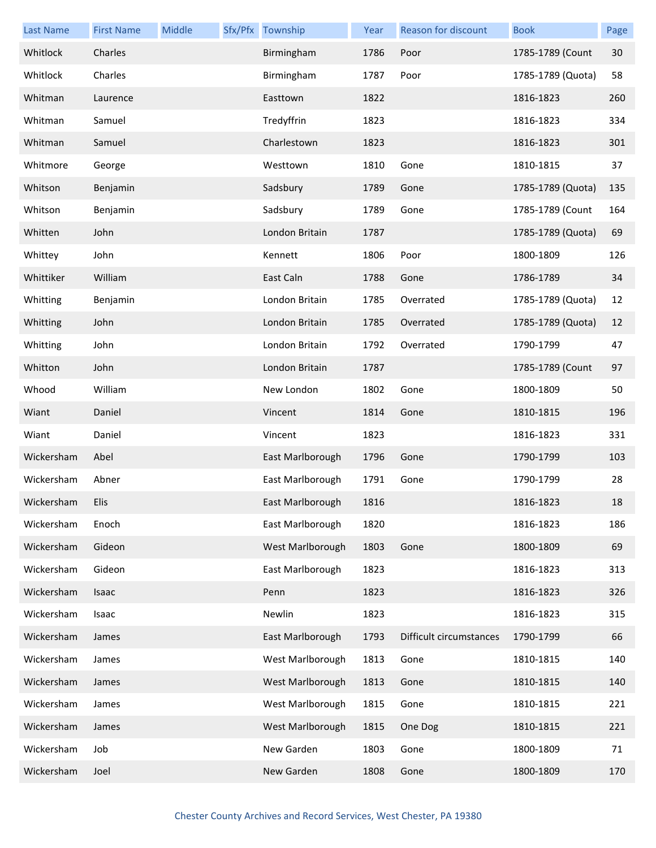| <b>Last Name</b> | <b>First Name</b> | Middle | Sfx/Pfx Township | Year | Reason for discount     | <b>Book</b>       | Page |
|------------------|-------------------|--------|------------------|------|-------------------------|-------------------|------|
| Whitlock         | Charles           |        | Birmingham       | 1786 | Poor                    | 1785-1789 (Count  | 30   |
| Whitlock         | Charles           |        | Birmingham       | 1787 | Poor                    | 1785-1789 (Quota) | 58   |
| Whitman          | Laurence          |        | Easttown         | 1822 |                         | 1816-1823         | 260  |
| Whitman          | Samuel            |        | Tredyffrin       | 1823 |                         | 1816-1823         | 334  |
| Whitman          | Samuel            |        | Charlestown      | 1823 |                         | 1816-1823         | 301  |
| Whitmore         | George            |        | Westtown         | 1810 | Gone                    | 1810-1815         | 37   |
| Whitson          | Benjamin          |        | Sadsbury         | 1789 | Gone                    | 1785-1789 (Quota) | 135  |
| Whitson          | Benjamin          |        | Sadsbury         | 1789 | Gone                    | 1785-1789 (Count  | 164  |
| Whitten          | John              |        | London Britain   | 1787 |                         | 1785-1789 (Quota) | 69   |
| Whittey          | John              |        | Kennett          | 1806 | Poor                    | 1800-1809         | 126  |
| Whittiker        | William           |        | East Caln        | 1788 | Gone                    | 1786-1789         | 34   |
| Whitting         | Benjamin          |        | London Britain   | 1785 | Overrated               | 1785-1789 (Quota) | 12   |
| Whitting         | John              |        | London Britain   | 1785 | Overrated               | 1785-1789 (Quota) | 12   |
| Whitting         | John              |        | London Britain   | 1792 | Overrated               | 1790-1799         | 47   |
| Whitton          | John              |        | London Britain   | 1787 |                         | 1785-1789 (Count  | 97   |
| Whood            | William           |        | New London       | 1802 | Gone                    | 1800-1809         | 50   |
| Wiant            | Daniel            |        | Vincent          | 1814 | Gone                    | 1810-1815         | 196  |
| Wiant            | Daniel            |        | Vincent          | 1823 |                         | 1816-1823         | 331  |
| Wickersham       | Abel              |        | East Marlborough | 1796 | Gone                    | 1790-1799         | 103  |
| Wickersham       | Abner             |        | East Marlborough | 1791 | Gone                    | 1790-1799         | 28   |
| Wickersham       | Elis              |        | East Marlborough | 1816 |                         | 1816-1823         | 18   |
| Wickersham       | Enoch             |        | East Marlborough | 1820 |                         | 1816-1823         | 186  |
| Wickersham       | Gideon            |        | West Marlborough | 1803 | Gone                    | 1800-1809         | 69   |
| Wickersham       | Gideon            |        | East Marlborough | 1823 |                         | 1816-1823         | 313  |
| Wickersham       | Isaac             |        | Penn             | 1823 |                         | 1816-1823         | 326  |
| Wickersham       | Isaac             |        | Newlin           | 1823 |                         | 1816-1823         | 315  |
| Wickersham       | James             |        | East Marlborough | 1793 | Difficult circumstances | 1790-1799         | 66   |
| Wickersham       | James             |        | West Marlborough | 1813 | Gone                    | 1810-1815         | 140  |
| Wickersham       | James             |        | West Marlborough | 1813 | Gone                    | 1810-1815         | 140  |
| Wickersham       | James             |        | West Marlborough | 1815 | Gone                    | 1810-1815         | 221  |
| Wickersham       | James             |        | West Marlborough | 1815 | One Dog                 | 1810-1815         | 221  |
| Wickersham       | Job               |        | New Garden       | 1803 | Gone                    | 1800-1809         | 71   |
| Wickersham       | Joel              |        | New Garden       | 1808 | Gone                    | 1800-1809         | 170  |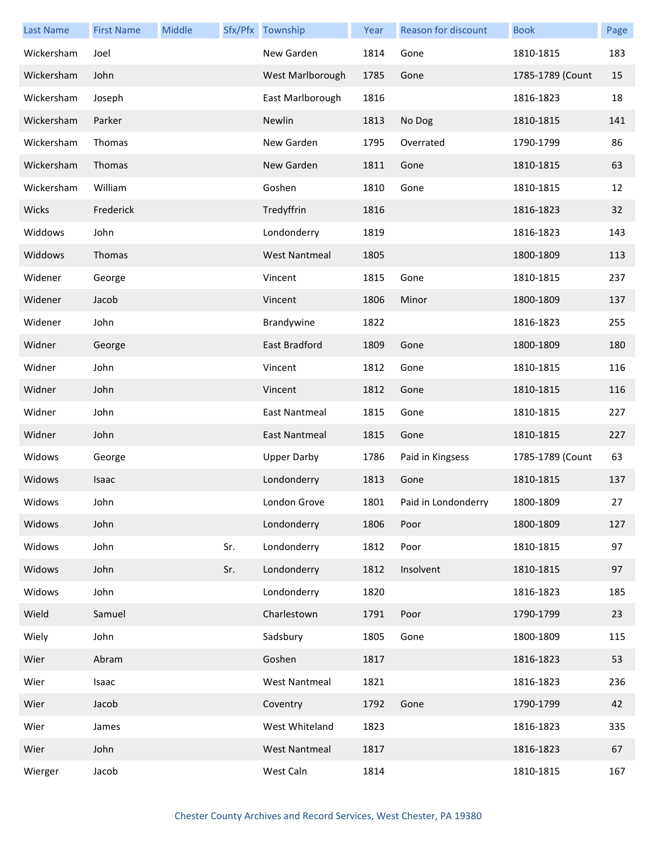| <b>Last Name</b> | <b>First Name</b> | Middle |     | Sfx/Pfx Township     | Year | Reason for discount | <b>Book</b>      | Page |
|------------------|-------------------|--------|-----|----------------------|------|---------------------|------------------|------|
| Wickersham       | Joel              |        |     | New Garden           | 1814 | Gone                | 1810-1815        | 183  |
| Wickersham       | John              |        |     | West Marlborough     | 1785 | Gone                | 1785-1789 (Count | 15   |
| Wickersham       | Joseph            |        |     | East Marlborough     | 1816 |                     | 1816-1823        | 18   |
| Wickersham       | Parker            |        |     | Newlin               | 1813 | No Dog              | 1810-1815        | 141  |
| Wickersham       | Thomas            |        |     | New Garden           | 1795 | Overrated           | 1790-1799        | 86   |
| Wickersham       | Thomas            |        |     | New Garden           | 1811 | Gone                | 1810-1815        | 63   |
| Wickersham       | William           |        |     | Goshen               | 1810 | Gone                | 1810-1815        | 12   |
| Wicks            | Frederick         |        |     | Tredyffrin           | 1816 |                     | 1816-1823        | 32   |
| Widdows          | John              |        |     | Londonderry          | 1819 |                     | 1816-1823        | 143  |
| Widdows          | Thomas            |        |     | <b>West Nantmeal</b> | 1805 |                     | 1800-1809        | 113  |
| Widener          | George            |        |     | Vincent              | 1815 | Gone                | 1810-1815        | 237  |
| Widener          | Jacob             |        |     | Vincent              | 1806 | Minor               | 1800-1809        | 137  |
| Widener          | John              |        |     | Brandywine           | 1822 |                     | 1816-1823        | 255  |
| Widner           | George            |        |     | East Bradford        | 1809 | Gone                | 1800-1809        | 180  |
| Widner           | John              |        |     | Vincent              | 1812 | Gone                | 1810-1815        | 116  |
| Widner           | John              |        |     | Vincent              | 1812 | Gone                | 1810-1815        | 116  |
| Widner           | John              |        |     | East Nantmeal        | 1815 | Gone                | 1810-1815        | 227  |
| Widner           | John              |        |     | East Nantmeal        | 1815 | Gone                | 1810-1815        | 227  |
| Widows           | George            |        |     | <b>Upper Darby</b>   | 1786 | Paid in Kingsess    | 1785-1789 (Count | 63   |
| Widows           | Isaac             |        |     | Londonderry          | 1813 | Gone                | 1810-1815        | 137  |
| Widows           | John              |        |     | London Grove         | 1801 | Paid in Londonderry | 1800-1809        | 27   |
| Widows           | John              |        |     | Londonderry          | 1806 | Poor                | 1800-1809        | 127  |
| Widows           | John              |        | Sr. | Londonderry          | 1812 | Poor                | 1810-1815        | 97   |
| Widows           | John              |        | Sr. | Londonderry          | 1812 | Insolvent           | 1810-1815        | 97   |
| Widows           | John              |        |     | Londonderry          | 1820 |                     | 1816-1823        | 185  |
| Wield            | Samuel            |        |     | Charlestown          | 1791 | Poor                | 1790-1799        | 23   |
| Wiely            | John              |        |     | Sadsbury             | 1805 | Gone                | 1800-1809        | 115  |
| Wier             | Abram             |        |     | Goshen               | 1817 |                     | 1816-1823        | 53   |
| Wier             | Isaac             |        |     | <b>West Nantmeal</b> | 1821 |                     | 1816-1823        | 236  |
| Wier             | Jacob             |        |     | Coventry             | 1792 | Gone                | 1790-1799        | 42   |
| Wier             | James             |        |     | West Whiteland       | 1823 |                     | 1816-1823        | 335  |
| Wier             | John              |        |     | <b>West Nantmeal</b> | 1817 |                     | 1816-1823        | 67   |
| Wierger          | Jacob             |        |     | West Caln            | 1814 |                     | 1810-1815        | 167  |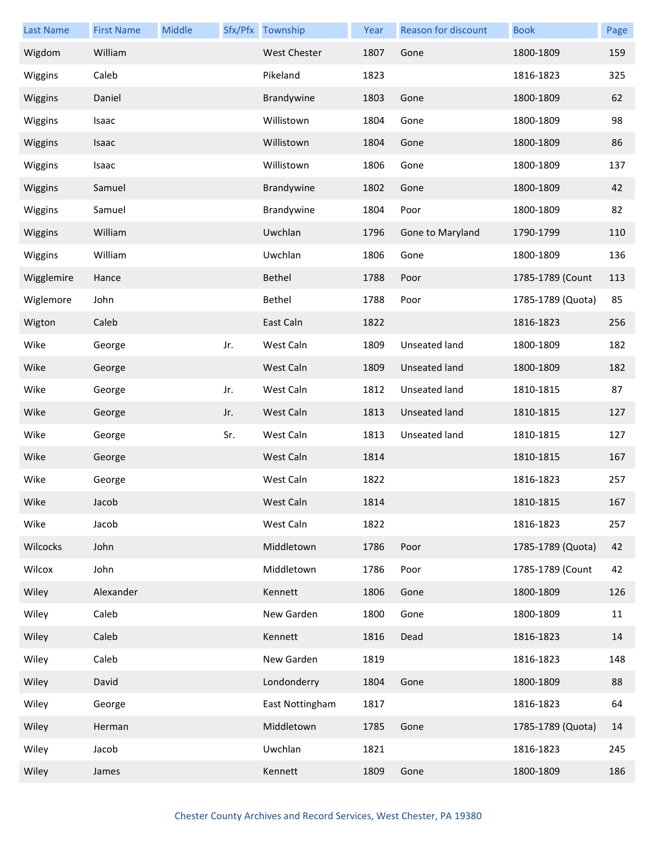| <b>Last Name</b> | <b>First Name</b> | Middle |     | Sfx/Pfx Township    | Year | Reason for discount  | <b>Book</b>       | Page |
|------------------|-------------------|--------|-----|---------------------|------|----------------------|-------------------|------|
| Wigdom           | William           |        |     | <b>West Chester</b> | 1807 | Gone                 | 1800-1809         | 159  |
| Wiggins          | Caleb             |        |     | Pikeland            | 1823 |                      | 1816-1823         | 325  |
| Wiggins          | Daniel            |        |     | Brandywine          | 1803 | Gone                 | 1800-1809         | 62   |
| Wiggins          | Isaac             |        |     | Willistown          | 1804 | Gone                 | 1800-1809         | 98   |
| Wiggins          | Isaac             |        |     | Willistown          | 1804 | Gone                 | 1800-1809         | 86   |
| Wiggins          | Isaac             |        |     | Willistown          | 1806 | Gone                 | 1800-1809         | 137  |
| Wiggins          | Samuel            |        |     | Brandywine          | 1802 | Gone                 | 1800-1809         | 42   |
| Wiggins          | Samuel            |        |     | Brandywine          | 1804 | Poor                 | 1800-1809         | 82   |
| Wiggins          | William           |        |     | Uwchlan             | 1796 | Gone to Maryland     | 1790-1799         | 110  |
| Wiggins          | William           |        |     | Uwchlan             | 1806 | Gone                 | 1800-1809         | 136  |
| Wigglemire       | Hance             |        |     | Bethel              | 1788 | Poor                 | 1785-1789 (Count  | 113  |
| Wiglemore        | John              |        |     | Bethel              | 1788 | Poor                 | 1785-1789 (Quota) | 85   |
| Wigton           | Caleb             |        |     | East Caln           | 1822 |                      | 1816-1823         | 256  |
| Wike             | George            |        | Jr. | West Caln           | 1809 | Unseated land        | 1800-1809         | 182  |
| Wike             | George            |        |     | West Caln           | 1809 | <b>Unseated land</b> | 1800-1809         | 182  |
| Wike             | George            |        | Jr. | West Caln           | 1812 | <b>Unseated land</b> | 1810-1815         | 87   |
| Wike             | George            |        | Jr. | West Caln           | 1813 | Unseated land        | 1810-1815         | 127  |
| Wike             | George            |        | Sr. | West Caln           | 1813 | Unseated land        | 1810-1815         | 127  |
| Wike             | George            |        |     | West Caln           | 1814 |                      | 1810-1815         | 167  |
| Wike             | George            |        |     | West Caln           | 1822 |                      | 1816-1823         | 257  |
| Wike             | Jacob             |        |     | West Caln           | 1814 |                      | 1810-1815         | 167  |
| Wike             | Jacob             |        |     | West Caln           | 1822 |                      | 1816-1823         | 257  |
| Wilcocks         | John              |        |     | Middletown          | 1786 | Poor                 | 1785-1789 (Quota) | 42   |
| Wilcox           | John              |        |     | Middletown          | 1786 | Poor                 | 1785-1789 (Count  | 42   |
| Wiley            | Alexander         |        |     | Kennett             | 1806 | Gone                 | 1800-1809         | 126  |
| Wiley            | Caleb             |        |     | New Garden          | 1800 | Gone                 | 1800-1809         | 11   |
| Wiley            | Caleb             |        |     | Kennett             | 1816 | Dead                 | 1816-1823         | 14   |
| Wiley            | Caleb             |        |     | New Garden          | 1819 |                      | 1816-1823         | 148  |
| Wiley            | David             |        |     | Londonderry         | 1804 | Gone                 | 1800-1809         | 88   |
| Wiley            | George            |        |     | East Nottingham     | 1817 |                      | 1816-1823         | 64   |
| Wiley            | Herman            |        |     | Middletown          | 1785 | Gone                 | 1785-1789 (Quota) | 14   |
| Wiley            | Jacob             |        |     | Uwchlan             | 1821 |                      | 1816-1823         | 245  |
| Wiley            | James             |        |     | Kennett             | 1809 | Gone                 | 1800-1809         | 186  |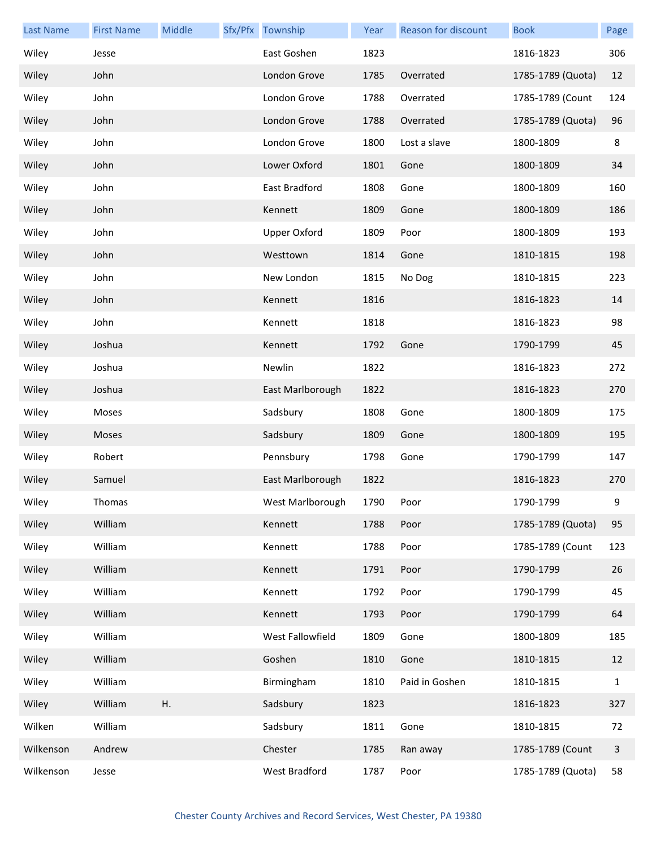| <b>Last Name</b> | <b>First Name</b> | Middle | Sfx/Pfx Township    | Year | Reason for discount | <b>Book</b>       | Page |
|------------------|-------------------|--------|---------------------|------|---------------------|-------------------|------|
| Wiley            | Jesse             |        | East Goshen         | 1823 |                     | 1816-1823         | 306  |
| Wiley            | John              |        | London Grove        | 1785 | Overrated           | 1785-1789 (Quota) | 12   |
| Wiley            | John              |        | London Grove        | 1788 | Overrated           | 1785-1789 (Count  | 124  |
| Wiley            | John              |        | London Grove        | 1788 | Overrated           | 1785-1789 (Quota) | 96   |
| Wiley            | John              |        | London Grove        | 1800 | Lost a slave        | 1800-1809         | 8    |
| Wiley            | John              |        | Lower Oxford        | 1801 | Gone                | 1800-1809         | 34   |
| Wiley            | John              |        | East Bradford       | 1808 | Gone                | 1800-1809         | 160  |
| Wiley            | John              |        | Kennett             | 1809 | Gone                | 1800-1809         | 186  |
| Wiley            | John              |        | <b>Upper Oxford</b> | 1809 | Poor                | 1800-1809         | 193  |
| Wiley            | John              |        | Westtown            | 1814 | Gone                | 1810-1815         | 198  |
| Wiley            | John              |        | New London          | 1815 | No Dog              | 1810-1815         | 223  |
| Wiley            | John              |        | Kennett             | 1816 |                     | 1816-1823         | 14   |
| Wiley            | John              |        | Kennett             | 1818 |                     | 1816-1823         | 98   |
| Wiley            | Joshua            |        | Kennett             | 1792 | Gone                | 1790-1799         | 45   |
| Wiley            | Joshua            |        | Newlin              | 1822 |                     | 1816-1823         | 272  |
| Wiley            | Joshua            |        | East Marlborough    | 1822 |                     | 1816-1823         | 270  |
| Wiley            | Moses             |        | Sadsbury            | 1808 | Gone                | 1800-1809         | 175  |
| Wiley            | Moses             |        | Sadsbury            | 1809 | Gone                | 1800-1809         | 195  |
| Wiley            | Robert            |        | Pennsbury           | 1798 | Gone                | 1790-1799         | 147  |
| Wiley            | Samuel            |        | East Marlborough    | 1822 |                     | 1816-1823         | 270  |
| Wiley            | Thomas            |        | West Marlborough    | 1790 | Poor                | 1790-1799         | 9    |
| Wiley            | William           |        | Kennett             | 1788 | Poor                | 1785-1789 (Quota) | 95   |
| Wiley            | William           |        | Kennett             | 1788 | Poor                | 1785-1789 (Count  | 123  |
| Wiley            | William           |        | Kennett             | 1791 | Poor                | 1790-1799         | 26   |
| Wiley            | William           |        | Kennett             | 1792 | Poor                | 1790-1799         | 45   |
| Wiley            | William           |        | Kennett             | 1793 | Poor                | 1790-1799         | 64   |
| Wiley            | William           |        | West Fallowfield    | 1809 | Gone                | 1800-1809         | 185  |
| Wiley            | William           |        | Goshen              | 1810 | Gone                | 1810-1815         | 12   |
| Wiley            | William           |        | Birmingham          | 1810 | Paid in Goshen      | 1810-1815         | 1    |
| Wiley            | William           | Η.     | Sadsbury            | 1823 |                     | 1816-1823         | 327  |
| Wilken           | William           |        | Sadsbury            | 1811 | Gone                | 1810-1815         | 72   |
| Wilkenson        | Andrew            |        | Chester             | 1785 | Ran away            | 1785-1789 (Count  | 3    |
| Wilkenson        | Jesse             |        | West Bradford       | 1787 | Poor                | 1785-1789 (Quota) | 58   |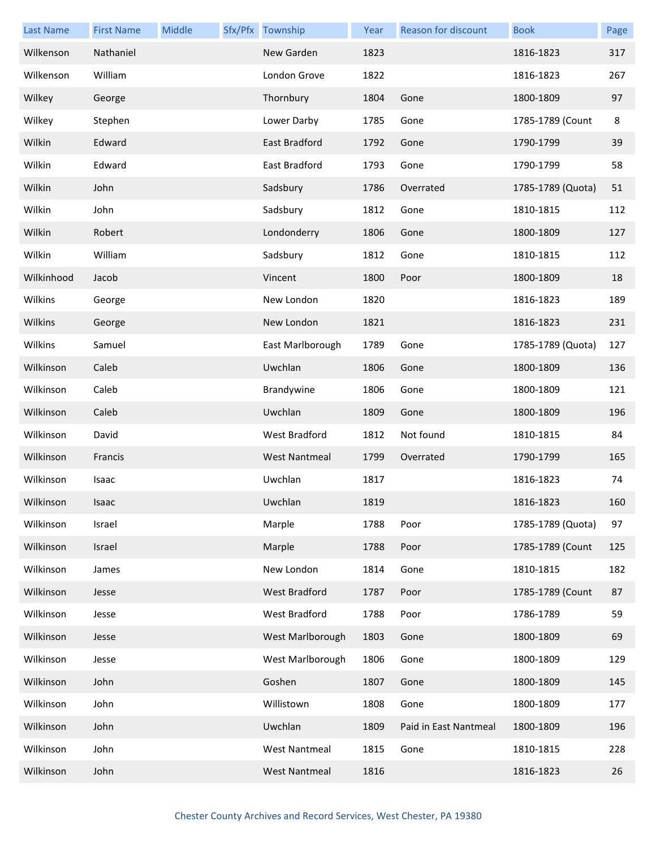| <b>Last Name</b> | <b>First Name</b> | Middle | Sfx/Pfx Township     | Year | Reason for discount   | <b>Book</b>       | Page |
|------------------|-------------------|--------|----------------------|------|-----------------------|-------------------|------|
| Wilkenson        | Nathaniel         |        | New Garden           | 1823 |                       | 1816-1823         | 317  |
| Wilkenson        | William           |        | London Grove         | 1822 |                       | 1816-1823         | 267  |
| Wilkey           | George            |        | Thornbury            | 1804 | Gone                  | 1800-1809         | 97   |
| Wilkey           | Stephen           |        | Lower Darby          | 1785 | Gone                  | 1785-1789 (Count  | 8    |
| Wilkin           | Edward            |        | East Bradford        | 1792 | Gone                  | 1790-1799         | 39   |
| Wilkin           | Edward            |        | East Bradford        | 1793 | Gone                  | 1790-1799         | 58   |
| Wilkin           | John              |        | Sadsbury             | 1786 | Overrated             | 1785-1789 (Quota) | 51   |
| Wilkin           | John              |        | Sadsbury             | 1812 | Gone                  | 1810-1815         | 112  |
| Wilkin           | Robert            |        | Londonderry          | 1806 | Gone                  | 1800-1809         | 127  |
| Wilkin           | William           |        | Sadsbury             | 1812 | Gone                  | 1810-1815         | 112  |
| Wilkinhood       | Jacob             |        | Vincent              | 1800 | Poor                  | 1800-1809         | 18   |
| Wilkins          | George            |        | New London           | 1820 |                       | 1816-1823         | 189  |
| Wilkins          | George            |        | New London           | 1821 |                       | 1816-1823         | 231  |
| Wilkins          | Samuel            |        | East Marlborough     | 1789 | Gone                  | 1785-1789 (Quota) | 127  |
| Wilkinson        | Caleb             |        | Uwchlan              | 1806 | Gone                  | 1800-1809         | 136  |
| Wilkinson        | Caleb             |        | Brandywine           | 1806 | Gone                  | 1800-1809         | 121  |
| Wilkinson        | Caleb             |        | Uwchlan              | 1809 | Gone                  | 1800-1809         | 196  |
| Wilkinson        | David             |        | <b>West Bradford</b> | 1812 | Not found             | 1810-1815         | 84   |
| Wilkinson        | Francis           |        | <b>West Nantmeal</b> | 1799 | Overrated             | 1790-1799         | 165  |
| Wilkinson        | Isaac             |        | Uwchlan              | 1817 |                       | 1816-1823         | 74   |
| Wilkinson        | Isaac             |        | Uwchlan              | 1819 |                       | 1816-1823         | 160  |
| Wilkinson        | Israel            |        | Marple               | 1788 | Poor                  | 1785-1789 (Quota) | 97   |
| Wilkinson        | Israel            |        | Marple               | 1788 | Poor                  | 1785-1789 (Count  | 125  |
| Wilkinson        | James             |        | New London           | 1814 | Gone                  | 1810-1815         | 182  |
| Wilkinson        | Jesse             |        | <b>West Bradford</b> | 1787 | Poor                  | 1785-1789 (Count  | 87   |
| Wilkinson        | Jesse             |        | West Bradford        | 1788 | Poor                  | 1786-1789         | 59   |
| Wilkinson        | Jesse             |        | West Marlborough     | 1803 | Gone                  | 1800-1809         | 69   |
| Wilkinson        | Jesse             |        | West Marlborough     | 1806 | Gone                  | 1800-1809         | 129  |
| Wilkinson        | John              |        | Goshen               | 1807 | Gone                  | 1800-1809         | 145  |
| Wilkinson        | John              |        | Willistown           | 1808 | Gone                  | 1800-1809         | 177  |
| Wilkinson        | John              |        | Uwchlan              | 1809 | Paid in East Nantmeal | 1800-1809         | 196  |
| Wilkinson        | John              |        | <b>West Nantmeal</b> | 1815 | Gone                  | 1810-1815         | 228  |
| Wilkinson        | John              |        | <b>West Nantmeal</b> | 1816 |                       | 1816-1823         | 26   |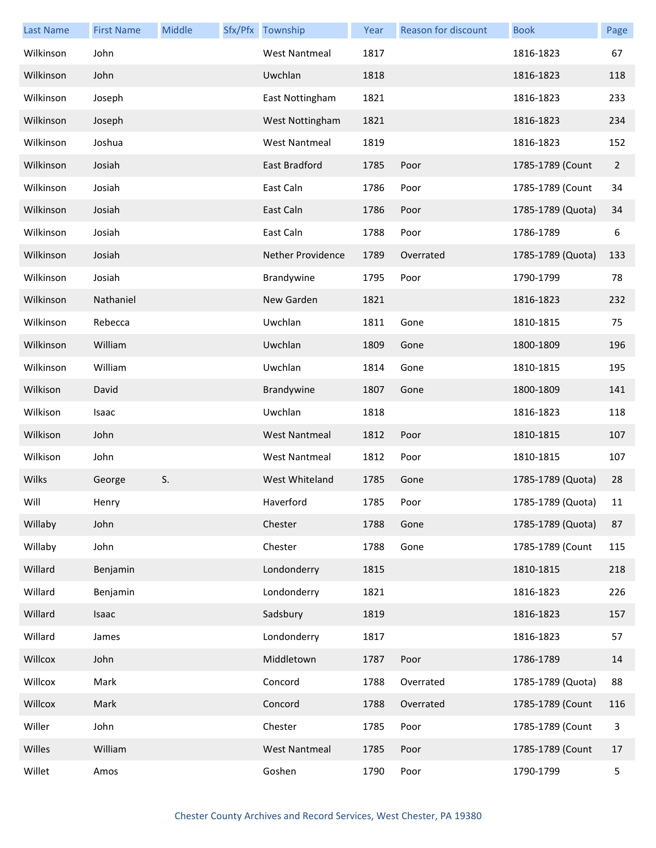| <b>Last Name</b> | <b>First Name</b> | Middle | Sfx/Pfx Township     | Year | Reason for discount | <b>Book</b>       | Page           |
|------------------|-------------------|--------|----------------------|------|---------------------|-------------------|----------------|
| Wilkinson        | John              |        | <b>West Nantmeal</b> | 1817 |                     | 1816-1823         | 67             |
| Wilkinson        | John              |        | Uwchlan              | 1818 |                     | 1816-1823         | 118            |
| Wilkinson        | Joseph            |        | East Nottingham      | 1821 |                     | 1816-1823         | 233            |
| Wilkinson        | Joseph            |        | West Nottingham      | 1821 |                     | 1816-1823         | 234            |
| Wilkinson        | Joshua            |        | <b>West Nantmeal</b> | 1819 |                     | 1816-1823         | 152            |
| Wilkinson        | Josiah            |        | East Bradford        | 1785 | Poor                | 1785-1789 (Count  | $\overline{2}$ |
| Wilkinson        | Josiah            |        | East Caln            | 1786 | Poor                | 1785-1789 (Count  | 34             |
| Wilkinson        | Josiah            |        | East Caln            | 1786 | Poor                | 1785-1789 (Quota) | 34             |
| Wilkinson        | Josiah            |        | East Caln            | 1788 | Poor                | 1786-1789         | 6              |
| Wilkinson        | Josiah            |        | Nether Providence    | 1789 | Overrated           | 1785-1789 (Quota) | 133            |
| Wilkinson        | Josiah            |        | Brandywine           | 1795 | Poor                | 1790-1799         | 78             |
| Wilkinson        | Nathaniel         |        | New Garden           | 1821 |                     | 1816-1823         | 232            |
| Wilkinson        | Rebecca           |        | Uwchlan              | 1811 | Gone                | 1810-1815         | 75             |
| Wilkinson        | William           |        | Uwchlan              | 1809 | Gone                | 1800-1809         | 196            |
| Wilkinson        | William           |        | Uwchlan              | 1814 | Gone                | 1810-1815         | 195            |
| Wilkison         | David             |        | Brandywine           | 1807 | Gone                | 1800-1809         | 141            |
| Wilkison         | Isaac             |        | Uwchlan              | 1818 |                     | 1816-1823         | 118            |
| Wilkison         | John              |        | <b>West Nantmeal</b> | 1812 | Poor                | 1810-1815         | 107            |
| Wilkison         | John              |        | <b>West Nantmeal</b> | 1812 | Poor                | 1810-1815         | 107            |
| Wilks            | George            | S.     | West Whiteland       | 1785 | Gone                | 1785-1789 (Quota) | 28             |
| Will             | Henry             |        | Haverford            | 1785 | Poor                | 1785-1789 (Quota) | 11             |
| Willaby          | John              |        | Chester              | 1788 | Gone                | 1785-1789 (Quota) | 87             |
| Willaby          | John              |        | Chester              | 1788 | Gone                | 1785-1789 (Count  | 115            |
| Willard          | Benjamin          |        | Londonderry          | 1815 |                     | 1810-1815         | 218            |
| Willard          | Benjamin          |        | Londonderry          | 1821 |                     | 1816-1823         | 226            |
| Willard          | Isaac             |        | Sadsbury             | 1819 |                     | 1816-1823         | 157            |
| Willard          | James             |        | Londonderry          | 1817 |                     | 1816-1823         | 57             |
| Willcox          | John              |        | Middletown           | 1787 | Poor                | 1786-1789         | 14             |
| Willcox          | Mark              |        | Concord              | 1788 | Overrated           | 1785-1789 (Quota) | 88             |
| Willcox          | Mark              |        | Concord              | 1788 | Overrated           | 1785-1789 (Count  | 116            |
| Willer           | John              |        | Chester              | 1785 | Poor                | 1785-1789 (Count  | 3              |
| Willes           | William           |        | <b>West Nantmeal</b> | 1785 | Poor                | 1785-1789 (Count  | 17             |
| Willet           | Amos              |        | Goshen               | 1790 | Poor                | 1790-1799         | 5              |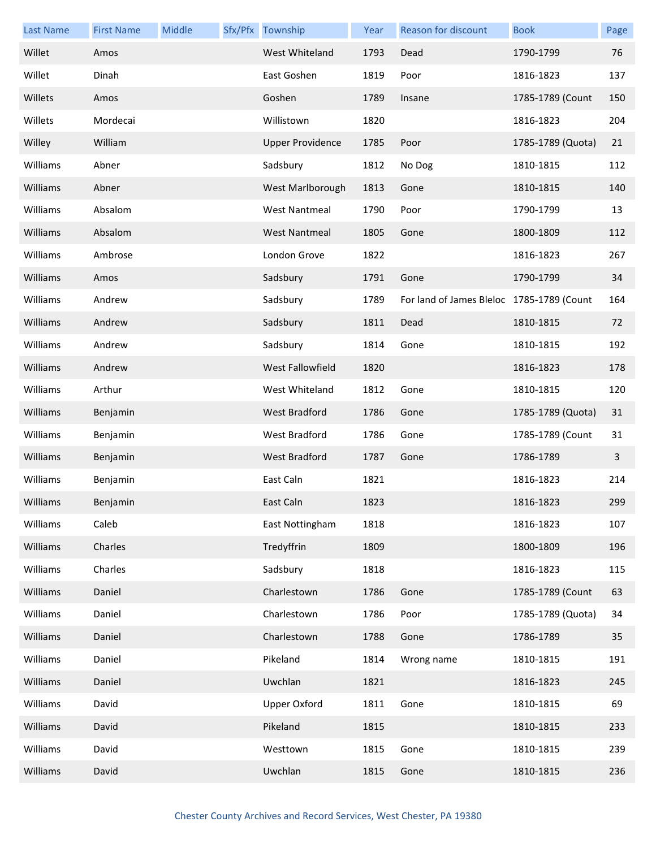| <b>Last Name</b> | <b>First Name</b> | Middle | Sfx/Pfx Township        | Year | <b>Reason for discount</b>                | <b>Book</b>       | Page |
|------------------|-------------------|--------|-------------------------|------|-------------------------------------------|-------------------|------|
| Willet           | Amos              |        | West Whiteland          | 1793 | Dead                                      | 1790-1799         | 76   |
| Willet           | Dinah             |        | East Goshen             | 1819 | Poor                                      | 1816-1823         | 137  |
| Willets          | Amos              |        | Goshen                  | 1789 | Insane                                    | 1785-1789 (Count  | 150  |
| Willets          | Mordecai          |        | Willistown              | 1820 |                                           | 1816-1823         | 204  |
| Willey           | William           |        | <b>Upper Providence</b> | 1785 | Poor                                      | 1785-1789 (Quota) | 21   |
| Williams         | Abner             |        | Sadsbury                | 1812 | No Dog                                    | 1810-1815         | 112  |
| Williams         | Abner             |        | West Marlborough        | 1813 | Gone                                      | 1810-1815         | 140  |
| Williams         | Absalom           |        | <b>West Nantmeal</b>    | 1790 | Poor                                      | 1790-1799         | 13   |
| Williams         | Absalom           |        | <b>West Nantmeal</b>    | 1805 | Gone                                      | 1800-1809         | 112  |
| Williams         | Ambrose           |        | London Grove            | 1822 |                                           | 1816-1823         | 267  |
| Williams         | Amos              |        | Sadsbury                | 1791 | Gone                                      | 1790-1799         | 34   |
| Williams         | Andrew            |        | Sadsbury                | 1789 | For land of James Bleloc 1785-1789 (Count |                   | 164  |
| Williams         | Andrew            |        | Sadsbury                | 1811 | Dead                                      | 1810-1815         | 72   |
| Williams         | Andrew            |        | Sadsbury                | 1814 | Gone                                      | 1810-1815         | 192  |
| Williams         | Andrew            |        | West Fallowfield        | 1820 |                                           | 1816-1823         | 178  |
| Williams         | Arthur            |        | West Whiteland          | 1812 | Gone                                      | 1810-1815         | 120  |
| Williams         | Benjamin          |        | <b>West Bradford</b>    | 1786 | Gone                                      | 1785-1789 (Quota) | 31   |
| Williams         | Benjamin          |        | West Bradford           | 1786 | Gone                                      | 1785-1789 (Count  | 31   |
| Williams         | Benjamin          |        | West Bradford           | 1787 | Gone                                      | 1786-1789         | 3    |
| Williams         | Benjamin          |        | East Caln               | 1821 |                                           | 1816-1823         | 214  |
| Williams         | Benjamin          |        | East Caln               | 1823 |                                           | 1816-1823         | 299  |
| Williams         | Caleb             |        | East Nottingham         | 1818 |                                           | 1816-1823         | 107  |
| Williams         | Charles           |        | Tredyffrin              | 1809 |                                           | 1800-1809         | 196  |
| Williams         | Charles           |        | Sadsbury                | 1818 |                                           | 1816-1823         | 115  |
| Williams         | Daniel            |        | Charlestown             | 1786 | Gone                                      | 1785-1789 (Count  | 63   |
| Williams         | Daniel            |        | Charlestown             | 1786 | Poor                                      | 1785-1789 (Quota) | 34   |
| Williams         | Daniel            |        | Charlestown             | 1788 | Gone                                      | 1786-1789         | 35   |
| Williams         | Daniel            |        | Pikeland                | 1814 | Wrong name                                | 1810-1815         | 191  |
| Williams         | Daniel            |        | Uwchlan                 | 1821 |                                           | 1816-1823         | 245  |
| Williams         | David             |        | <b>Upper Oxford</b>     | 1811 | Gone                                      | 1810-1815         | 69   |
| Williams         | David             |        | Pikeland                | 1815 |                                           | 1810-1815         | 233  |
| Williams         | David             |        | Westtown                | 1815 | Gone                                      | 1810-1815         | 239  |
| Williams         | David             |        | Uwchlan                 | 1815 | Gone                                      | 1810-1815         | 236  |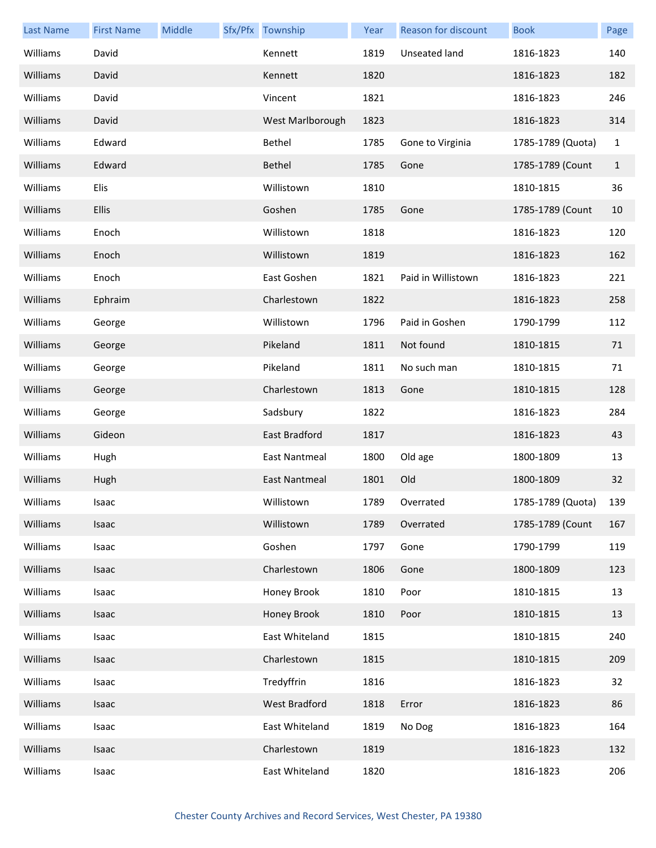| <b>Last Name</b> | <b>First Name</b> | Middle | Sfx/Pfx Township     | Year | Reason for discount | <b>Book</b>       | Page         |
|------------------|-------------------|--------|----------------------|------|---------------------|-------------------|--------------|
| Williams         | David             |        | Kennett              | 1819 | Unseated land       | 1816-1823         | 140          |
| Williams         | David             |        | Kennett              | 1820 |                     | 1816-1823         | 182          |
| Williams         | David             |        | Vincent              | 1821 |                     | 1816-1823         | 246          |
| Williams         | David             |        | West Marlborough     | 1823 |                     | 1816-1823         | 314          |
| Williams         | Edward            |        | Bethel               | 1785 | Gone to Virginia    | 1785-1789 (Quota) | $\mathbf{1}$ |
| Williams         | Edward            |        | Bethel               | 1785 | Gone                | 1785-1789 (Count  | $\mathbf{1}$ |
| Williams         | Elis              |        | Willistown           | 1810 |                     | 1810-1815         | 36           |
| Williams         | <b>Ellis</b>      |        | Goshen               | 1785 | Gone                | 1785-1789 (Count  | 10           |
| Williams         | Enoch             |        | Willistown           | 1818 |                     | 1816-1823         | 120          |
| Williams         | Enoch             |        | Willistown           | 1819 |                     | 1816-1823         | 162          |
| Williams         | Enoch             |        | East Goshen          | 1821 | Paid in Willistown  | 1816-1823         | 221          |
| Williams         | Ephraim           |        | Charlestown          | 1822 |                     | 1816-1823         | 258          |
| Williams         | George            |        | Willistown           | 1796 | Paid in Goshen      | 1790-1799         | 112          |
| Williams         | George            |        | Pikeland             | 1811 | Not found           | 1810-1815         | 71           |
| Williams         | George            |        | Pikeland             | 1811 | No such man         | 1810-1815         | 71           |
| Williams         | George            |        | Charlestown          | 1813 | Gone                | 1810-1815         | 128          |
| Williams         | George            |        | Sadsbury             | 1822 |                     | 1816-1823         | 284          |
| Williams         | Gideon            |        | East Bradford        | 1817 |                     | 1816-1823         | 43           |
| Williams         | Hugh              |        | <b>East Nantmeal</b> | 1800 | Old age             | 1800-1809         | 13           |
| Williams         | Hugh              |        | <b>East Nantmeal</b> | 1801 | Old                 | 1800-1809         | 32           |
| Williams         | Isaac             |        | Willistown           | 1789 | Overrated           | 1785-1789 (Quota) | 139          |
| Williams         | Isaac             |        | Willistown           | 1789 | Overrated           | 1785-1789 (Count  | 167          |
| Williams         | Isaac             |        | Goshen               | 1797 | Gone                | 1790-1799         | 119          |
| Williams         | Isaac             |        | Charlestown          | 1806 | Gone                | 1800-1809         | 123          |
| Williams         | Isaac             |        | Honey Brook          | 1810 | Poor                | 1810-1815         | 13           |
| Williams         | Isaac             |        | Honey Brook          | 1810 | Poor                | 1810-1815         | 13           |
| Williams         | Isaac             |        | East Whiteland       | 1815 |                     | 1810-1815         | 240          |
| Williams         | Isaac             |        | Charlestown          | 1815 |                     | 1810-1815         | 209          |
| Williams         | Isaac             |        | Tredyffrin           | 1816 |                     | 1816-1823         | 32           |
| Williams         | Isaac             |        | West Bradford        | 1818 | Error               | 1816-1823         | 86           |
| Williams         | Isaac             |        | East Whiteland       | 1819 | No Dog              | 1816-1823         | 164          |
| Williams         | Isaac             |        | Charlestown          | 1819 |                     | 1816-1823         | 132          |
| Williams         | Isaac             |        | East Whiteland       | 1820 |                     | 1816-1823         | 206          |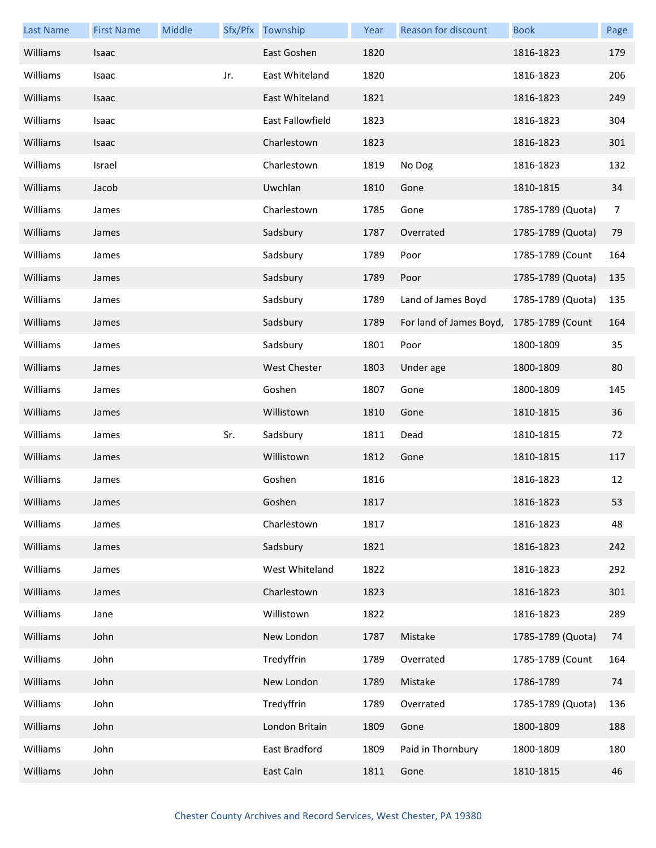| <b>Last Name</b> | <b>First Name</b> | Middle |     | Sfx/Pfx Township | Year | Reason for discount     | <b>Book</b>       | Page |
|------------------|-------------------|--------|-----|------------------|------|-------------------------|-------------------|------|
| Williams         | Isaac             |        |     | East Goshen      | 1820 |                         | 1816-1823         | 179  |
| Williams         | Isaac             |        | Jr. | East Whiteland   | 1820 |                         | 1816-1823         | 206  |
| Williams         | Isaac             |        |     | East Whiteland   | 1821 |                         | 1816-1823         | 249  |
| Williams         | Isaac             |        |     | East Fallowfield | 1823 |                         | 1816-1823         | 304  |
| Williams         | Isaac             |        |     | Charlestown      | 1823 |                         | 1816-1823         | 301  |
| Williams         | Israel            |        |     | Charlestown      | 1819 | No Dog                  | 1816-1823         | 132  |
| Williams         | Jacob             |        |     | Uwchlan          | 1810 | Gone                    | 1810-1815         | 34   |
| Williams         | James             |        |     | Charlestown      | 1785 | Gone                    | 1785-1789 (Quota) | 7    |
| Williams         | James             |        |     | Sadsbury         | 1787 | Overrated               | 1785-1789 (Quota) | 79   |
| Williams         | James             |        |     | Sadsbury         | 1789 | Poor                    | 1785-1789 (Count  | 164  |
| Williams         | James             |        |     | Sadsbury         | 1789 | Poor                    | 1785-1789 (Quota) | 135  |
| Williams         | James             |        |     | Sadsbury         | 1789 | Land of James Boyd      | 1785-1789 (Quota) | 135  |
| Williams         | James             |        |     | Sadsbury         | 1789 | For land of James Boyd, | 1785-1789 (Count  | 164  |
| Williams         | James             |        |     | Sadsbury         | 1801 | Poor                    | 1800-1809         | 35   |
| Williams         | James             |        |     | West Chester     | 1803 | Under age               | 1800-1809         | 80   |
| Williams         | James             |        |     | Goshen           | 1807 | Gone                    | 1800-1809         | 145  |
| Williams         | James             |        |     | Willistown       | 1810 | Gone                    | 1810-1815         | 36   |
| Williams         | James             |        | Sr. | Sadsbury         | 1811 | Dead                    | 1810-1815         | 72   |
| Williams         | James             |        |     | Willistown       | 1812 | Gone                    | 1810-1815         | 117  |
| Williams         | James             |        |     | Goshen           | 1816 |                         | 1816-1823         | 12   |
| Williams         | James             |        |     | Goshen           | 1817 |                         | 1816-1823         | 53   |
| Williams         | James             |        |     | Charlestown      | 1817 |                         | 1816-1823         | 48   |
| Williams         | James             |        |     | Sadsbury         | 1821 |                         | 1816-1823         | 242  |
| Williams         | James             |        |     | West Whiteland   | 1822 |                         | 1816-1823         | 292  |
| Williams         | James             |        |     | Charlestown      | 1823 |                         | 1816-1823         | 301  |
| Williams         | Jane              |        |     | Willistown       | 1822 |                         | 1816-1823         | 289  |
| Williams         | John              |        |     | New London       | 1787 | Mistake                 | 1785-1789 (Quota) | 74   |
| Williams         | John              |        |     | Tredyffrin       | 1789 | Overrated               | 1785-1789 (Count  | 164  |
| Williams         | John              |        |     | New London       | 1789 | Mistake                 | 1786-1789         | 74   |
| Williams         | John              |        |     | Tredyffrin       | 1789 | Overrated               | 1785-1789 (Quota) | 136  |
| Williams         | John              |        |     | London Britain   | 1809 | Gone                    | 1800-1809         | 188  |
| Williams         | John              |        |     | East Bradford    | 1809 | Paid in Thornbury       | 1800-1809         | 180  |
| Williams         | John              |        |     | East Caln        | 1811 | Gone                    | 1810-1815         | 46   |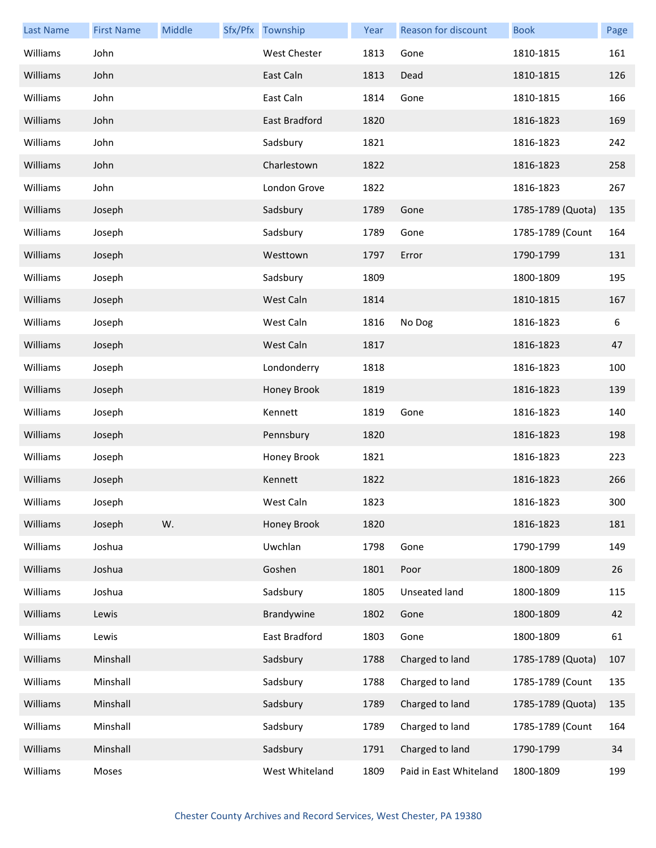| <b>Last Name</b> | <b>First Name</b> | Middle | Sfx/Pfx Township    | Year | Reason for discount    | <b>Book</b>       | Page |
|------------------|-------------------|--------|---------------------|------|------------------------|-------------------|------|
| Williams         | John              |        | <b>West Chester</b> | 1813 | Gone                   | 1810-1815         | 161  |
| Williams         | John              |        | East Caln           | 1813 | Dead                   | 1810-1815         | 126  |
| Williams         | John              |        | East Caln           | 1814 | Gone                   | 1810-1815         | 166  |
| Williams         | John              |        | East Bradford       | 1820 |                        | 1816-1823         | 169  |
| Williams         | John              |        | Sadsbury            | 1821 |                        | 1816-1823         | 242  |
| Williams         | John              |        | Charlestown         | 1822 |                        | 1816-1823         | 258  |
| Williams         | John              |        | London Grove        | 1822 |                        | 1816-1823         | 267  |
| Williams         | Joseph            |        | Sadsbury            | 1789 | Gone                   | 1785-1789 (Quota) | 135  |
| Williams         | Joseph            |        | Sadsbury            | 1789 | Gone                   | 1785-1789 (Count  | 164  |
| Williams         | Joseph            |        | Westtown            | 1797 | Error                  | 1790-1799         | 131  |
| Williams         | Joseph            |        | Sadsbury            | 1809 |                        | 1800-1809         | 195  |
| Williams         | Joseph            |        | West Caln           | 1814 |                        | 1810-1815         | 167  |
| Williams         | Joseph            |        | West Caln           | 1816 | No Dog                 | 1816-1823         | 6    |
| Williams         | Joseph            |        | West Caln           | 1817 |                        | 1816-1823         | 47   |
| Williams         | Joseph            |        | Londonderry         | 1818 |                        | 1816-1823         | 100  |
| Williams         | Joseph            |        | Honey Brook         | 1819 |                        | 1816-1823         | 139  |
| Williams         | Joseph            |        | Kennett             | 1819 | Gone                   | 1816-1823         | 140  |
| Williams         | Joseph            |        | Pennsbury           | 1820 |                        | 1816-1823         | 198  |
| Williams         | Joseph            |        | Honey Brook         | 1821 |                        | 1816-1823         | 223  |
| Williams         | Joseph            |        | Kennett             | 1822 |                        | 1816-1823         | 266  |
| Williams         | Joseph            |        | West Caln           | 1823 |                        | 1816-1823         | 300  |
| Williams         | Joseph            | W.     | Honey Brook         | 1820 |                        | 1816-1823         | 181  |
| Williams         | Joshua            |        | Uwchlan             | 1798 | Gone                   | 1790-1799         | 149  |
| Williams         | Joshua            |        | Goshen              | 1801 | Poor                   | 1800-1809         | 26   |
| Williams         | Joshua            |        | Sadsbury            | 1805 | Unseated land          | 1800-1809         | 115  |
| Williams         | Lewis             |        | Brandywine          | 1802 | Gone                   | 1800-1809         | 42   |
| Williams         | Lewis             |        | East Bradford       | 1803 | Gone                   | 1800-1809         | 61   |
| Williams         | Minshall          |        | Sadsbury            | 1788 | Charged to land        | 1785-1789 (Quota) | 107  |
| Williams         | Minshall          |        | Sadsbury            | 1788 | Charged to land        | 1785-1789 (Count  | 135  |
| Williams         | Minshall          |        | Sadsbury            | 1789 | Charged to land        | 1785-1789 (Quota) | 135  |
| Williams         | Minshall          |        | Sadsbury            | 1789 | Charged to land        | 1785-1789 (Count  | 164  |
| Williams         | Minshall          |        | Sadsbury            | 1791 | Charged to land        | 1790-1799         | 34   |
| Williams         | Moses             |        | West Whiteland      | 1809 | Paid in East Whiteland | 1800-1809         | 199  |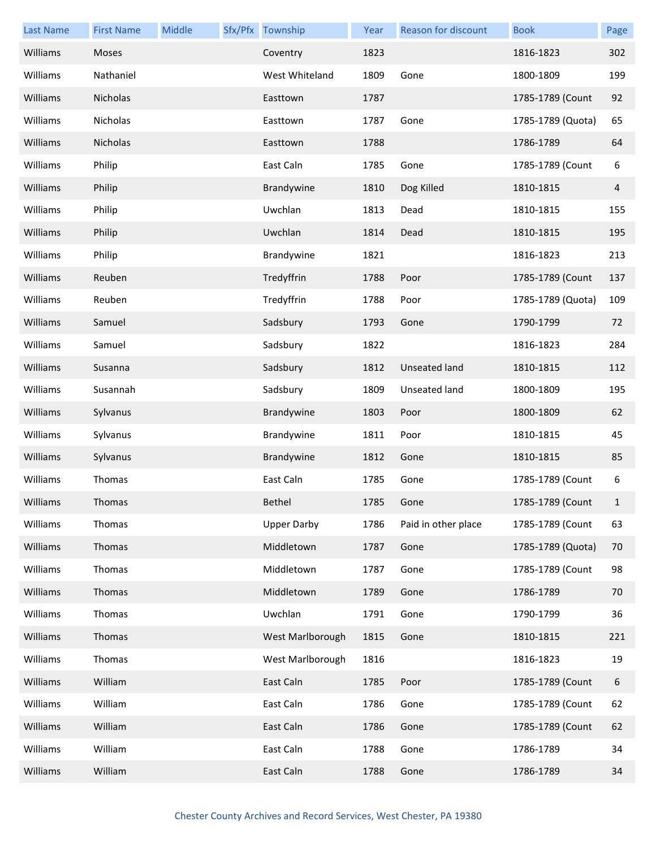| <b>Last Name</b> | <b>First Name</b> | Middle | Sfx/Pfx Township   | Year | Reason for discount  | <b>Book</b>       | Page |
|------------------|-------------------|--------|--------------------|------|----------------------|-------------------|------|
| Williams         | Moses             |        | Coventry           | 1823 |                      | 1816-1823         | 302  |
| Williams         | Nathaniel         |        | West Whiteland     | 1809 | Gone                 | 1800-1809         | 199  |
| Williams         | Nicholas          |        | Easttown           | 1787 |                      | 1785-1789 (Count  | 92   |
| Williams         | Nicholas          |        | Easttown           | 1787 | Gone                 | 1785-1789 (Quota) | 65   |
| Williams         | Nicholas          |        | Easttown           | 1788 |                      | 1786-1789         | 64   |
| Williams         | Philip            |        | East Caln          | 1785 | Gone                 | 1785-1789 (Count  | 6    |
| Williams         | Philip            |        | Brandywine         | 1810 | Dog Killed           | 1810-1815         | 4    |
| Williams         | Philip            |        | Uwchlan            | 1813 | Dead                 | 1810-1815         | 155  |
| Williams         | Philip            |        | Uwchlan            | 1814 | Dead                 | 1810-1815         | 195  |
| Williams         | Philip            |        | Brandywine         | 1821 |                      | 1816-1823         | 213  |
| Williams         | Reuben            |        | Tredyffrin         | 1788 | Poor                 | 1785-1789 (Count  | 137  |
| Williams         | Reuben            |        | Tredyffrin         | 1788 | Poor                 | 1785-1789 (Quota) | 109  |
| Williams         | Samuel            |        | Sadsbury           | 1793 | Gone                 | 1790-1799         | 72   |
| Williams         | Samuel            |        | Sadsbury           | 1822 |                      | 1816-1823         | 284  |
| Williams         | Susanna           |        | Sadsbury           | 1812 | <b>Unseated land</b> | 1810-1815         | 112  |
| Williams         | Susannah          |        | Sadsbury           | 1809 | Unseated land        | 1800-1809         | 195  |
| Williams         | Sylvanus          |        | Brandywine         | 1803 | Poor                 | 1800-1809         | 62   |
| Williams         | Sylvanus          |        | Brandywine         | 1811 | Poor                 | 1810-1815         | 45   |
| Williams         | Sylvanus          |        | Brandywine         | 1812 | Gone                 | 1810-1815         | 85   |
| Williams         | Thomas            |        | East Caln          | 1785 | Gone                 | 1785-1789 (Count  | 6    |
| Williams         | Thomas            |        | Bethel             | 1785 | Gone                 | 1785-1789 (Count  |      |
| Williams         | Thomas            |        | <b>Upper Darby</b> | 1786 | Paid in other place  | 1785-1789 (Count  | 63   |
| Williams         | Thomas            |        | Middletown         | 1787 | Gone                 | 1785-1789 (Quota) | 70   |
| Williams         | Thomas            |        | Middletown         | 1787 | Gone                 | 1785-1789 (Count  | 98   |
| Williams         | Thomas            |        | Middletown         | 1789 | Gone                 | 1786-1789         | 70   |
| Williams         | Thomas            |        | Uwchlan            | 1791 | Gone                 | 1790-1799         | 36   |
| Williams         | Thomas            |        | West Marlborough   | 1815 | Gone                 | 1810-1815         | 221  |
| Williams         | Thomas            |        | West Marlborough   | 1816 |                      | 1816-1823         | 19   |
| Williams         | William           |        | East Caln          | 1785 | Poor                 | 1785-1789 (Count  | 6    |
| Williams         | William           |        | East Caln          | 1786 | Gone                 | 1785-1789 (Count  | 62   |
| Williams         | William           |        | East Caln          | 1786 | Gone                 | 1785-1789 (Count  | 62   |
| Williams         | William           |        | East Caln          | 1788 | Gone                 | 1786-1789         | 34   |
| Williams         | William           |        | East Caln          | 1788 | Gone                 | 1786-1789         | 34   |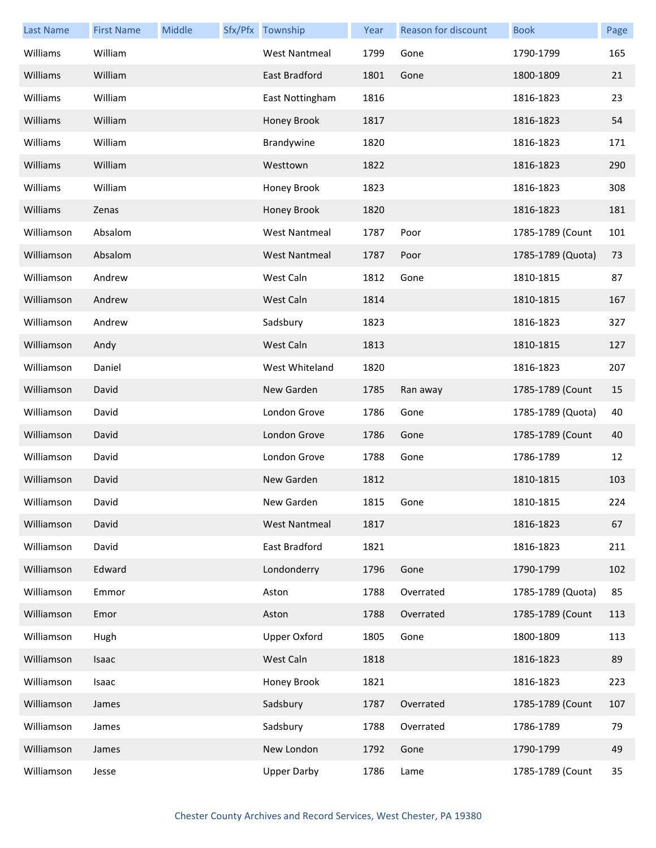| <b>Last Name</b> | <b>First Name</b> | Middle | Sfx/Pfx Township     | Year | Reason for discount | <b>Book</b>       | Page |
|------------------|-------------------|--------|----------------------|------|---------------------|-------------------|------|
| Williams         | William           |        | <b>West Nantmeal</b> | 1799 | Gone                | 1790-1799         | 165  |
| Williams         | William           |        | East Bradford        | 1801 | Gone                | 1800-1809         | 21   |
| Williams         | William           |        | East Nottingham      | 1816 |                     | 1816-1823         | 23   |
| Williams         | William           |        | Honey Brook          | 1817 |                     | 1816-1823         | 54   |
| Williams         | William           |        | Brandywine           | 1820 |                     | 1816-1823         | 171  |
| Williams         | William           |        | Westtown             | 1822 |                     | 1816-1823         | 290  |
| Williams         | William           |        | Honey Brook          | 1823 |                     | 1816-1823         | 308  |
| Williams         | Zenas             |        | Honey Brook          | 1820 |                     | 1816-1823         | 181  |
| Williamson       | Absalom           |        | <b>West Nantmeal</b> | 1787 | Poor                | 1785-1789 (Count  | 101  |
| Williamson       | Absalom           |        | <b>West Nantmeal</b> | 1787 | Poor                | 1785-1789 (Quota) | 73   |
| Williamson       | Andrew            |        | West Caln            | 1812 | Gone                | 1810-1815         | 87   |
| Williamson       | Andrew            |        | West Caln            | 1814 |                     | 1810-1815         | 167  |
| Williamson       | Andrew            |        | Sadsbury             | 1823 |                     | 1816-1823         | 327  |
| Williamson       | Andy              |        | West Caln            | 1813 |                     | 1810-1815         | 127  |
| Williamson       | Daniel            |        | West Whiteland       | 1820 |                     | 1816-1823         | 207  |
| Williamson       | David             |        | New Garden           | 1785 | Ran away            | 1785-1789 (Count  | 15   |
| Williamson       | David             |        | London Grove         | 1786 | Gone                | 1785-1789 (Quota) | 40   |
| Williamson       | David             |        | London Grove         | 1786 | Gone                | 1785-1789 (Count  | 40   |
| Williamson       | David             |        | London Grove         | 1788 | Gone                | 1786-1789         | 12   |
| Williamson       | David             |        | New Garden           | 1812 |                     | 1810-1815         | 103  |
| Williamson       | David             |        | New Garden           | 1815 | Gone                | 1810-1815         | 224  |
| Williamson       | David             |        | <b>West Nantmeal</b> | 1817 |                     | 1816-1823         | 67   |
| Williamson       | David             |        | East Bradford        | 1821 |                     | 1816-1823         | 211  |
| Williamson       | Edward            |        | Londonderry          | 1796 | Gone                | 1790-1799         | 102  |
| Williamson       | Emmor             |        | Aston                | 1788 | Overrated           | 1785-1789 (Quota) | 85   |
| Williamson       | Emor              |        | Aston                | 1788 | Overrated           | 1785-1789 (Count  | 113  |
| Williamson       | Hugh              |        | <b>Upper Oxford</b>  | 1805 | Gone                | 1800-1809         | 113  |
| Williamson       | Isaac             |        | West Caln            | 1818 |                     | 1816-1823         | 89   |
| Williamson       | Isaac             |        | Honey Brook          | 1821 |                     | 1816-1823         | 223  |
| Williamson       | James             |        | Sadsbury             | 1787 | Overrated           | 1785-1789 (Count  | 107  |
| Williamson       | James             |        | Sadsbury             | 1788 | Overrated           | 1786-1789         | 79   |
| Williamson       | James             |        | New London           | 1792 | Gone                | 1790-1799         | 49   |
| Williamson       | Jesse             |        | <b>Upper Darby</b>   | 1786 | Lame                | 1785-1789 (Count  | 35   |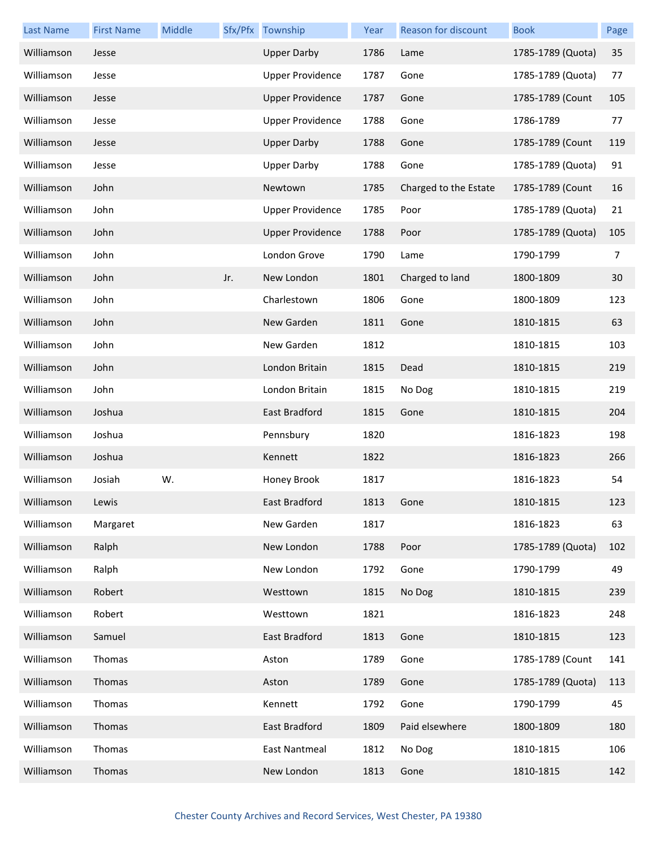| <b>Last Name</b> | <b>First Name</b> | Middle |     | Sfx/Pfx Township        | Year | Reason for discount   | <b>Book</b>       | Page |
|------------------|-------------------|--------|-----|-------------------------|------|-----------------------|-------------------|------|
| Williamson       | Jesse             |        |     | <b>Upper Darby</b>      | 1786 | Lame                  | 1785-1789 (Quota) | 35   |
| Williamson       | Jesse             |        |     | <b>Upper Providence</b> | 1787 | Gone                  | 1785-1789 (Quota) | 77   |
| Williamson       | Jesse             |        |     | <b>Upper Providence</b> | 1787 | Gone                  | 1785-1789 (Count  | 105  |
| Williamson       | Jesse             |        |     | <b>Upper Providence</b> | 1788 | Gone                  | 1786-1789         | 77   |
| Williamson       | Jesse             |        |     | <b>Upper Darby</b>      | 1788 | Gone                  | 1785-1789 (Count  | 119  |
| Williamson       | Jesse             |        |     | <b>Upper Darby</b>      | 1788 | Gone                  | 1785-1789 (Quota) | 91   |
| Williamson       | John              |        |     | Newtown                 | 1785 | Charged to the Estate | 1785-1789 (Count  | 16   |
| Williamson       | John              |        |     | <b>Upper Providence</b> | 1785 | Poor                  | 1785-1789 (Quota) | 21   |
| Williamson       | John              |        |     | <b>Upper Providence</b> | 1788 | Poor                  | 1785-1789 (Quota) | 105  |
| Williamson       | John              |        |     | London Grove            | 1790 | Lame                  | 1790-1799         | 7    |
| Williamson       | John              |        | Jr. | New London              | 1801 | Charged to land       | 1800-1809         | 30   |
| Williamson       | John              |        |     | Charlestown             | 1806 | Gone                  | 1800-1809         | 123  |
| Williamson       | John              |        |     | New Garden              | 1811 | Gone                  | 1810-1815         | 63   |
| Williamson       | John              |        |     | New Garden              | 1812 |                       | 1810-1815         | 103  |
| Williamson       | John              |        |     | London Britain          | 1815 | Dead                  | 1810-1815         | 219  |
| Williamson       | John              |        |     | London Britain          | 1815 | No Dog                | 1810-1815         | 219  |
| Williamson       | Joshua            |        |     | East Bradford           | 1815 | Gone                  | 1810-1815         | 204  |
| Williamson       | Joshua            |        |     | Pennsbury               | 1820 |                       | 1816-1823         | 198  |
| Williamson       | Joshua            |        |     | Kennett                 | 1822 |                       | 1816-1823         | 266  |
| Williamson       | Josiah            | W.     |     | Honey Brook             | 1817 |                       | 1816-1823         | 54   |
| Williamson       | Lewis             |        |     | East Bradford           | 1813 | Gone                  | 1810-1815         | 123  |
| Williamson       | Margaret          |        |     | New Garden              | 1817 |                       | 1816-1823         | 63   |
| Williamson       | Ralph             |        |     | New London              | 1788 | Poor                  | 1785-1789 (Quota) | 102  |
| Williamson       | Ralph             |        |     | New London              | 1792 | Gone                  | 1790-1799         | 49   |
| Williamson       | Robert            |        |     | Westtown                | 1815 | No Dog                | 1810-1815         | 239  |
| Williamson       | Robert            |        |     | Westtown                | 1821 |                       | 1816-1823         | 248  |
| Williamson       | Samuel            |        |     | East Bradford           | 1813 | Gone                  | 1810-1815         | 123  |
| Williamson       | Thomas            |        |     | Aston                   | 1789 | Gone                  | 1785-1789 (Count  | 141  |
| Williamson       | Thomas            |        |     | Aston                   | 1789 | Gone                  | 1785-1789 (Quota) | 113  |
| Williamson       | Thomas            |        |     | Kennett                 | 1792 | Gone                  | 1790-1799         | 45   |
| Williamson       | Thomas            |        |     | East Bradford           | 1809 | Paid elsewhere        | 1800-1809         | 180  |
| Williamson       | Thomas            |        |     | East Nantmeal           | 1812 | No Dog                | 1810-1815         | 106  |
| Williamson       | Thomas            |        |     | New London              | 1813 | Gone                  | 1810-1815         | 142  |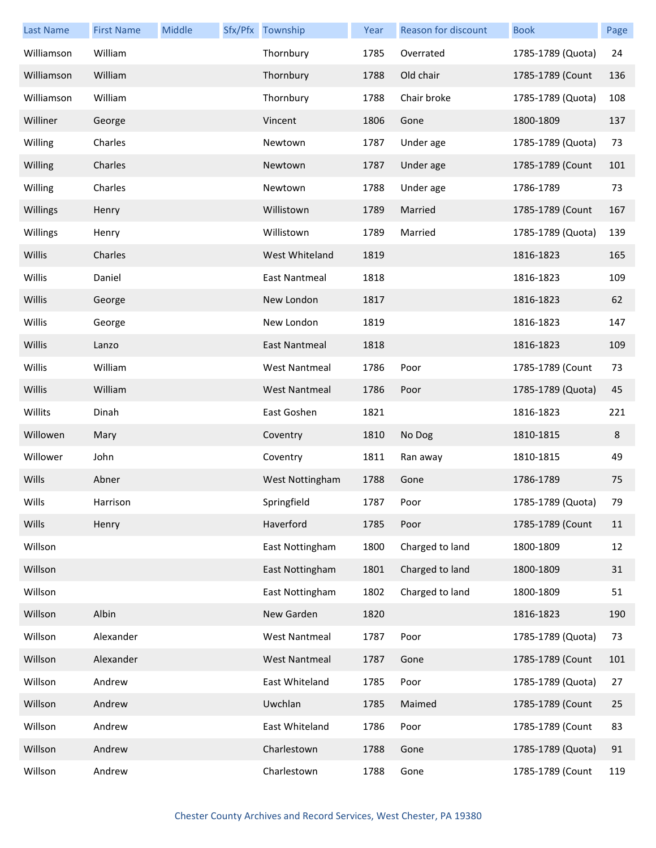| <b>Last Name</b> | <b>First Name</b> | Middle | Sfx/Pfx Township     | Year | Reason for discount | <b>Book</b>       | Page |
|------------------|-------------------|--------|----------------------|------|---------------------|-------------------|------|
| Williamson       | William           |        | Thornbury            | 1785 | Overrated           | 1785-1789 (Quota) | 24   |
| Williamson       | William           |        | Thornbury            | 1788 | Old chair           | 1785-1789 (Count  | 136  |
| Williamson       | William           |        | Thornbury            | 1788 | Chair broke         | 1785-1789 (Quota) | 108  |
| Williner         | George            |        | Vincent              | 1806 | Gone                | 1800-1809         | 137  |
| Willing          | Charles           |        | Newtown              | 1787 | Under age           | 1785-1789 (Quota) | 73   |
| Willing          | Charles           |        | Newtown              | 1787 | Under age           | 1785-1789 (Count  | 101  |
| Willing          | Charles           |        | Newtown              | 1788 | Under age           | 1786-1789         | 73   |
| Willings         | Henry             |        | Willistown           | 1789 | Married             | 1785-1789 (Count  | 167  |
| Willings         | Henry             |        | Willistown           | 1789 | Married             | 1785-1789 (Quota) | 139  |
| Willis           | Charles           |        | West Whiteland       | 1819 |                     | 1816-1823         | 165  |
| Willis           | Daniel            |        | <b>East Nantmeal</b> | 1818 |                     | 1816-1823         | 109  |
| Willis           | George            |        | New London           | 1817 |                     | 1816-1823         | 62   |
| Willis           | George            |        | New London           | 1819 |                     | 1816-1823         | 147  |
| Willis           | Lanzo             |        | East Nantmeal        | 1818 |                     | 1816-1823         | 109  |
| Willis           | William           |        | <b>West Nantmeal</b> | 1786 | Poor                | 1785-1789 (Count  | 73   |
| Willis           | William           |        | <b>West Nantmeal</b> | 1786 | Poor                | 1785-1789 (Quota) | 45   |
| Willits          | Dinah             |        | East Goshen          | 1821 |                     | 1816-1823         | 221  |
| Willowen         | Mary              |        | Coventry             | 1810 | No Dog              | 1810-1815         | 8    |
| Willower         | John              |        | Coventry             | 1811 | Ran away            | 1810-1815         | 49   |
| Wills            | Abner             |        | West Nottingham      | 1788 | Gone                | 1786-1789         | 75   |
| Wills            | Harrison          |        | Springfield          | 1787 | Poor                | 1785-1789 (Quota) | 79   |
| Wills            | Henry             |        | Haverford            | 1785 | Poor                | 1785-1789 (Count  | 11   |
| Willson          |                   |        | East Nottingham      | 1800 | Charged to land     | 1800-1809         | 12   |
| Willson          |                   |        | East Nottingham      | 1801 | Charged to land     | 1800-1809         | 31   |
| Willson          |                   |        | East Nottingham      | 1802 | Charged to land     | 1800-1809         | 51   |
| Willson          | Albin             |        | New Garden           | 1820 |                     | 1816-1823         | 190  |
| Willson          | Alexander         |        | <b>West Nantmeal</b> | 1787 | Poor                | 1785-1789 (Quota) | 73   |
| Willson          | Alexander         |        | <b>West Nantmeal</b> | 1787 | Gone                | 1785-1789 (Count  | 101  |
| Willson          | Andrew            |        | East Whiteland       | 1785 | Poor                | 1785-1789 (Quota) | 27   |
| Willson          | Andrew            |        | Uwchlan              | 1785 | Maimed              | 1785-1789 (Count  | 25   |
| Willson          | Andrew            |        | East Whiteland       | 1786 | Poor                | 1785-1789 (Count  | 83   |
| Willson          | Andrew            |        | Charlestown          | 1788 | Gone                | 1785-1789 (Quota) | 91   |
| Willson          | Andrew            |        | Charlestown          | 1788 | Gone                | 1785-1789 (Count  | 119  |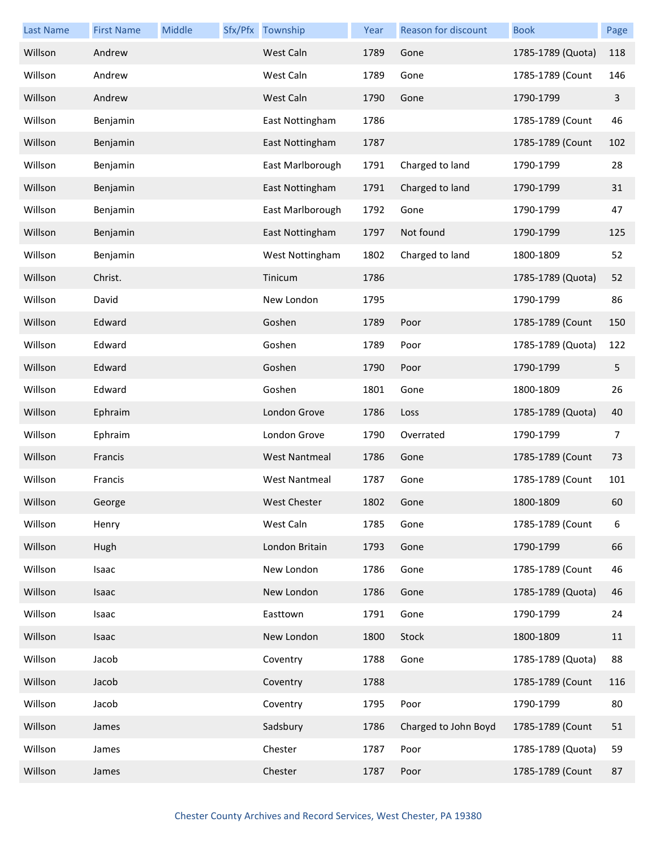| <b>Last Name</b> | <b>First Name</b> | Middle | Sfx/Pfx Township     | Year | Reason for discount  | <b>Book</b>       | Page |
|------------------|-------------------|--------|----------------------|------|----------------------|-------------------|------|
| Willson          | Andrew            |        | West Caln            | 1789 | Gone                 | 1785-1789 (Quota) | 118  |
| Willson          | Andrew            |        | West Caln            | 1789 | Gone                 | 1785-1789 (Count  | 146  |
| Willson          | Andrew            |        | West Caln            | 1790 | Gone                 | 1790-1799         | 3    |
| Willson          | Benjamin          |        | East Nottingham      | 1786 |                      | 1785-1789 (Count  | 46   |
| Willson          | Benjamin          |        | East Nottingham      | 1787 |                      | 1785-1789 (Count  | 102  |
| Willson          | Benjamin          |        | East Marlborough     | 1791 | Charged to land      | 1790-1799         | 28   |
| Willson          | Benjamin          |        | East Nottingham      | 1791 | Charged to land      | 1790-1799         | 31   |
| Willson          | Benjamin          |        | East Marlborough     | 1792 | Gone                 | 1790-1799         | 47   |
| Willson          | Benjamin          |        | East Nottingham      | 1797 | Not found            | 1790-1799         | 125  |
| Willson          | Benjamin          |        | West Nottingham      | 1802 | Charged to land      | 1800-1809         | 52   |
| Willson          | Christ.           |        | Tinicum              | 1786 |                      | 1785-1789 (Quota) | 52   |
| Willson          | David             |        | New London           | 1795 |                      | 1790-1799         | 86   |
| Willson          | Edward            |        | Goshen               | 1789 | Poor                 | 1785-1789 (Count  | 150  |
| Willson          | Edward            |        | Goshen               | 1789 | Poor                 | 1785-1789 (Quota) | 122  |
| Willson          | Edward            |        | Goshen               | 1790 | Poor                 | 1790-1799         | 5    |
| Willson          | Edward            |        | Goshen               | 1801 | Gone                 | 1800-1809         | 26   |
| Willson          | Ephraim           |        | London Grove         | 1786 | Loss                 | 1785-1789 (Quota) | 40   |
| Willson          | Ephraim           |        | London Grove         | 1790 | Overrated            | 1790-1799         | 7    |
| Willson          | Francis           |        | <b>West Nantmeal</b> | 1786 | Gone                 | 1785-1789 (Count  | 73   |
| Willson          | Francis           |        | <b>West Nantmeal</b> | 1787 | Gone                 | 1785-1789 (Count  | 101  |
| Willson          | George            |        | <b>West Chester</b>  | 1802 | Gone                 | 1800-1809         | 60   |
| Willson          | Henry             |        | West Caln            | 1785 | Gone                 | 1785-1789 (Count  | 6    |
| Willson          | Hugh              |        | London Britain       | 1793 | Gone                 | 1790-1799         | 66   |
| Willson          | Isaac             |        | New London           | 1786 | Gone                 | 1785-1789 (Count  | 46   |
| Willson          | Isaac             |        | New London           | 1786 | Gone                 | 1785-1789 (Quota) | 46   |
| Willson          | Isaac             |        | Easttown             | 1791 | Gone                 | 1790-1799         | 24   |
| Willson          | Isaac             |        | New London           | 1800 | Stock                | 1800-1809         | 11   |
| Willson          | Jacob             |        | Coventry             | 1788 | Gone                 | 1785-1789 (Quota) | 88   |
| Willson          | Jacob             |        | Coventry             | 1788 |                      | 1785-1789 (Count  | 116  |
| Willson          | Jacob             |        | Coventry             | 1795 | Poor                 | 1790-1799         | 80   |
| Willson          | James             |        | Sadsbury             | 1786 | Charged to John Boyd | 1785-1789 (Count  | 51   |
| Willson          | James             |        | Chester              | 1787 | Poor                 | 1785-1789 (Quota) | 59   |
| Willson          | James             |        | Chester              | 1787 | Poor                 | 1785-1789 (Count  | 87   |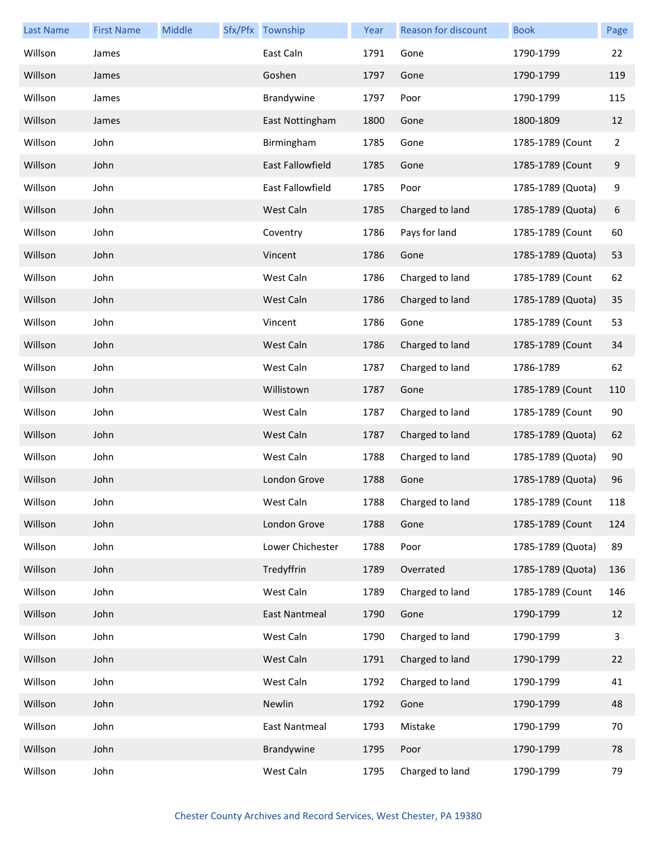| <b>Last Name</b> | <b>First Name</b> | Middle | Sfx/Pfx Township        | Year | Reason for discount | <b>Book</b>       | Page           |
|------------------|-------------------|--------|-------------------------|------|---------------------|-------------------|----------------|
| Willson          | James             |        | East Caln               | 1791 | Gone                | 1790-1799         | 22             |
| Willson          | James             |        | Goshen                  | 1797 | Gone                | 1790-1799         | 119            |
| Willson          | James             |        | Brandywine              | 1797 | Poor                | 1790-1799         | 115            |
| Willson          | James             |        | East Nottingham         | 1800 | Gone                | 1800-1809         | 12             |
| Willson          | John              |        | Birmingham              | 1785 | Gone                | 1785-1789 (Count  | $\overline{2}$ |
| Willson          | John              |        | <b>East Fallowfield</b> | 1785 | Gone                | 1785-1789 (Count  | 9              |
| Willson          | John              |        | East Fallowfield        | 1785 | Poor                | 1785-1789 (Quota) | 9              |
| Willson          | John              |        | West Caln               | 1785 | Charged to land     | 1785-1789 (Quota) | 6              |
| Willson          | John              |        | Coventry                | 1786 | Pays for land       | 1785-1789 (Count  | 60             |
| Willson          | John              |        | Vincent                 | 1786 | Gone                | 1785-1789 (Quota) | 53             |
| Willson          | John              |        | West Caln               | 1786 | Charged to land     | 1785-1789 (Count  | 62             |
| Willson          | John              |        | West Caln               | 1786 | Charged to land     | 1785-1789 (Quota) | 35             |
| Willson          | John              |        | Vincent                 | 1786 | Gone                | 1785-1789 (Count  | 53             |
| Willson          | John              |        | West Caln               | 1786 | Charged to land     | 1785-1789 (Count  | 34             |
| Willson          | John              |        | West Caln               | 1787 | Charged to land     | 1786-1789         | 62             |
| Willson          | John              |        | Willistown              | 1787 | Gone                | 1785-1789 (Count  | 110            |
| Willson          | John              |        | West Caln               | 1787 | Charged to land     | 1785-1789 (Count  | 90             |
| Willson          | John              |        | West Caln               | 1787 | Charged to land     | 1785-1789 (Quota) | 62             |
| Willson          | John              |        | West Caln               | 1788 | Charged to land     | 1785-1789 (Quota) | 90             |
| Willson          | John              |        | London Grove            | 1788 | Gone                | 1785-1789 (Quota) | 96             |
| Willson          | John              |        | West Caln               | 1788 | Charged to land     | 1785-1789 (Count  | 118            |
| Willson          | John              |        | London Grove            | 1788 | Gone                | 1785-1789 (Count  | 124            |
| Willson          | John              |        | Lower Chichester        | 1788 | Poor                | 1785-1789 (Quota) | 89             |
| Willson          | John              |        | Tredyffrin              | 1789 | Overrated           | 1785-1789 (Quota) | 136            |
| Willson          | John              |        | West Caln               | 1789 | Charged to land     | 1785-1789 (Count  | 146            |
| Willson          | John              |        | East Nantmeal           | 1790 | Gone                | 1790-1799         | 12             |
| Willson          | John              |        | West Caln               | 1790 | Charged to land     | 1790-1799         | 3              |
| Willson          | John              |        | West Caln               | 1791 | Charged to land     | 1790-1799         | 22             |
| Willson          | John              |        | West Caln               | 1792 | Charged to land     | 1790-1799         | 41             |
| Willson          | John              |        | Newlin                  | 1792 | Gone                | 1790-1799         | 48             |
| Willson          | John              |        | <b>East Nantmeal</b>    | 1793 | Mistake             | 1790-1799         | 70             |
| Willson          | John              |        | Brandywine              | 1795 | Poor                | 1790-1799         | 78             |
| Willson          | John              |        | West Caln               | 1795 | Charged to land     | 1790-1799         | 79             |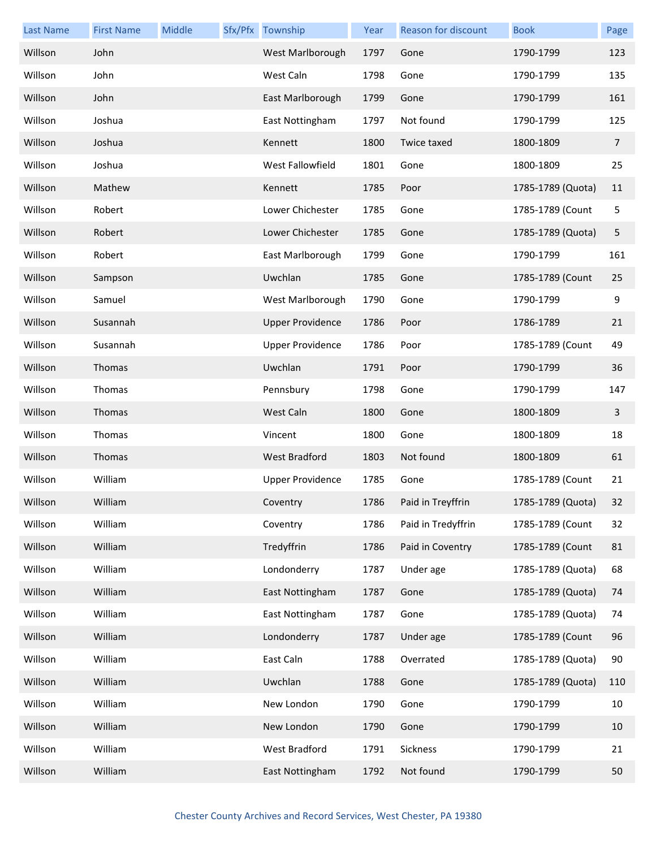| <b>Last Name</b> | <b>First Name</b> | Middle | Sfx/Pfx Township        | Year | Reason for discount | <b>Book</b>       | Page           |
|------------------|-------------------|--------|-------------------------|------|---------------------|-------------------|----------------|
| Willson          | John              |        | West Marlborough        | 1797 | Gone                | 1790-1799         | 123            |
| Willson          | John              |        | West Caln               | 1798 | Gone                | 1790-1799         | 135            |
| Willson          | John              |        | East Marlborough        | 1799 | Gone                | 1790-1799         | 161            |
| Willson          | Joshua            |        | East Nottingham         | 1797 | Not found           | 1790-1799         | 125            |
| Willson          | Joshua            |        | Kennett                 | 1800 | Twice taxed         | 1800-1809         | $\overline{7}$ |
| Willson          | Joshua            |        | West Fallowfield        | 1801 | Gone                | 1800-1809         | 25             |
| Willson          | Mathew            |        | Kennett                 | 1785 | Poor                | 1785-1789 (Quota) | 11             |
| Willson          | Robert            |        | Lower Chichester        | 1785 | Gone                | 1785-1789 (Count  | 5              |
| Willson          | Robert            |        | Lower Chichester        | 1785 | Gone                | 1785-1789 (Quota) | 5              |
| Willson          | Robert            |        | East Marlborough        | 1799 | Gone                | 1790-1799         | 161            |
| Willson          | Sampson           |        | Uwchlan                 | 1785 | Gone                | 1785-1789 (Count  | 25             |
| Willson          | Samuel            |        | West Marlborough        | 1790 | Gone                | 1790-1799         | 9              |
| Willson          | Susannah          |        | <b>Upper Providence</b> | 1786 | Poor                | 1786-1789         | 21             |
| Willson          | Susannah          |        | <b>Upper Providence</b> | 1786 | Poor                | 1785-1789 (Count  | 49             |
| Willson          | Thomas            |        | Uwchlan                 | 1791 | Poor                | 1790-1799         | 36             |
| Willson          | Thomas            |        | Pennsbury               | 1798 | Gone                | 1790-1799         | 147            |
| Willson          | Thomas            |        | West Caln               | 1800 | Gone                | 1800-1809         | 3              |
| Willson          | Thomas            |        | Vincent                 | 1800 | Gone                | 1800-1809         | 18             |
| Willson          | Thomas            |        | <b>West Bradford</b>    | 1803 | Not found           | 1800-1809         | 61             |
| Willson          | William           |        | <b>Upper Providence</b> | 1785 | Gone                | 1785-1789 (Count  | 21             |
| Willson          | William           |        | Coventry                | 1786 | Paid in Treyffrin   | 1785-1789 (Quota) | 32             |
| Willson          | William           |        | Coventry                | 1786 | Paid in Tredyffrin  | 1785-1789 (Count  | 32             |
| Willson          | William           |        | Tredyffrin              | 1786 | Paid in Coventry    | 1785-1789 (Count  | 81             |
| Willson          | William           |        | Londonderry             | 1787 | Under age           | 1785-1789 (Quota) | 68             |
| Willson          | William           |        | East Nottingham         | 1787 | Gone                | 1785-1789 (Quota) | 74             |
| Willson          | William           |        | East Nottingham         | 1787 | Gone                | 1785-1789 (Quota) | 74             |
| Willson          | William           |        | Londonderry             | 1787 | Under age           | 1785-1789 (Count  | 96             |
| Willson          | William           |        | East Caln               | 1788 | Overrated           | 1785-1789 (Quota) | 90             |
| Willson          | William           |        | Uwchlan                 | 1788 | Gone                | 1785-1789 (Quota) | 110            |
| Willson          | William           |        | New London              | 1790 | Gone                | 1790-1799         | 10             |
| Willson          | William           |        | New London              | 1790 | Gone                | 1790-1799         | 10             |
| Willson          | William           |        | West Bradford           | 1791 | Sickness            | 1790-1799         | 21             |
| Willson          | William           |        | East Nottingham         | 1792 | Not found           | 1790-1799         | 50             |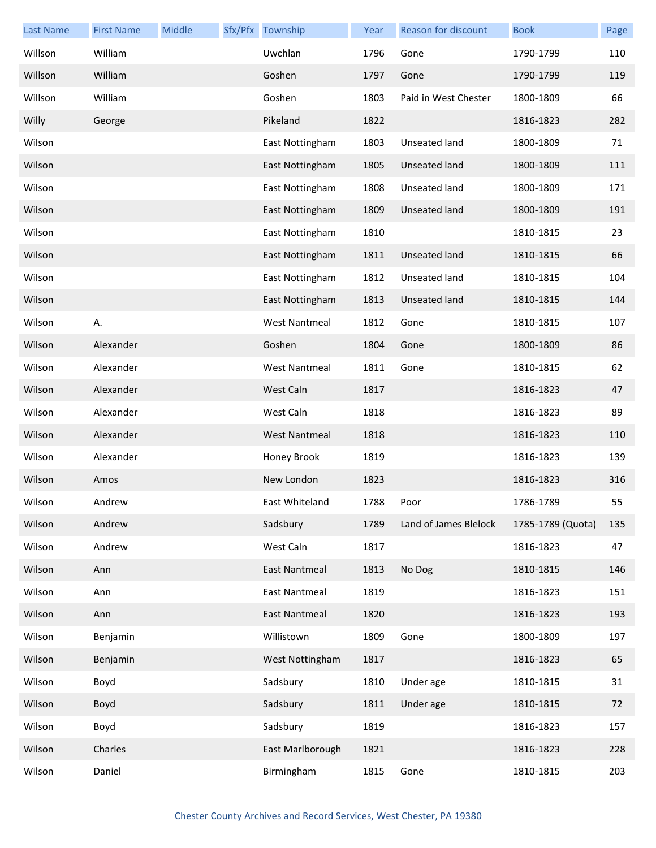| <b>Last Name</b> | <b>First Name</b> | <b>Middle</b> | Sfx/Pfx Township     | Year | Reason for discount   | <b>Book</b>       | Page |
|------------------|-------------------|---------------|----------------------|------|-----------------------|-------------------|------|
| Willson          | William           |               | Uwchlan              | 1796 | Gone                  | 1790-1799         | 110  |
| Willson          | William           |               | Goshen               | 1797 | Gone                  | 1790-1799         | 119  |
| Willson          | William           |               | Goshen               | 1803 | Paid in West Chester  | 1800-1809         | 66   |
| Willy            | George            |               | Pikeland             | 1822 |                       | 1816-1823         | 282  |
| Wilson           |                   |               | East Nottingham      | 1803 | Unseated land         | 1800-1809         | 71   |
| Wilson           |                   |               | East Nottingham      | 1805 | <b>Unseated land</b>  | 1800-1809         | 111  |
| Wilson           |                   |               | East Nottingham      | 1808 | Unseated land         | 1800-1809         | 171  |
| Wilson           |                   |               | East Nottingham      | 1809 | <b>Unseated land</b>  | 1800-1809         | 191  |
| Wilson           |                   |               | East Nottingham      | 1810 |                       | 1810-1815         | 23   |
| Wilson           |                   |               | East Nottingham      | 1811 | <b>Unseated land</b>  | 1810-1815         | 66   |
| Wilson           |                   |               | East Nottingham      | 1812 | <b>Unseated land</b>  | 1810-1815         | 104  |
| Wilson           |                   |               | East Nottingham      | 1813 | <b>Unseated land</b>  | 1810-1815         | 144  |
| Wilson           | А.                |               | <b>West Nantmeal</b> | 1812 | Gone                  | 1810-1815         | 107  |
| Wilson           | Alexander         |               | Goshen               | 1804 | Gone                  | 1800-1809         | 86   |
| Wilson           | Alexander         |               | <b>West Nantmeal</b> | 1811 | Gone                  | 1810-1815         | 62   |
| Wilson           | Alexander         |               | West Caln            | 1817 |                       | 1816-1823         | 47   |
| Wilson           | Alexander         |               | West Caln            | 1818 |                       | 1816-1823         | 89   |
| Wilson           | Alexander         |               | <b>West Nantmeal</b> | 1818 |                       | 1816-1823         | 110  |
| Wilson           | Alexander         |               | Honey Brook          | 1819 |                       | 1816-1823         | 139  |
| Wilson           | Amos              |               | New London           | 1823 |                       | 1816-1823         | 316  |
| Wilson           | Andrew            |               | East Whiteland       | 1788 | Poor                  | 1786-1789         | 55   |
| Wilson           | Andrew            |               | Sadsbury             | 1789 | Land of James Blelock | 1785-1789 (Quota) | 135  |
| Wilson           | Andrew            |               | West Caln            | 1817 |                       | 1816-1823         | 47   |
| Wilson           | Ann               |               | <b>East Nantmeal</b> | 1813 | No Dog                | 1810-1815         | 146  |
| Wilson           | Ann               |               | East Nantmeal        | 1819 |                       | 1816-1823         | 151  |
| Wilson           | Ann               |               | East Nantmeal        | 1820 |                       | 1816-1823         | 193  |
| Wilson           | Benjamin          |               | Willistown           | 1809 | Gone                  | 1800-1809         | 197  |
| Wilson           | Benjamin          |               | West Nottingham      | 1817 |                       | 1816-1823         | 65   |
| Wilson           | Boyd              |               | Sadsbury             | 1810 | Under age             | 1810-1815         | 31   |
| Wilson           | Boyd              |               | Sadsbury             | 1811 | Under age             | 1810-1815         | 72   |
| Wilson           | Boyd              |               | Sadsbury             | 1819 |                       | 1816-1823         | 157  |
| Wilson           | Charles           |               | East Marlborough     | 1821 |                       | 1816-1823         | 228  |
| Wilson           | Daniel            |               | Birmingham           | 1815 | Gone                  | 1810-1815         | 203  |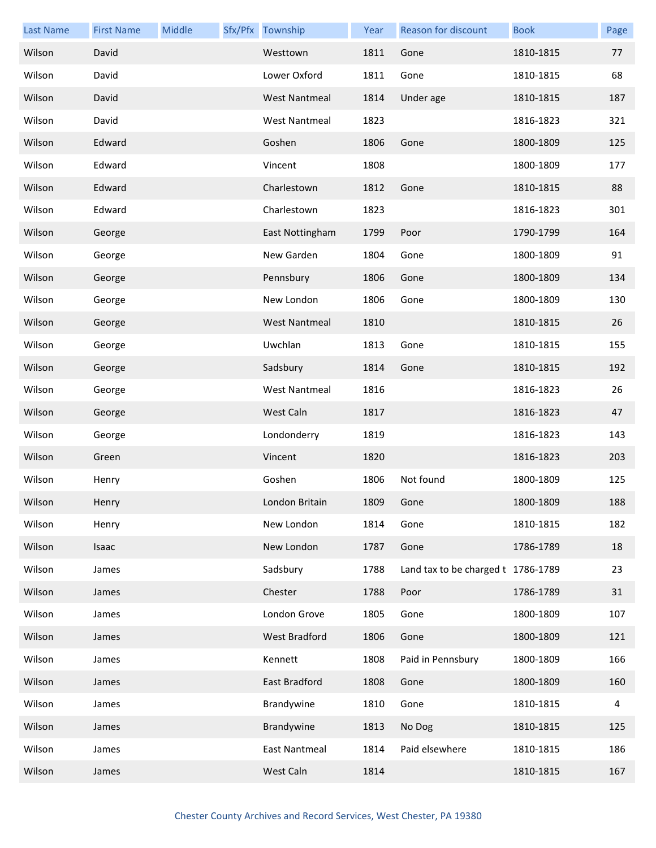| <b>Last Name</b> | <b>First Name</b> | Middle | Sfx/Pfx Township     | Year | Reason for discount                | <b>Book</b> | Page |
|------------------|-------------------|--------|----------------------|------|------------------------------------|-------------|------|
| Wilson           | David             |        | Westtown             | 1811 | Gone                               | 1810-1815   | 77   |
| Wilson           | David             |        | Lower Oxford         | 1811 | Gone                               | 1810-1815   | 68   |
| Wilson           | David             |        | <b>West Nantmeal</b> | 1814 | Under age                          | 1810-1815   | 187  |
| Wilson           | David             |        | <b>West Nantmeal</b> | 1823 |                                    | 1816-1823   | 321  |
| Wilson           | Edward            |        | Goshen               | 1806 | Gone                               | 1800-1809   | 125  |
| Wilson           | Edward            |        | Vincent              | 1808 |                                    | 1800-1809   | 177  |
| Wilson           | Edward            |        | Charlestown          | 1812 | Gone                               | 1810-1815   | 88   |
| Wilson           | Edward            |        | Charlestown          | 1823 |                                    | 1816-1823   | 301  |
| Wilson           | George            |        | East Nottingham      | 1799 | Poor                               | 1790-1799   | 164  |
| Wilson           | George            |        | New Garden           | 1804 | Gone                               | 1800-1809   | 91   |
| Wilson           | George            |        | Pennsbury            | 1806 | Gone                               | 1800-1809   | 134  |
| Wilson           | George            |        | New London           | 1806 | Gone                               | 1800-1809   | 130  |
| Wilson           | George            |        | <b>West Nantmeal</b> | 1810 |                                    | 1810-1815   | 26   |
| Wilson           | George            |        | Uwchlan              | 1813 | Gone                               | 1810-1815   | 155  |
| Wilson           | George            |        | Sadsbury             | 1814 | Gone                               | 1810-1815   | 192  |
| Wilson           | George            |        | <b>West Nantmeal</b> | 1816 |                                    | 1816-1823   | 26   |
| Wilson           | George            |        | West Caln            | 1817 |                                    | 1816-1823   | 47   |
| Wilson           | George            |        | Londonderry          | 1819 |                                    | 1816-1823   | 143  |
| Wilson           | Green             |        | Vincent              | 1820 |                                    | 1816-1823   | 203  |
| Wilson           | Henry             |        | Goshen               | 1806 | Not found                          | 1800-1809   | 125  |
| Wilson           | Henry             |        | London Britain       | 1809 | Gone                               | 1800-1809   | 188  |
| Wilson           | Henry             |        | New London           | 1814 | Gone                               | 1810-1815   | 182  |
| Wilson           | Isaac             |        | New London           | 1787 | Gone                               | 1786-1789   | 18   |
| Wilson           | James             |        | Sadsbury             | 1788 | Land tax to be charged t 1786-1789 |             | 23   |
| Wilson           | James             |        | Chester              | 1788 | Poor                               | 1786-1789   | 31   |
| Wilson           | James             |        | London Grove         | 1805 | Gone                               | 1800-1809   | 107  |
| Wilson           | James             |        | <b>West Bradford</b> | 1806 | Gone                               | 1800-1809   | 121  |
| Wilson           | James             |        | Kennett              | 1808 | Paid in Pennsbury                  | 1800-1809   | 166  |
| Wilson           | James             |        | East Bradford        | 1808 | Gone                               | 1800-1809   | 160  |
| Wilson           | James             |        | Brandywine           | 1810 | Gone                               | 1810-1815   | 4    |
| Wilson           | James             |        | Brandywine           | 1813 | No Dog                             | 1810-1815   | 125  |
| Wilson           | James             |        | <b>East Nantmeal</b> | 1814 | Paid elsewhere                     | 1810-1815   | 186  |
| Wilson           | James             |        | West Caln            | 1814 |                                    | 1810-1815   | 167  |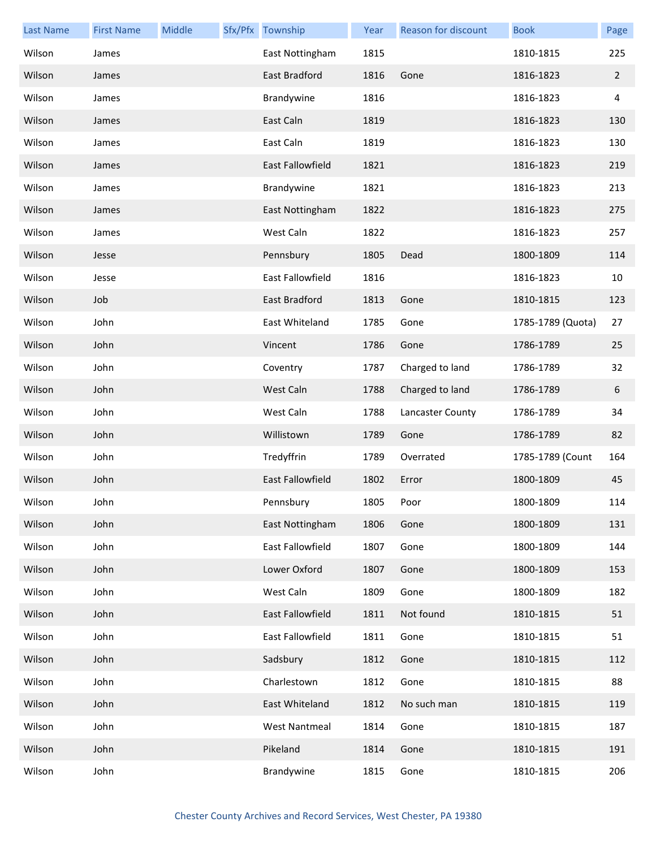| <b>Last Name</b> | <b>First Name</b> | Middle | Sfx/Pfx Township        | Year | Reason for discount | <b>Book</b>       | Page           |
|------------------|-------------------|--------|-------------------------|------|---------------------|-------------------|----------------|
| Wilson           | James             |        | East Nottingham         | 1815 |                     | 1810-1815         | 225            |
| Wilson           | James             |        | East Bradford           | 1816 | Gone                | 1816-1823         | $\overline{2}$ |
| Wilson           | James             |        | Brandywine              | 1816 |                     | 1816-1823         | 4              |
| Wilson           | James             |        | East Caln               | 1819 |                     | 1816-1823         | 130            |
| Wilson           | James             |        | East Caln               | 1819 |                     | 1816-1823         | 130            |
| Wilson           | James             |        | <b>East Fallowfield</b> | 1821 |                     | 1816-1823         | 219            |
| Wilson           | James             |        | Brandywine              | 1821 |                     | 1816-1823         | 213            |
| Wilson           | James             |        | East Nottingham         | 1822 |                     | 1816-1823         | 275            |
| Wilson           | James             |        | West Caln               | 1822 |                     | 1816-1823         | 257            |
| Wilson           | Jesse             |        | Pennsbury               | 1805 | Dead                | 1800-1809         | 114            |
| Wilson           | Jesse             |        | East Fallowfield        | 1816 |                     | 1816-1823         | 10             |
| Wilson           | Job               |        | East Bradford           | 1813 | Gone                | 1810-1815         | 123            |
| Wilson           | John              |        | East Whiteland          | 1785 | Gone                | 1785-1789 (Quota) | 27             |
| Wilson           | John              |        | Vincent                 | 1786 | Gone                | 1786-1789         | 25             |
| Wilson           | John              |        | Coventry                | 1787 | Charged to land     | 1786-1789         | 32             |
| Wilson           | John              |        | West Caln               | 1788 | Charged to land     | 1786-1789         | 6              |
| Wilson           | John              |        | West Caln               | 1788 | Lancaster County    | 1786-1789         | 34             |
| Wilson           | John              |        | Willistown              | 1789 | Gone                | 1786-1789         | 82             |
| Wilson           | John              |        | Tredyffrin              | 1789 | Overrated           | 1785-1789 (Count  | 164            |
| Wilson           | John              |        | East Fallowfield        | 1802 | Error               | 1800-1809         | 45             |
| Wilson           | John              |        | Pennsbury               | 1805 | Poor                | 1800-1809         | 114            |
| Wilson           | John              |        | East Nottingham         | 1806 | Gone                | 1800-1809         | 131            |
| Wilson           | John              |        | East Fallowfield        | 1807 | Gone                | 1800-1809         | 144            |
| Wilson           | John              |        | Lower Oxford            | 1807 | Gone                | 1800-1809         | 153            |
| Wilson           | John              |        | West Caln               | 1809 | Gone                | 1800-1809         | 182            |
| Wilson           | John              |        | East Fallowfield        | 1811 | Not found           | 1810-1815         | 51             |
| Wilson           | John              |        | East Fallowfield        | 1811 | Gone                | 1810-1815         | 51             |
| Wilson           | John              |        | Sadsbury                | 1812 | Gone                | 1810-1815         | 112            |
| Wilson           | John              |        | Charlestown             | 1812 | Gone                | 1810-1815         | 88             |
| Wilson           | John              |        | East Whiteland          | 1812 | No such man         | 1810-1815         | 119            |
| Wilson           | John              |        | <b>West Nantmeal</b>    | 1814 | Gone                | 1810-1815         | 187            |
| Wilson           | John              |        | Pikeland                | 1814 | Gone                | 1810-1815         | 191            |
| Wilson           | John              |        | Brandywine              | 1815 | Gone                | 1810-1815         | 206            |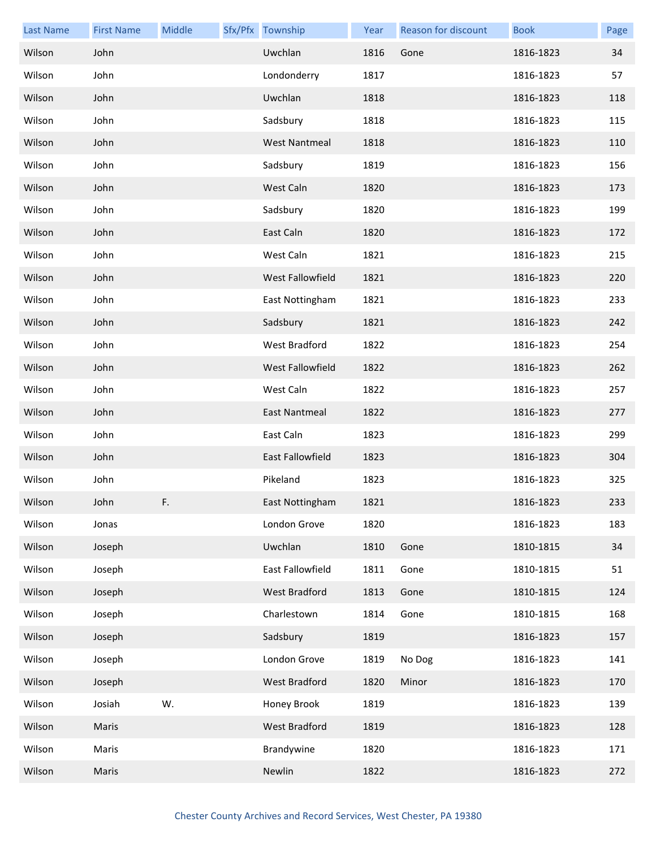| <b>Last Name</b> | <b>First Name</b> | Middle | Sfx/Pfx Township     | Year | Reason for discount | <b>Book</b> | Page |
|------------------|-------------------|--------|----------------------|------|---------------------|-------------|------|
| Wilson           | John              |        | Uwchlan              | 1816 | Gone                | 1816-1823   | 34   |
| Wilson           | John              |        | Londonderry          | 1817 |                     | 1816-1823   | 57   |
| Wilson           | John              |        | Uwchlan              | 1818 |                     | 1816-1823   | 118  |
| Wilson           | John              |        | Sadsbury             | 1818 |                     | 1816-1823   | 115  |
| Wilson           | John              |        | <b>West Nantmeal</b> | 1818 |                     | 1816-1823   | 110  |
| Wilson           | John              |        | Sadsbury             | 1819 |                     | 1816-1823   | 156  |
| Wilson           | John              |        | West Caln            | 1820 |                     | 1816-1823   | 173  |
| Wilson           | John              |        | Sadsbury             | 1820 |                     | 1816-1823   | 199  |
| Wilson           | John              |        | East Caln            | 1820 |                     | 1816-1823   | 172  |
| Wilson           | John              |        | West Caln            | 1821 |                     | 1816-1823   | 215  |
| Wilson           | John              |        | West Fallowfield     | 1821 |                     | 1816-1823   | 220  |
| Wilson           | John              |        | East Nottingham      | 1821 |                     | 1816-1823   | 233  |
| Wilson           | John              |        | Sadsbury             | 1821 |                     | 1816-1823   | 242  |
| Wilson           | John              |        | West Bradford        | 1822 |                     | 1816-1823   | 254  |
| Wilson           | John              |        | West Fallowfield     | 1822 |                     | 1816-1823   | 262  |
| Wilson           | John              |        | West Caln            | 1822 |                     | 1816-1823   | 257  |
| Wilson           | John              |        | East Nantmeal        | 1822 |                     | 1816-1823   | 277  |
| Wilson           | John              |        | East Caln            | 1823 |                     | 1816-1823   | 299  |
| Wilson           | John              |        | East Fallowfield     | 1823 |                     | 1816-1823   | 304  |
| Wilson           | John              |        | Pikeland             | 1823 |                     | 1816-1823   | 325  |
| Wilson           | John              | F.     | East Nottingham      | 1821 |                     | 1816-1823   | 233  |
| Wilson           | Jonas             |        | London Grove         | 1820 |                     | 1816-1823   | 183  |
| Wilson           | Joseph            |        | Uwchlan              | 1810 | Gone                | 1810-1815   | 34   |
| Wilson           | Joseph            |        | East Fallowfield     | 1811 | Gone                | 1810-1815   | 51   |
| Wilson           | Joseph            |        | West Bradford        | 1813 | Gone                | 1810-1815   | 124  |
| Wilson           | Joseph            |        | Charlestown          | 1814 | Gone                | 1810-1815   | 168  |
| Wilson           | Joseph            |        | Sadsbury             | 1819 |                     | 1816-1823   | 157  |
| Wilson           | Joseph            |        | London Grove         | 1819 | No Dog              | 1816-1823   | 141  |
| Wilson           | Joseph            |        | West Bradford        | 1820 | Minor               | 1816-1823   | 170  |
| Wilson           | Josiah            | W.     | Honey Brook          | 1819 |                     | 1816-1823   | 139  |
| Wilson           | Maris             |        | West Bradford        | 1819 |                     | 1816-1823   | 128  |
| Wilson           | Maris             |        | Brandywine           | 1820 |                     | 1816-1823   | 171  |
| Wilson           | Maris             |        | Newlin               | 1822 |                     | 1816-1823   | 272  |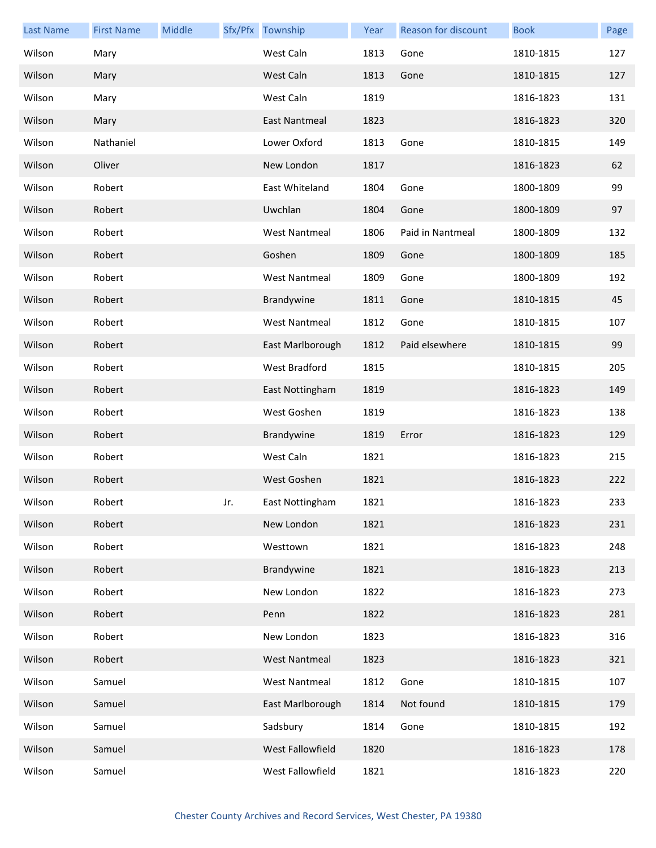| <b>Last Name</b> | <b>First Name</b> | Middle |     | Sfx/Pfx Township     | Year | Reason for discount | <b>Book</b> | Page |
|------------------|-------------------|--------|-----|----------------------|------|---------------------|-------------|------|
| Wilson           | Mary              |        |     | West Caln            | 1813 | Gone                | 1810-1815   | 127  |
| Wilson           | Mary              |        |     | West Caln            | 1813 | Gone                | 1810-1815   | 127  |
| Wilson           | Mary              |        |     | West Caln            | 1819 |                     | 1816-1823   | 131  |
| Wilson           | Mary              |        |     | East Nantmeal        | 1823 |                     | 1816-1823   | 320  |
| Wilson           | Nathaniel         |        |     | Lower Oxford         | 1813 | Gone                | 1810-1815   | 149  |
| Wilson           | Oliver            |        |     | New London           | 1817 |                     | 1816-1823   | 62   |
| Wilson           | Robert            |        |     | East Whiteland       | 1804 | Gone                | 1800-1809   | 99   |
| Wilson           | Robert            |        |     | Uwchlan              | 1804 | Gone                | 1800-1809   | 97   |
| Wilson           | Robert            |        |     | <b>West Nantmeal</b> | 1806 | Paid in Nantmeal    | 1800-1809   | 132  |
| Wilson           | Robert            |        |     | Goshen               | 1809 | Gone                | 1800-1809   | 185  |
| Wilson           | Robert            |        |     | <b>West Nantmeal</b> | 1809 | Gone                | 1800-1809   | 192  |
| Wilson           | Robert            |        |     | Brandywine           | 1811 | Gone                | 1810-1815   | 45   |
| Wilson           | Robert            |        |     | <b>West Nantmeal</b> | 1812 | Gone                | 1810-1815   | 107  |
| Wilson           | Robert            |        |     | East Marlborough     | 1812 | Paid elsewhere      | 1810-1815   | 99   |
| Wilson           | Robert            |        |     | West Bradford        | 1815 |                     | 1810-1815   | 205  |
| Wilson           | Robert            |        |     | East Nottingham      | 1819 |                     | 1816-1823   | 149  |
| Wilson           | Robert            |        |     | West Goshen          | 1819 |                     | 1816-1823   | 138  |
| Wilson           | Robert            |        |     | Brandywine           | 1819 | Error               | 1816-1823   | 129  |
| Wilson           | Robert            |        |     | West Caln            | 1821 |                     | 1816-1823   | 215  |
| Wilson           | Robert            |        |     | West Goshen          | 1821 |                     | 1816-1823   | 222  |
| Wilson           | Robert            |        | Jr. | East Nottingham      | 1821 |                     | 1816-1823   | 233  |
| Wilson           | Robert            |        |     | New London           | 1821 |                     | 1816-1823   | 231  |
| Wilson           | Robert            |        |     | Westtown             | 1821 |                     | 1816-1823   | 248  |
| Wilson           | Robert            |        |     | Brandywine           | 1821 |                     | 1816-1823   | 213  |
| Wilson           | Robert            |        |     | New London           | 1822 |                     | 1816-1823   | 273  |
| Wilson           | Robert            |        |     | Penn                 | 1822 |                     | 1816-1823   | 281  |
| Wilson           | Robert            |        |     | New London           | 1823 |                     | 1816-1823   | 316  |
| Wilson           | Robert            |        |     | <b>West Nantmeal</b> | 1823 |                     | 1816-1823   | 321  |
| Wilson           | Samuel            |        |     | <b>West Nantmeal</b> | 1812 | Gone                | 1810-1815   | 107  |
| Wilson           | Samuel            |        |     | East Marlborough     | 1814 | Not found           | 1810-1815   | 179  |
| Wilson           | Samuel            |        |     | Sadsbury             | 1814 | Gone                | 1810-1815   | 192  |
| Wilson           | Samuel            |        |     | West Fallowfield     | 1820 |                     | 1816-1823   | 178  |
| Wilson           | Samuel            |        |     | West Fallowfield     | 1821 |                     | 1816-1823   | 220  |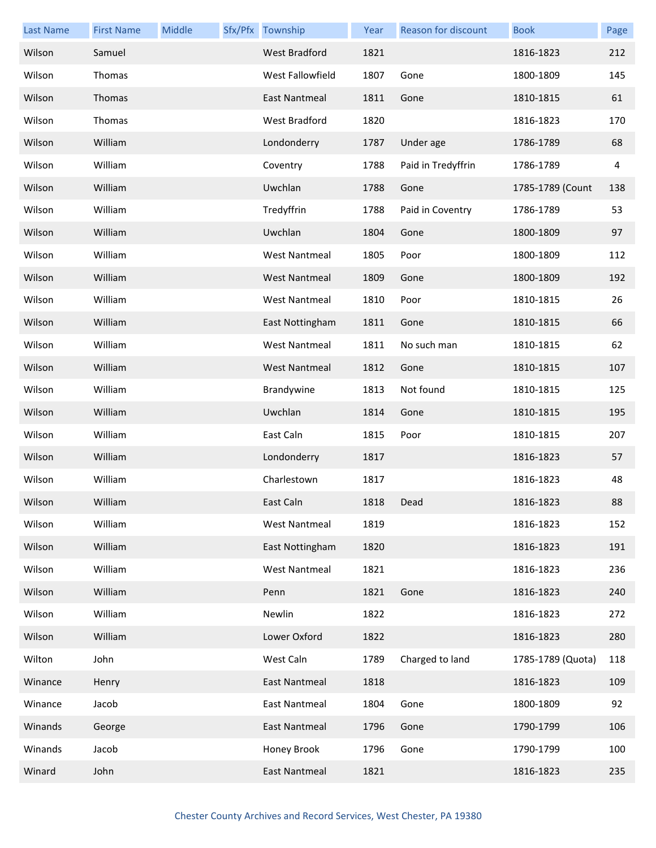| <b>Last Name</b> | <b>First Name</b> | Middle | Sfx/Pfx Township     | Year | <b>Reason for discount</b> | <b>Book</b>       | Page |
|------------------|-------------------|--------|----------------------|------|----------------------------|-------------------|------|
| Wilson           | Samuel            |        | West Bradford        | 1821 |                            | 1816-1823         | 212  |
| Wilson           | Thomas            |        | West Fallowfield     | 1807 | Gone                       | 1800-1809         | 145  |
| Wilson           | Thomas            |        | <b>East Nantmeal</b> | 1811 | Gone                       | 1810-1815         | 61   |
| Wilson           | Thomas            |        | West Bradford        | 1820 |                            | 1816-1823         | 170  |
| Wilson           | William           |        | Londonderry          | 1787 | Under age                  | 1786-1789         | 68   |
| Wilson           | William           |        | Coventry             | 1788 | Paid in Tredyffrin         | 1786-1789         | 4    |
| Wilson           | William           |        | Uwchlan              | 1788 | Gone                       | 1785-1789 (Count  | 138  |
| Wilson           | William           |        | Tredyffrin           | 1788 | Paid in Coventry           | 1786-1789         | 53   |
| Wilson           | William           |        | Uwchlan              | 1804 | Gone                       | 1800-1809         | 97   |
| Wilson           | William           |        | <b>West Nantmeal</b> | 1805 | Poor                       | 1800-1809         | 112  |
| Wilson           | William           |        | <b>West Nantmeal</b> | 1809 | Gone                       | 1800-1809         | 192  |
| Wilson           | William           |        | <b>West Nantmeal</b> | 1810 | Poor                       | 1810-1815         | 26   |
| Wilson           | William           |        | East Nottingham      | 1811 | Gone                       | 1810-1815         | 66   |
| Wilson           | William           |        | <b>West Nantmeal</b> | 1811 | No such man                | 1810-1815         | 62   |
| Wilson           | William           |        | <b>West Nantmeal</b> | 1812 | Gone                       | 1810-1815         | 107  |
| Wilson           | William           |        | Brandywine           | 1813 | Not found                  | 1810-1815         | 125  |
| Wilson           | William           |        | Uwchlan              | 1814 | Gone                       | 1810-1815         | 195  |
| Wilson           | William           |        | East Caln            | 1815 | Poor                       | 1810-1815         | 207  |
| Wilson           | William           |        | Londonderry          | 1817 |                            | 1816-1823         | 57   |
| Wilson           | William           |        | Charlestown          | 1817 |                            | 1816-1823         | 48   |
| Wilson           | William           |        | East Caln            | 1818 | Dead                       | 1816-1823         | 88   |
| Wilson           | William           |        | West Nantmeal        | 1819 |                            | 1816-1823         | 152  |
| Wilson           | William           |        | East Nottingham      | 1820 |                            | 1816-1823         | 191  |
| Wilson           | William           |        | <b>West Nantmeal</b> | 1821 |                            | 1816-1823         | 236  |
| Wilson           | William           |        | Penn                 | 1821 | Gone                       | 1816-1823         | 240  |
| Wilson           | William           |        | Newlin               | 1822 |                            | 1816-1823         | 272  |
| Wilson           | William           |        | Lower Oxford         | 1822 |                            | 1816-1823         | 280  |
| Wilton           | John              |        | West Caln            | 1789 | Charged to land            | 1785-1789 (Quota) | 118  |
| Winance          | Henry             |        | <b>East Nantmeal</b> | 1818 |                            | 1816-1823         | 109  |
| Winance          | Jacob             |        | East Nantmeal        | 1804 | Gone                       | 1800-1809         | 92   |
| Winands          | George            |        | East Nantmeal        | 1796 | Gone                       | 1790-1799         | 106  |
| Winands          | Jacob             |        | Honey Brook          | 1796 | Gone                       | 1790-1799         | 100  |
| Winard           | John              |        | <b>East Nantmeal</b> | 1821 |                            | 1816-1823         | 235  |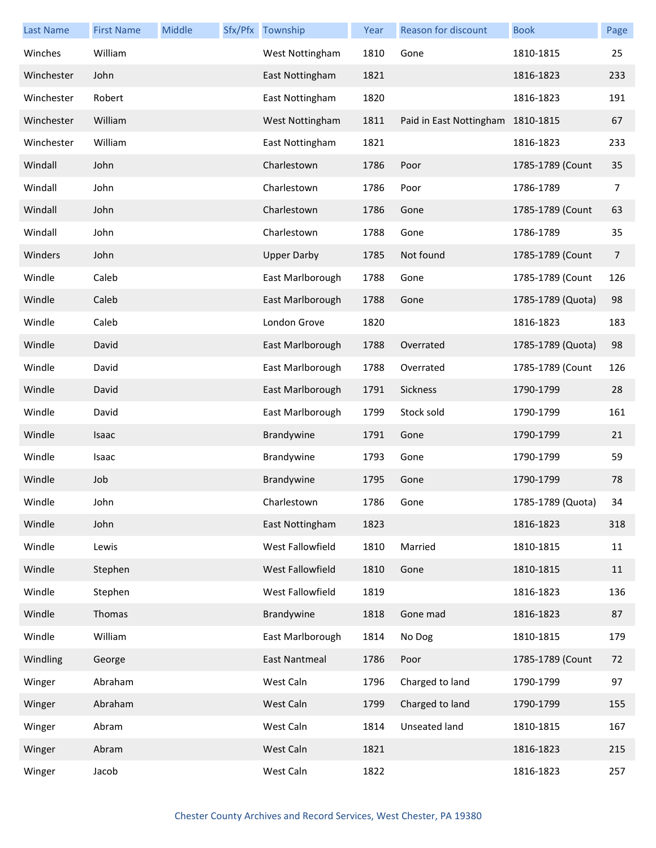| <b>Last Name</b> | <b>First Name</b> | Middle | Sfx/Pfx Township     | Year | Reason for discount     | <b>Book</b>       | Page |
|------------------|-------------------|--------|----------------------|------|-------------------------|-------------------|------|
| Winches          | William           |        | West Nottingham      | 1810 | Gone                    | 1810-1815         | 25   |
| Winchester       | John              |        | East Nottingham      | 1821 |                         | 1816-1823         | 233  |
| Winchester       | Robert            |        | East Nottingham      | 1820 |                         | 1816-1823         | 191  |
| Winchester       | William           |        | West Nottingham      | 1811 | Paid in East Nottingham | 1810-1815         | 67   |
| Winchester       | William           |        | East Nottingham      | 1821 |                         | 1816-1823         | 233  |
| Windall          | John              |        | Charlestown          | 1786 | Poor                    | 1785-1789 (Count  | 35   |
| Windall          | John              |        | Charlestown          | 1786 | Poor                    | 1786-1789         | 7    |
| Windall          | John              |        | Charlestown          | 1786 | Gone                    | 1785-1789 (Count  | 63   |
| Windall          | John              |        | Charlestown          | 1788 | Gone                    | 1786-1789         | 35   |
| Winders          | John              |        | <b>Upper Darby</b>   | 1785 | Not found               | 1785-1789 (Count  | 7    |
| Windle           | Caleb             |        | East Marlborough     | 1788 | Gone                    | 1785-1789 (Count  | 126  |
| Windle           | Caleb             |        | East Marlborough     | 1788 | Gone                    | 1785-1789 (Quota) | 98   |
| Windle           | Caleb             |        | London Grove         | 1820 |                         | 1816-1823         | 183  |
| Windle           | David             |        | East Marlborough     | 1788 | Overrated               | 1785-1789 (Quota) | 98   |
| Windle           | David             |        | East Marlborough     | 1788 | Overrated               | 1785-1789 (Count  | 126  |
| Windle           | David             |        | East Marlborough     | 1791 | Sickness                | 1790-1799         | 28   |
| Windle           | David             |        | East Marlborough     | 1799 | Stock sold              | 1790-1799         | 161  |
| Windle           | Isaac             |        | Brandywine           | 1791 | Gone                    | 1790-1799         | 21   |
| Windle           | Isaac             |        | Brandywine           | 1793 | Gone                    | 1790-1799         | 59   |
| Windle           | Job               |        | Brandywine           | 1795 | Gone                    | 1790-1799         | 78   |
| Windle           | John              |        | Charlestown          | 1786 | Gone                    | 1785-1789 (Quota) | 34   |
| Windle           | John              |        | East Nottingham      | 1823 |                         | 1816-1823         | 318  |
| Windle           | Lewis             |        | West Fallowfield     | 1810 | Married                 | 1810-1815         | 11   |
| Windle           | Stephen           |        | West Fallowfield     | 1810 | Gone                    | 1810-1815         | 11   |
| Windle           | Stephen           |        | West Fallowfield     | 1819 |                         | 1816-1823         | 136  |
| Windle           | Thomas            |        | Brandywine           | 1818 | Gone mad                | 1816-1823         | 87   |
| Windle           | William           |        | East Marlborough     | 1814 | No Dog                  | 1810-1815         | 179  |
| Windling         | George            |        | <b>East Nantmeal</b> | 1786 | Poor                    | 1785-1789 (Count  | 72   |
| Winger           | Abraham           |        | West Caln            | 1796 | Charged to land         | 1790-1799         | 97   |
| Winger           | Abraham           |        | West Caln            | 1799 | Charged to land         | 1790-1799         | 155  |
| Winger           | Abram             |        | West Caln            | 1814 | Unseated land           | 1810-1815         | 167  |
| Winger           | Abram             |        | West Caln            | 1821 |                         | 1816-1823         | 215  |
| Winger           | Jacob             |        | West Caln            | 1822 |                         | 1816-1823         | 257  |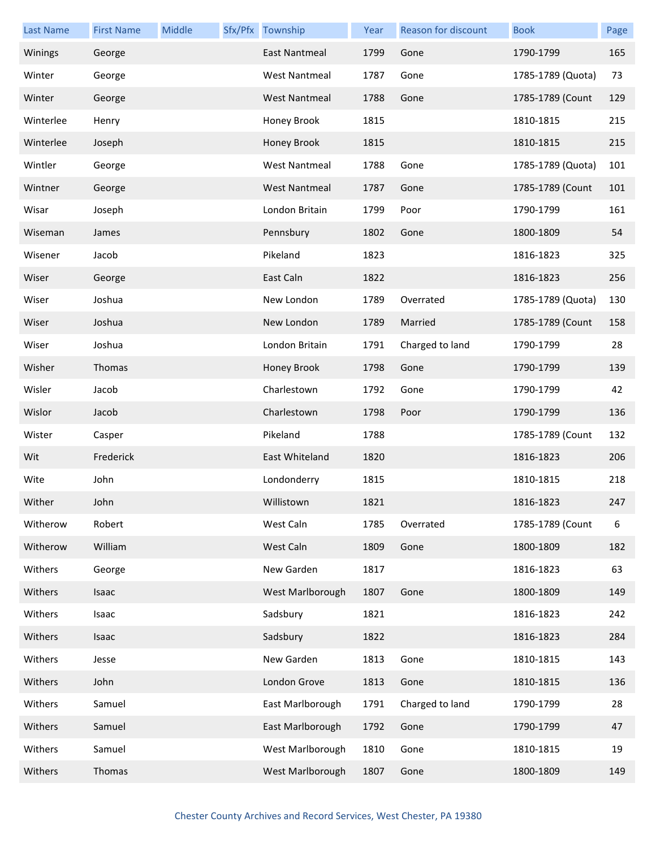| <b>Last Name</b> | <b>First Name</b> | Middle | Sfx/Pfx Township     | Year | Reason for discount | <b>Book</b>       | Page |
|------------------|-------------------|--------|----------------------|------|---------------------|-------------------|------|
| Winings          | George            |        | <b>East Nantmeal</b> | 1799 | Gone                | 1790-1799         | 165  |
| Winter           | George            |        | <b>West Nantmeal</b> | 1787 | Gone                | 1785-1789 (Quota) | 73   |
| Winter           | George            |        | <b>West Nantmeal</b> | 1788 | Gone                | 1785-1789 (Count  | 129  |
| Winterlee        | Henry             |        | Honey Brook          | 1815 |                     | 1810-1815         | 215  |
| Winterlee        | Joseph            |        | Honey Brook          | 1815 |                     | 1810-1815         | 215  |
| Wintler          | George            |        | <b>West Nantmeal</b> | 1788 | Gone                | 1785-1789 (Quota) | 101  |
| Wintner          | George            |        | <b>West Nantmeal</b> | 1787 | Gone                | 1785-1789 (Count  | 101  |
| Wisar            | Joseph            |        | London Britain       | 1799 | Poor                | 1790-1799         | 161  |
| Wiseman          | James             |        | Pennsbury            | 1802 | Gone                | 1800-1809         | 54   |
| Wisener          | Jacob             |        | Pikeland             | 1823 |                     | 1816-1823         | 325  |
| Wiser            | George            |        | East Caln            | 1822 |                     | 1816-1823         | 256  |
| Wiser            | Joshua            |        | New London           | 1789 | Overrated           | 1785-1789 (Quota) | 130  |
| Wiser            | Joshua            |        | New London           | 1789 | Married             | 1785-1789 (Count  | 158  |
| Wiser            | Joshua            |        | London Britain       | 1791 | Charged to land     | 1790-1799         | 28   |
| Wisher           | Thomas            |        | Honey Brook          | 1798 | Gone                | 1790-1799         | 139  |
| Wisler           | Jacob             |        | Charlestown          | 1792 | Gone                | 1790-1799         | 42   |
| Wislor           | Jacob             |        | Charlestown          | 1798 | Poor                | 1790-1799         | 136  |
| Wister           | Casper            |        | Pikeland             | 1788 |                     | 1785-1789 (Count  | 132  |
| Wit              | Frederick         |        | East Whiteland       | 1820 |                     | 1816-1823         | 206  |
| Wite             | John              |        | Londonderry          | 1815 |                     | 1810-1815         | 218  |
| Wither           | John              |        | Willistown           | 1821 |                     | 1816-1823         | 247  |
| Witherow         | Robert            |        | West Caln            | 1785 | Overrated           | 1785-1789 (Count  | 6    |
| Witherow         | William           |        | West Caln            | 1809 | Gone                | 1800-1809         | 182  |
| Withers          | George            |        | New Garden           | 1817 |                     | 1816-1823         | 63   |
| Withers          | Isaac             |        | West Marlborough     | 1807 | Gone                | 1800-1809         | 149  |
| Withers          | Isaac             |        | Sadsbury             | 1821 |                     | 1816-1823         | 242  |
| Withers          | Isaac             |        | Sadsbury             | 1822 |                     | 1816-1823         | 284  |
| Withers          | Jesse             |        | New Garden           | 1813 | Gone                | 1810-1815         | 143  |
| Withers          | John              |        | London Grove         | 1813 | Gone                | 1810-1815         | 136  |
| Withers          | Samuel            |        | East Marlborough     | 1791 | Charged to land     | 1790-1799         | 28   |
| Withers          | Samuel            |        | East Marlborough     | 1792 | Gone                | 1790-1799         | 47   |
| Withers          | Samuel            |        | West Marlborough     | 1810 | Gone                | 1810-1815         | 19   |
| Withers          | Thomas            |        | West Marlborough     | 1807 | Gone                | 1800-1809         | 149  |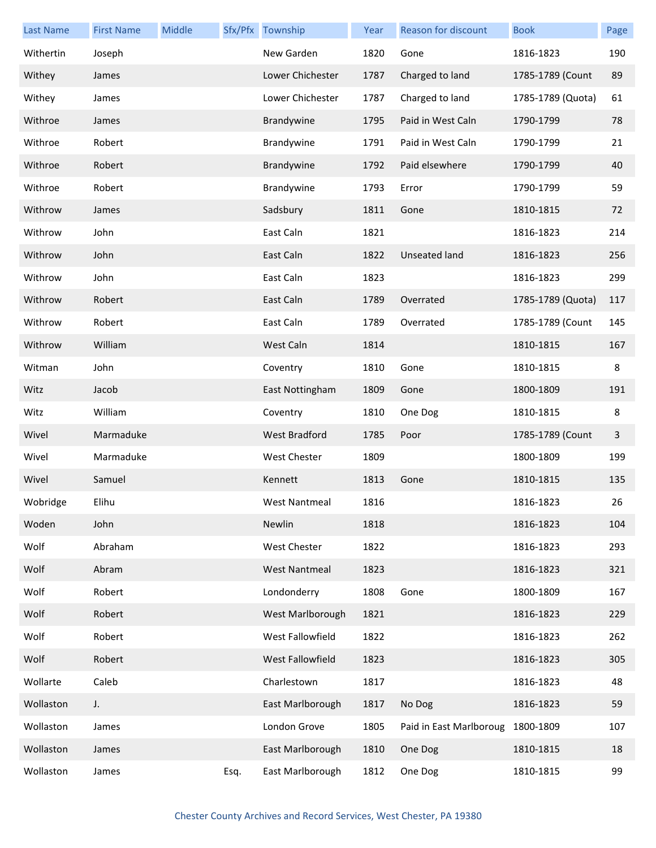| <b>Last Name</b> | <b>First Name</b> | Middle |      | Sfx/Pfx Township     | Year | <b>Reason for discount</b> | <b>Book</b>       | Page |
|------------------|-------------------|--------|------|----------------------|------|----------------------------|-------------------|------|
| Withertin        | Joseph            |        |      | New Garden           | 1820 | Gone                       | 1816-1823         | 190  |
| Withey           | James             |        |      | Lower Chichester     | 1787 | Charged to land            | 1785-1789 (Count  | 89   |
| Withey           | James             |        |      | Lower Chichester     | 1787 | Charged to land            | 1785-1789 (Quota) | 61   |
| Withroe          | James             |        |      | Brandywine           | 1795 | Paid in West Caln          | 1790-1799         | 78   |
| Withroe          | Robert            |        |      | Brandywine           | 1791 | Paid in West Caln          | 1790-1799         | 21   |
| Withroe          | Robert            |        |      | Brandywine           | 1792 | Paid elsewhere             | 1790-1799         | 40   |
| Withroe          | Robert            |        |      | Brandywine           | 1793 | Error                      | 1790-1799         | 59   |
| Withrow          | James             |        |      | Sadsbury             | 1811 | Gone                       | 1810-1815         | 72   |
| Withrow          | John              |        |      | East Caln            | 1821 |                            | 1816-1823         | 214  |
| Withrow          | John              |        |      | East Caln            | 1822 | Unseated land              | 1816-1823         | 256  |
| Withrow          | John              |        |      | East Caln            | 1823 |                            | 1816-1823         | 299  |
| Withrow          | Robert            |        |      | East Caln            | 1789 | Overrated                  | 1785-1789 (Quota) | 117  |
| Withrow          | Robert            |        |      | East Caln            | 1789 | Overrated                  | 1785-1789 (Count  | 145  |
| Withrow          | William           |        |      | West Caln            | 1814 |                            | 1810-1815         | 167  |
| Witman           | John              |        |      | Coventry             | 1810 | Gone                       | 1810-1815         | 8    |
| Witz             | Jacob             |        |      | East Nottingham      | 1809 | Gone                       | 1800-1809         | 191  |
| Witz             | William           |        |      | Coventry             | 1810 | One Dog                    | 1810-1815         | 8    |
| Wivel            | Marmaduke         |        |      | <b>West Bradford</b> | 1785 | Poor                       | 1785-1789 (Count  | 3    |
| Wivel            | Marmaduke         |        |      | West Chester         | 1809 |                            | 1800-1809         | 199  |
| Wivel            | Samuel            |        |      | Kennett              | 1813 | Gone                       | 1810-1815         | 135  |
| Wobridge         | Elihu             |        |      | West Nantmeal        | 1816 |                            | 1816-1823         | 26   |
| Woden            | John              |        |      | Newlin               | 1818 |                            | 1816-1823         | 104  |
| Wolf             | Abraham           |        |      | <b>West Chester</b>  | 1822 |                            | 1816-1823         | 293  |
| Wolf             | Abram             |        |      | <b>West Nantmeal</b> | 1823 |                            | 1816-1823         | 321  |
| Wolf             | Robert            |        |      | Londonderry          | 1808 | Gone                       | 1800-1809         | 167  |
| Wolf             | Robert            |        |      | West Marlborough     | 1821 |                            | 1816-1823         | 229  |
| Wolf             | Robert            |        |      | West Fallowfield     | 1822 |                            | 1816-1823         | 262  |
| Wolf             | Robert            |        |      | West Fallowfield     | 1823 |                            | 1816-1823         | 305  |
| Wollarte         | Caleb             |        |      | Charlestown          | 1817 |                            | 1816-1823         | 48   |
| Wollaston        | J.                |        |      | East Marlborough     | 1817 | No Dog                     | 1816-1823         | 59   |
| Wollaston        | James             |        |      | London Grove         | 1805 | Paid in East Marlboroug    | 1800-1809         | 107  |
| Wollaston        | James             |        |      | East Marlborough     | 1810 | One Dog                    | 1810-1815         | 18   |
| Wollaston        | James             |        | Esq. | East Marlborough     | 1812 | One Dog                    | 1810-1815         | 99   |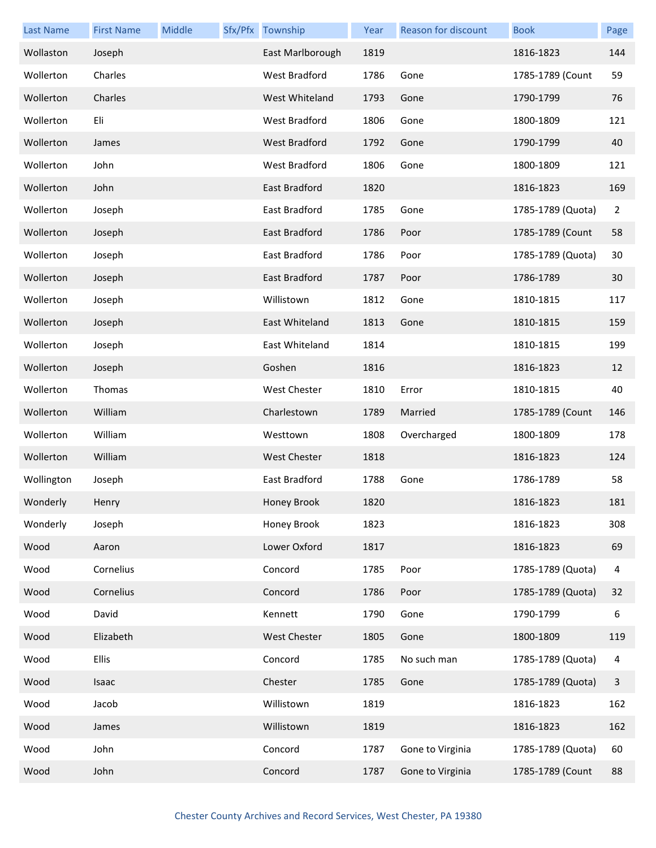| <b>Last Name</b> | <b>First Name</b> | Middle | Sfx/Pfx Township     | Year | Reason for discount | <b>Book</b>       | Page         |
|------------------|-------------------|--------|----------------------|------|---------------------|-------------------|--------------|
| Wollaston        | Joseph            |        | East Marlborough     | 1819 |                     | 1816-1823         | 144          |
| Wollerton        | Charles           |        | <b>West Bradford</b> | 1786 | Gone                | 1785-1789 (Count  | 59           |
| Wollerton        | Charles           |        | West Whiteland       | 1793 | Gone                | 1790-1799         | 76           |
| Wollerton        | Eli               |        | West Bradford        | 1806 | Gone                | 1800-1809         | 121          |
| Wollerton        | James             |        | <b>West Bradford</b> | 1792 | Gone                | 1790-1799         | 40           |
| Wollerton        | John              |        | <b>West Bradford</b> | 1806 | Gone                | 1800-1809         | 121          |
| Wollerton        | John              |        | East Bradford        | 1820 |                     | 1816-1823         | 169          |
| Wollerton        | Joseph            |        | East Bradford        | 1785 | Gone                | 1785-1789 (Quota) | 2            |
| Wollerton        | Joseph            |        | East Bradford        | 1786 | Poor                | 1785-1789 (Count  | 58           |
| Wollerton        | Joseph            |        | East Bradford        | 1786 | Poor                | 1785-1789 (Quota) | 30           |
| Wollerton        | Joseph            |        | East Bradford        | 1787 | Poor                | 1786-1789         | 30           |
| Wollerton        | Joseph            |        | Willistown           | 1812 | Gone                | 1810-1815         | 117          |
| Wollerton        | Joseph            |        | East Whiteland       | 1813 | Gone                | 1810-1815         | 159          |
| Wollerton        | Joseph            |        | East Whiteland       | 1814 |                     | 1810-1815         | 199          |
| Wollerton        | Joseph            |        | Goshen               | 1816 |                     | 1816-1823         | 12           |
| Wollerton        | Thomas            |        | West Chester         | 1810 | Error               | 1810-1815         | 40           |
| Wollerton        | William           |        | Charlestown          | 1789 | Married             | 1785-1789 (Count  | 146          |
| Wollerton        | William           |        | Westtown             | 1808 | Overcharged         | 1800-1809         | 178          |
| Wollerton        | William           |        | <b>West Chester</b>  | 1818 |                     | 1816-1823         | 124          |
| Wollington       | Joseph            |        | East Bradford        | 1788 | Gone                | 1786-1789         | 58           |
| Wonderly         | Henry             |        | Honey Brook          | 1820 |                     | 1816-1823         | 181          |
| Wonderly         | Joseph            |        | Honey Brook          | 1823 |                     | 1816-1823         | 308          |
| Wood             | Aaron             |        | Lower Oxford         | 1817 |                     | 1816-1823         | 69           |
| Wood             | Cornelius         |        | Concord              | 1785 | Poor                | 1785-1789 (Quota) | 4            |
| Wood             | Cornelius         |        | Concord              | 1786 | Poor                | 1785-1789 (Quota) | 32           |
| Wood             | David             |        | Kennett              | 1790 | Gone                | 1790-1799         | 6            |
| Wood             | Elizabeth         |        | West Chester         | 1805 | Gone                | 1800-1809         | 119          |
| Wood             | Ellis             |        | Concord              | 1785 | No such man         | 1785-1789 (Quota) | 4            |
| Wood             | Isaac             |        | Chester              | 1785 | Gone                | 1785-1789 (Quota) | $\mathbf{3}$ |
| Wood             | Jacob             |        | Willistown           | 1819 |                     | 1816-1823         | 162          |
| Wood             | James             |        | Willistown           | 1819 |                     | 1816-1823         | 162          |
| Wood             | John              |        | Concord              | 1787 | Gone to Virginia    | 1785-1789 (Quota) | 60           |
| Wood             | John              |        | Concord              | 1787 | Gone to Virginia    | 1785-1789 (Count  | 88           |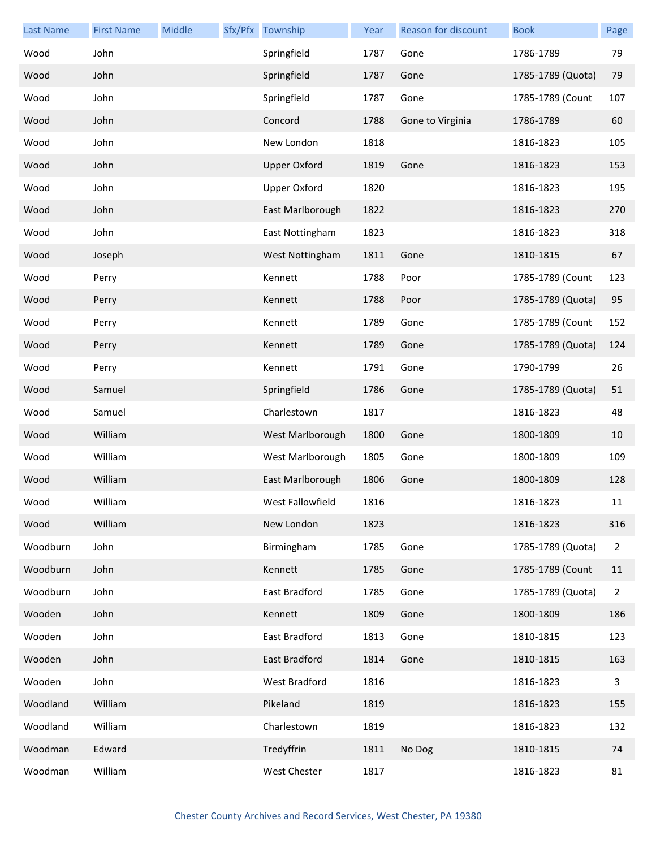| <b>Last Name</b> | <b>First Name</b> | Middle | Sfx/Pfx Township    | Year | <b>Reason for discount</b> | <b>Book</b>       | Page           |
|------------------|-------------------|--------|---------------------|------|----------------------------|-------------------|----------------|
| Wood             | John              |        | Springfield         | 1787 | Gone                       | 1786-1789         | 79             |
| Wood             | John              |        | Springfield         | 1787 | Gone                       | 1785-1789 (Quota) | 79             |
| Wood             | John              |        | Springfield         | 1787 | Gone                       | 1785-1789 (Count  | 107            |
| Wood             | John              |        | Concord             | 1788 | Gone to Virginia           | 1786-1789         | 60             |
| Wood             | John              |        | New London          | 1818 |                            | 1816-1823         | 105            |
| Wood             | John              |        | <b>Upper Oxford</b> | 1819 | Gone                       | 1816-1823         | 153            |
| Wood             | John              |        | <b>Upper Oxford</b> | 1820 |                            | 1816-1823         | 195            |
| Wood             | John              |        | East Marlborough    | 1822 |                            | 1816-1823         | 270            |
| Wood             | John              |        | East Nottingham     | 1823 |                            | 1816-1823         | 318            |
| Wood             | Joseph            |        | West Nottingham     | 1811 | Gone                       | 1810-1815         | 67             |
| Wood             | Perry             |        | Kennett             | 1788 | Poor                       | 1785-1789 (Count  | 123            |
| Wood             | Perry             |        | Kennett             | 1788 | Poor                       | 1785-1789 (Quota) | 95             |
| Wood             | Perry             |        | Kennett             | 1789 | Gone                       | 1785-1789 (Count  | 152            |
| Wood             | Perry             |        | Kennett             | 1789 | Gone                       | 1785-1789 (Quota) | 124            |
| Wood             | Perry             |        | Kennett             | 1791 | Gone                       | 1790-1799         | 26             |
| Wood             | Samuel            |        | Springfield         | 1786 | Gone                       | 1785-1789 (Quota) | 51             |
| Wood             | Samuel            |        | Charlestown         | 1817 |                            | 1816-1823         | 48             |
| Wood             | William           |        | West Marlborough    | 1800 | Gone                       | 1800-1809         | 10             |
| Wood             | William           |        | West Marlborough    | 1805 | Gone                       | 1800-1809         | 109            |
| Wood             | William           |        | East Marlborough    | 1806 | Gone                       | 1800-1809         | 128            |
| Wood             | William           |        | West Fallowfield    | 1816 |                            | 1816-1823         | 11             |
| Wood             | William           |        | New London          | 1823 |                            | 1816-1823         | 316            |
| Woodburn         | John              |        | Birmingham          | 1785 | Gone                       | 1785-1789 (Quota) | $\overline{2}$ |
| Woodburn         | John              |        | Kennett             | 1785 | Gone                       | 1785-1789 (Count  | 11             |
| Woodburn         | John              |        | East Bradford       | 1785 | Gone                       | 1785-1789 (Quota) | $\overline{2}$ |
| Wooden           | John              |        | Kennett             | 1809 | Gone                       | 1800-1809         | 186            |
| Wooden           | John              |        | East Bradford       | 1813 | Gone                       | 1810-1815         | 123            |
| Wooden           | John              |        | East Bradford       | 1814 | Gone                       | 1810-1815         | 163            |
| Wooden           | John              |        | West Bradford       | 1816 |                            | 1816-1823         | 3              |
| Woodland         | William           |        | Pikeland            | 1819 |                            | 1816-1823         | 155            |
| Woodland         | William           |        | Charlestown         | 1819 |                            | 1816-1823         | 132            |
| Woodman          | Edward            |        | Tredyffrin          | 1811 | No Dog                     | 1810-1815         | 74             |
| Woodman          | William           |        | West Chester        | 1817 |                            | 1816-1823         | 81             |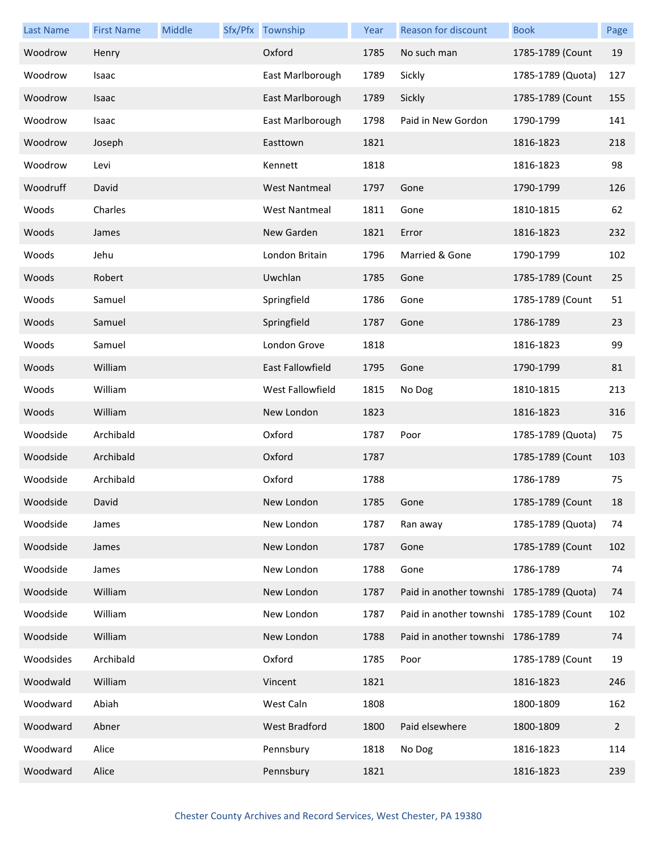| <b>Last Name</b> | <b>First Name</b> | Middle | Sfx/Pfx Township     | Year | Reason for discount                       | <b>Book</b>       | Page           |
|------------------|-------------------|--------|----------------------|------|-------------------------------------------|-------------------|----------------|
| Woodrow          | Henry             |        | Oxford               | 1785 | No such man                               | 1785-1789 (Count  | 19             |
| Woodrow          | Isaac             |        | East Marlborough     | 1789 | Sickly                                    | 1785-1789 (Quota) | 127            |
| Woodrow          | Isaac             |        | East Marlborough     | 1789 | Sickly                                    | 1785-1789 (Count  | 155            |
| Woodrow          | Isaac             |        | East Marlborough     | 1798 | Paid in New Gordon                        | 1790-1799         | 141            |
| Woodrow          | Joseph            |        | Easttown             | 1821 |                                           | 1816-1823         | 218            |
| Woodrow          | Levi              |        | Kennett              | 1818 |                                           | 1816-1823         | 98             |
| Woodruff         | David             |        | <b>West Nantmeal</b> | 1797 | Gone                                      | 1790-1799         | 126            |
| Woods            | Charles           |        | <b>West Nantmeal</b> | 1811 | Gone                                      | 1810-1815         | 62             |
| Woods            | James             |        | New Garden           | 1821 | Error                                     | 1816-1823         | 232            |
| Woods            | Jehu              |        | London Britain       | 1796 | Married & Gone                            | 1790-1799         | 102            |
| Woods            | Robert            |        | Uwchlan              | 1785 | Gone                                      | 1785-1789 (Count  | 25             |
| Woods            | Samuel            |        | Springfield          | 1786 | Gone                                      | 1785-1789 (Count  | 51             |
| Woods            | Samuel            |        | Springfield          | 1787 | Gone                                      | 1786-1789         | 23             |
| Woods            | Samuel            |        | London Grove         | 1818 |                                           | 1816-1823         | 99             |
| Woods            | William           |        | East Fallowfield     | 1795 | Gone                                      | 1790-1799         | 81             |
| Woods            | William           |        | West Fallowfield     | 1815 | No Dog                                    | 1810-1815         | 213            |
| Woods            | William           |        | New London           | 1823 |                                           | 1816-1823         | 316            |
| Woodside         | Archibald         |        | Oxford               | 1787 | Poor                                      | 1785-1789 (Quota) | 75             |
| Woodside         | Archibald         |        | Oxford               | 1787 |                                           | 1785-1789 (Count  | 103            |
| Woodside         | Archibald         |        | Oxford               | 1788 |                                           | 1786-1789         | 75             |
| Woodside         | David             |        | New London           | 1785 | Gone                                      | 1785-1789 (Count  | 18             |
| Woodside         | James             |        | New London           | 1787 | Ran away                                  | 1785-1789 (Quota) | 74             |
| Woodside         | James             |        | New London           | 1787 | Gone                                      | 1785-1789 (Count  | 102            |
| Woodside         | James             |        | New London           | 1788 | Gone                                      | 1786-1789         | 74             |
| Woodside         | William           |        | New London           | 1787 | Paid in another townshi 1785-1789 (Quota) |                   | 74             |
| Woodside         | William           |        | New London           | 1787 | Paid in another townshi 1785-1789 (Count  |                   | 102            |
| Woodside         | William           |        | New London           | 1788 | Paid in another townshi 1786-1789         |                   | 74             |
| Woodsides        | Archibald         |        | Oxford               | 1785 | Poor                                      | 1785-1789 (Count  | 19             |
| Woodwald         | William           |        | Vincent              | 1821 |                                           | 1816-1823         | 246            |
| Woodward         | Abiah             |        | West Caln            | 1808 |                                           | 1800-1809         | 162            |
| Woodward         | Abner             |        | West Bradford        | 1800 | Paid elsewhere                            | 1800-1809         | $\overline{2}$ |
| Woodward         | Alice             |        | Pennsbury            | 1818 | No Dog                                    | 1816-1823         | 114            |
| Woodward         | Alice             |        | Pennsbury            | 1821 |                                           | 1816-1823         | 239            |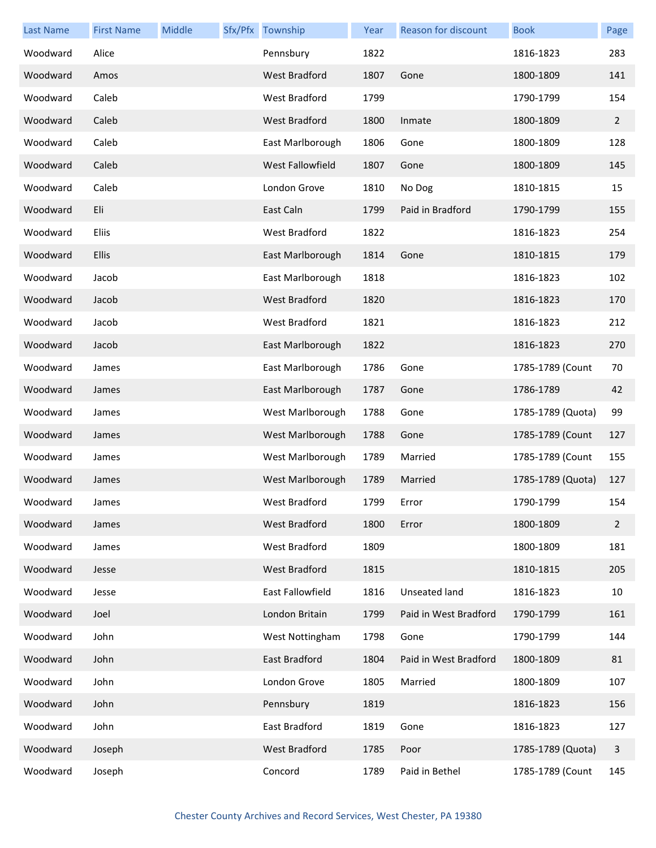| <b>Last Name</b> | <b>First Name</b> | Middle | Sfx/Pfx Township     | Year | <b>Reason for discount</b> | <b>Book</b>       | Page           |
|------------------|-------------------|--------|----------------------|------|----------------------------|-------------------|----------------|
| Woodward         | Alice             |        | Pennsbury            | 1822 |                            | 1816-1823         | 283            |
| Woodward         | Amos              |        | <b>West Bradford</b> | 1807 | Gone                       | 1800-1809         | 141            |
| Woodward         | Caleb             |        | West Bradford        | 1799 |                            | 1790-1799         | 154            |
| Woodward         | Caleb             |        | West Bradford        | 1800 | Inmate                     | 1800-1809         | $\overline{2}$ |
| Woodward         | Caleb             |        | East Marlborough     | 1806 | Gone                       | 1800-1809         | 128            |
| Woodward         | Caleb             |        | West Fallowfield     | 1807 | Gone                       | 1800-1809         | 145            |
| Woodward         | Caleb             |        | London Grove         | 1810 | No Dog                     | 1810-1815         | 15             |
| Woodward         | Eli               |        | East Caln            | 1799 | Paid in Bradford           | 1790-1799         | 155            |
| Woodward         | Eliis             |        | West Bradford        | 1822 |                            | 1816-1823         | 254            |
| Woodward         | <b>Ellis</b>      |        | East Marlborough     | 1814 | Gone                       | 1810-1815         | 179            |
| Woodward         | Jacob             |        | East Marlborough     | 1818 |                            | 1816-1823         | 102            |
| Woodward         | Jacob             |        | West Bradford        | 1820 |                            | 1816-1823         | 170            |
| Woodward         | Jacob             |        | West Bradford        | 1821 |                            | 1816-1823         | 212            |
| Woodward         | Jacob             |        | East Marlborough     | 1822 |                            | 1816-1823         | 270            |
| Woodward         | James             |        | East Marlborough     | 1786 | Gone                       | 1785-1789 (Count  | 70             |
| Woodward         | James             |        | East Marlborough     | 1787 | Gone                       | 1786-1789         | 42             |
| Woodward         | James             |        | West Marlborough     | 1788 | Gone                       | 1785-1789 (Quota) | 99             |
| Woodward         | James             |        | West Marlborough     | 1788 | Gone                       | 1785-1789 (Count  | 127            |
| Woodward         | James             |        | West Marlborough     | 1789 | Married                    | 1785-1789 (Count  | 155            |
| Woodward         | James             |        | West Marlborough     | 1789 | Married                    | 1785-1789 (Quota) | 127            |
| Woodward         | James             |        | West Bradford        | 1799 | Error                      | 1790-1799         | 154            |
| Woodward         | James             |        | West Bradford        | 1800 | Error                      | 1800-1809         | $\overline{2}$ |
| Woodward         | James             |        | West Bradford        | 1809 |                            | 1800-1809         | 181            |
| Woodward         | Jesse             |        | West Bradford        | 1815 |                            | 1810-1815         | 205            |
| Woodward         | Jesse             |        | East Fallowfield     | 1816 | Unseated land              | 1816-1823         | 10             |
| Woodward         | Joel              |        | London Britain       | 1799 | Paid in West Bradford      | 1790-1799         | 161            |
| Woodward         | John              |        | West Nottingham      | 1798 | Gone                       | 1790-1799         | 144            |
| Woodward         | John              |        | East Bradford        | 1804 | Paid in West Bradford      | 1800-1809         | 81             |
| Woodward         | John              |        | London Grove         | 1805 | Married                    | 1800-1809         | 107            |
| Woodward         | John              |        | Pennsbury            | 1819 |                            | 1816-1823         | 156            |
| Woodward         | John              |        | East Bradford        | 1819 | Gone                       | 1816-1823         | 127            |
| Woodward         | Joseph            |        | West Bradford        | 1785 | Poor                       | 1785-1789 (Quota) | 3              |
| Woodward         | Joseph            |        | Concord              | 1789 | Paid in Bethel             | 1785-1789 (Count  | 145            |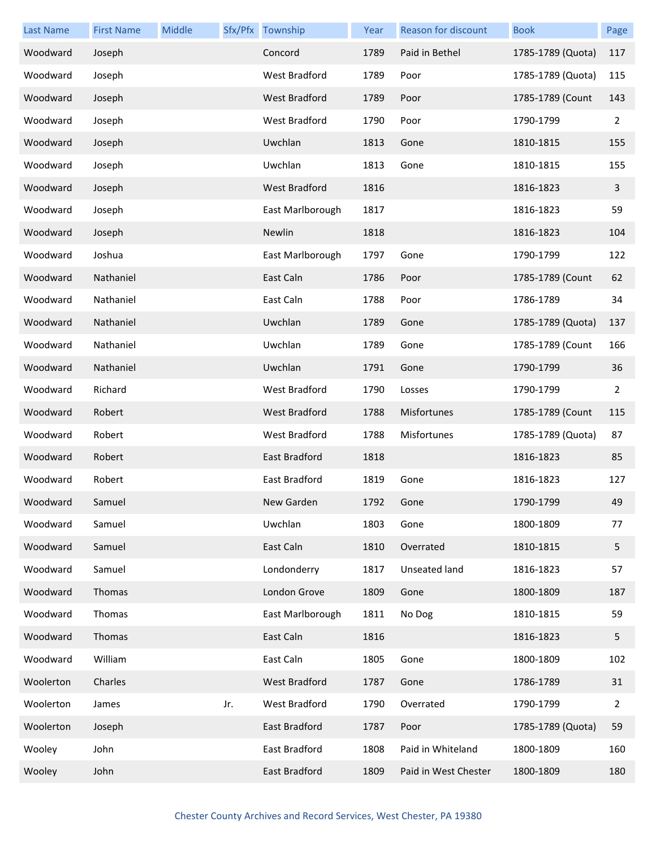| <b>Last Name</b> | <b>First Name</b> | Middle |     | Sfx/Pfx Township     | Year | Reason for discount  | <b>Book</b>       | Page |
|------------------|-------------------|--------|-----|----------------------|------|----------------------|-------------------|------|
| Woodward         | Joseph            |        |     | Concord              | 1789 | Paid in Bethel       | 1785-1789 (Quota) | 117  |
| Woodward         | Joseph            |        |     | West Bradford        | 1789 | Poor                 | 1785-1789 (Quota) | 115  |
| Woodward         | Joseph            |        |     | West Bradford        | 1789 | Poor                 | 1785-1789 (Count  | 143  |
| Woodward         | Joseph            |        |     | West Bradford        | 1790 | Poor                 | 1790-1799         | 2    |
| Woodward         | Joseph            |        |     | Uwchlan              | 1813 | Gone                 | 1810-1815         | 155  |
| Woodward         | Joseph            |        |     | Uwchlan              | 1813 | Gone                 | 1810-1815         | 155  |
| Woodward         | Joseph            |        |     | West Bradford        | 1816 |                      | 1816-1823         | 3    |
| Woodward         | Joseph            |        |     | East Marlborough     | 1817 |                      | 1816-1823         | 59   |
| Woodward         | Joseph            |        |     | Newlin               | 1818 |                      | 1816-1823         | 104  |
| Woodward         | Joshua            |        |     | East Marlborough     | 1797 | Gone                 | 1790-1799         | 122  |
| Woodward         | Nathaniel         |        |     | East Caln            | 1786 | Poor                 | 1785-1789 (Count  | 62   |
| Woodward         | Nathaniel         |        |     | East Caln            | 1788 | Poor                 | 1786-1789         | 34   |
| Woodward         | Nathaniel         |        |     | Uwchlan              | 1789 | Gone                 | 1785-1789 (Quota) | 137  |
| Woodward         | Nathaniel         |        |     | Uwchlan              | 1789 | Gone                 | 1785-1789 (Count  | 166  |
| Woodward         | Nathaniel         |        |     | Uwchlan              | 1791 | Gone                 | 1790-1799         | 36   |
| Woodward         | Richard           |        |     | West Bradford        | 1790 | Losses               | 1790-1799         | 2    |
| Woodward         | Robert            |        |     | <b>West Bradford</b> | 1788 | Misfortunes          | 1785-1789 (Count  | 115  |
| Woodward         | Robert            |        |     | West Bradford        | 1788 | Misfortunes          | 1785-1789 (Quota) | 87   |
| Woodward         | Robert            |        |     | East Bradford        | 1818 |                      | 1816-1823         | 85   |
| Woodward         | Robert            |        |     | East Bradford        | 1819 | Gone                 | 1816-1823         | 127  |
| Woodward         | Samuel            |        |     | New Garden           | 1792 | Gone                 | 1790-1799         | 49   |
| Woodward         | Samuel            |        |     | Uwchlan              | 1803 | Gone                 | 1800-1809         | 77   |
| Woodward         | Samuel            |        |     | East Caln            | 1810 | Overrated            | 1810-1815         | 5    |
| Woodward         | Samuel            |        |     | Londonderry          | 1817 | Unseated land        | 1816-1823         | 57   |
| Woodward         | Thomas            |        |     | London Grove         | 1809 | Gone                 | 1800-1809         | 187  |
| Woodward         | Thomas            |        |     | East Marlborough     | 1811 | No Dog               | 1810-1815         | 59   |
| Woodward         | Thomas            |        |     | East Caln            | 1816 |                      | 1816-1823         | 5    |
| Woodward         | William           |        |     | East Caln            | 1805 | Gone                 | 1800-1809         | 102  |
| Woolerton        | Charles           |        |     | West Bradford        | 1787 | Gone                 | 1786-1789         | 31   |
| Woolerton        | James             |        | Jr. | West Bradford        | 1790 | Overrated            | 1790-1799         | 2    |
| Woolerton        | Joseph            |        |     | East Bradford        | 1787 | Poor                 | 1785-1789 (Quota) | 59   |
| Wooley           | John              |        |     | East Bradford        | 1808 | Paid in Whiteland    | 1800-1809         | 160  |
| Wooley           | John              |        |     | East Bradford        | 1809 | Paid in West Chester | 1800-1809         | 180  |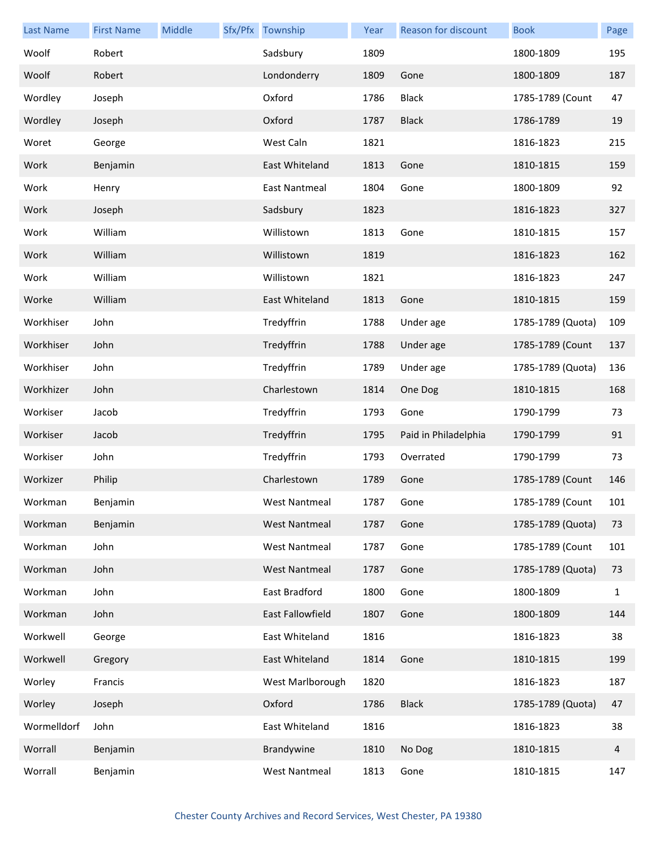| <b>Last Name</b> | <b>First Name</b> | Middle | Sfx/Pfx Township     | Year | Reason for discount  | <b>Book</b>       | Page         |
|------------------|-------------------|--------|----------------------|------|----------------------|-------------------|--------------|
| Woolf            | Robert            |        | Sadsbury             | 1809 |                      | 1800-1809         | 195          |
| Woolf            | Robert            |        | Londonderry          | 1809 | Gone                 | 1800-1809         | 187          |
| Wordley          | Joseph            |        | Oxford               | 1786 | <b>Black</b>         | 1785-1789 (Count  | 47           |
| Wordley          | Joseph            |        | Oxford               | 1787 | <b>Black</b>         | 1786-1789         | 19           |
| Woret            | George            |        | West Caln            | 1821 |                      | 1816-1823         | 215          |
| Work             | Benjamin          |        | East Whiteland       | 1813 | Gone                 | 1810-1815         | 159          |
| Work             | Henry             |        | East Nantmeal        | 1804 | Gone                 | 1800-1809         | 92           |
| Work             | Joseph            |        | Sadsbury             | 1823 |                      | 1816-1823         | 327          |
| Work             | William           |        | Willistown           | 1813 | Gone                 | 1810-1815         | 157          |
| Work             | William           |        | Willistown           | 1819 |                      | 1816-1823         | 162          |
| Work             | William           |        | Willistown           | 1821 |                      | 1816-1823         | 247          |
| Worke            | William           |        | East Whiteland       | 1813 | Gone                 | 1810-1815         | 159          |
| Workhiser        | John              |        | Tredyffrin           | 1788 | Under age            | 1785-1789 (Quota) | 109          |
| Workhiser        | John              |        | Tredyffrin           | 1788 | Under age            | 1785-1789 (Count  | 137          |
| Workhiser        | John              |        | Tredyffrin           | 1789 | Under age            | 1785-1789 (Quota) | 136          |
| Workhizer        | John              |        | Charlestown          | 1814 | One Dog              | 1810-1815         | 168          |
| Workiser         | Jacob             |        | Tredyffrin           | 1793 | Gone                 | 1790-1799         | 73           |
| Workiser         | Jacob             |        | Tredyffrin           | 1795 | Paid in Philadelphia | 1790-1799         | 91           |
| Workiser         | John              |        | Tredyffrin           | 1793 | Overrated            | 1790-1799         | 73           |
| Workizer         | Philip            |        | Charlestown          | 1789 | Gone                 | 1785-1789 (Count  | 146          |
| Workman          | Benjamin          |        | West Nantmeal        | 1787 | Gone                 | 1785-1789 (Count  | 101          |
| Workman          | Benjamin          |        | <b>West Nantmeal</b> | 1787 | Gone                 | 1785-1789 (Quota) | 73           |
| Workman          | John              |        | <b>West Nantmeal</b> | 1787 | Gone                 | 1785-1789 (Count  | 101          |
| Workman          | John              |        | <b>West Nantmeal</b> | 1787 | Gone                 | 1785-1789 (Quota) | 73           |
| Workman          | John              |        | East Bradford        | 1800 | Gone                 | 1800-1809         | $\mathbf{1}$ |
| Workman          | John              |        | East Fallowfield     | 1807 | Gone                 | 1800-1809         | 144          |
| Workwell         | George            |        | East Whiteland       | 1816 |                      | 1816-1823         | 38           |
| Workwell         | Gregory           |        | East Whiteland       | 1814 | Gone                 | 1810-1815         | 199          |
| Worley           | Francis           |        | West Marlborough     | 1820 |                      | 1816-1823         | 187          |
| Worley           | Joseph            |        | Oxford               | 1786 | <b>Black</b>         | 1785-1789 (Quota) | 47           |
| Wormelldorf      | John              |        | East Whiteland       | 1816 |                      | 1816-1823         | 38           |
| Worrall          | Benjamin          |        | Brandywine           | 1810 | No Dog               | 1810-1815         | 4            |
| Worrall          | Benjamin          |        | West Nantmeal        | 1813 | Gone                 | 1810-1815         | 147          |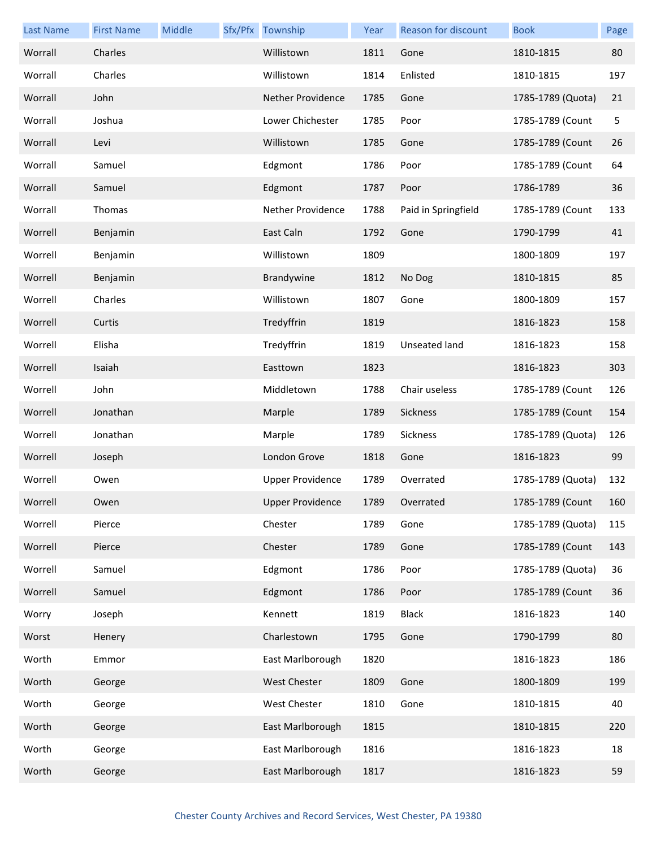| <b>Last Name</b> | <b>First Name</b> | Middle | Sfx/Pfx Township        | Year | <b>Reason for discount</b> | <b>Book</b>       | Page |
|------------------|-------------------|--------|-------------------------|------|----------------------------|-------------------|------|
| Worrall          | Charles           |        | Willistown              | 1811 | Gone                       | 1810-1815         | 80   |
| Worrall          | Charles           |        | Willistown              | 1814 | Enlisted                   | 1810-1815         | 197  |
| Worrall          | John              |        | Nether Providence       | 1785 | Gone                       | 1785-1789 (Quota) | 21   |
| Worrall          | Joshua            |        | Lower Chichester        | 1785 | Poor                       | 1785-1789 (Count  | 5    |
| Worrall          | Levi              |        | Willistown              | 1785 | Gone                       | 1785-1789 (Count  | 26   |
| Worrall          | Samuel            |        | Edgmont                 | 1786 | Poor                       | 1785-1789 (Count  | 64   |
| Worrall          | Samuel            |        | Edgmont                 | 1787 | Poor                       | 1786-1789         | 36   |
| Worrall          | Thomas            |        | Nether Providence       | 1788 | Paid in Springfield        | 1785-1789 (Count  | 133  |
| Worrell          | Benjamin          |        | East Caln               | 1792 | Gone                       | 1790-1799         | 41   |
| Worrell          | Benjamin          |        | Willistown              | 1809 |                            | 1800-1809         | 197  |
| Worrell          | Benjamin          |        | Brandywine              | 1812 | No Dog                     | 1810-1815         | 85   |
| Worrell          | Charles           |        | Willistown              | 1807 | Gone                       | 1800-1809         | 157  |
| Worrell          | Curtis            |        | Tredyffrin              | 1819 |                            | 1816-1823         | 158  |
| Worrell          | Elisha            |        | Tredyffrin              | 1819 | <b>Unseated land</b>       | 1816-1823         | 158  |
| Worrell          | Isaiah            |        | Easttown                | 1823 |                            | 1816-1823         | 303  |
| Worrell          | John              |        | Middletown              | 1788 | Chair useless              | 1785-1789 (Count  | 126  |
| Worrell          | Jonathan          |        | Marple                  | 1789 | Sickness                   | 1785-1789 (Count  | 154  |
| Worrell          | Jonathan          |        | Marple                  | 1789 | Sickness                   | 1785-1789 (Quota) | 126  |
| Worrell          | Joseph            |        | London Grove            | 1818 | Gone                       | 1816-1823         | 99   |
| Worrell          | Owen              |        | <b>Upper Providence</b> | 1789 | Overrated                  | 1785-1789 (Quota) | 132  |
| Worrell          | Owen              |        | <b>Upper Providence</b> | 1789 | Overrated                  | 1785-1789 (Count  | 160  |
| Worrell          | Pierce            |        | Chester                 | 1789 | Gone                       | 1785-1789 (Quota) | 115  |
| Worrell          | Pierce            |        | Chester                 | 1789 | Gone                       | 1785-1789 (Count  | 143  |
| Worrell          | Samuel            |        | Edgmont                 | 1786 | Poor                       | 1785-1789 (Quota) | 36   |
| Worrell          | Samuel            |        | Edgmont                 | 1786 | Poor                       | 1785-1789 (Count  | 36   |
| Worry            | Joseph            |        | Kennett                 | 1819 | <b>Black</b>               | 1816-1823         | 140  |
| Worst            | Henery            |        | Charlestown             | 1795 | Gone                       | 1790-1799         | 80   |
| Worth            | Emmor             |        | East Marlborough        | 1820 |                            | 1816-1823         | 186  |
| Worth            | George            |        | West Chester            | 1809 | Gone                       | 1800-1809         | 199  |
| Worth            | George            |        | West Chester            | 1810 | Gone                       | 1810-1815         | 40   |
| Worth            | George            |        | East Marlborough        | 1815 |                            | 1810-1815         | 220  |
| Worth            | George            |        | East Marlborough        | 1816 |                            | 1816-1823         | 18   |
| Worth            | George            |        | East Marlborough        | 1817 |                            | 1816-1823         | 59   |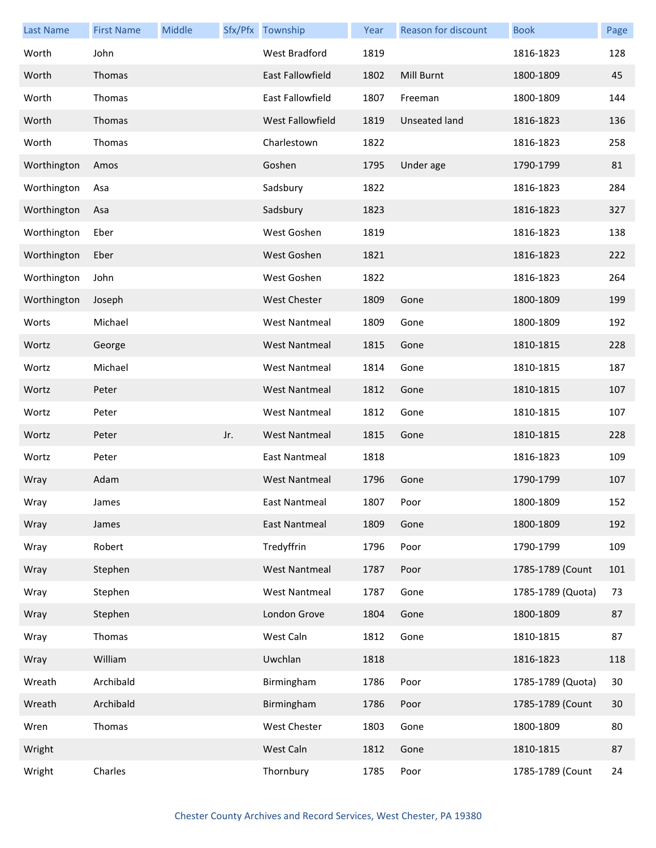| <b>Last Name</b> | <b>First Name</b> | Middle |     | Sfx/Pfx Township     | Year | Reason for discount | <b>Book</b>       | Page |
|------------------|-------------------|--------|-----|----------------------|------|---------------------|-------------------|------|
| Worth            | John              |        |     | West Bradford        | 1819 |                     | 1816-1823         | 128  |
| Worth            | Thomas            |        |     | East Fallowfield     | 1802 | Mill Burnt          | 1800-1809         | 45   |
| Worth            | Thomas            |        |     | East Fallowfield     | 1807 | Freeman             | 1800-1809         | 144  |
| Worth            | Thomas            |        |     | West Fallowfield     | 1819 | Unseated land       | 1816-1823         | 136  |
| Worth            | Thomas            |        |     | Charlestown          | 1822 |                     | 1816-1823         | 258  |
| Worthington      | Amos              |        |     | Goshen               | 1795 | Under age           | 1790-1799         | 81   |
| Worthington      | Asa               |        |     | Sadsbury             | 1822 |                     | 1816-1823         | 284  |
| Worthington      | Asa               |        |     | Sadsbury             | 1823 |                     | 1816-1823         | 327  |
| Worthington      | Eber              |        |     | West Goshen          | 1819 |                     | 1816-1823         | 138  |
| Worthington      | Eber              |        |     | West Goshen          | 1821 |                     | 1816-1823         | 222  |
| Worthington      | John              |        |     | West Goshen          | 1822 |                     | 1816-1823         | 264  |
| Worthington      | Joseph            |        |     | <b>West Chester</b>  | 1809 | Gone                | 1800-1809         | 199  |
| Worts            | Michael           |        |     | <b>West Nantmeal</b> | 1809 | Gone                | 1800-1809         | 192  |
| Wortz            | George            |        |     | <b>West Nantmeal</b> | 1815 | Gone                | 1810-1815         | 228  |
| Wortz            | Michael           |        |     | <b>West Nantmeal</b> | 1814 | Gone                | 1810-1815         | 187  |
| Wortz            | Peter             |        |     | <b>West Nantmeal</b> | 1812 | Gone                | 1810-1815         | 107  |
| Wortz            | Peter             |        |     | <b>West Nantmeal</b> | 1812 | Gone                | 1810-1815         | 107  |
| Wortz            | Peter             |        | Jr. | <b>West Nantmeal</b> | 1815 | Gone                | 1810-1815         | 228  |
| Wortz            | Peter             |        |     | East Nantmeal        | 1818 |                     | 1816-1823         | 109  |
| Wray             | Adam              |        |     | <b>West Nantmeal</b> | 1796 | Gone                | 1790-1799         | 107  |
| Wray             | James             |        |     | East Nantmeal        | 1807 | Poor                | 1800-1809         | 152  |
| Wray             | James             |        |     | East Nantmeal        | 1809 | Gone                | 1800-1809         | 192  |
| Wray             | Robert            |        |     | Tredyffrin           | 1796 | Poor                | 1790-1799         | 109  |
| Wray             | Stephen           |        |     | <b>West Nantmeal</b> | 1787 | Poor                | 1785-1789 (Count  | 101  |
| Wray             | Stephen           |        |     | <b>West Nantmeal</b> | 1787 | Gone                | 1785-1789 (Quota) | 73   |
| Wray             | Stephen           |        |     | London Grove         | 1804 | Gone                | 1800-1809         | 87   |
| Wray             | Thomas            |        |     | West Caln            | 1812 | Gone                | 1810-1815         | 87   |
| Wray             | William           |        |     | Uwchlan              | 1818 |                     | 1816-1823         | 118  |
| Wreath           | Archibald         |        |     | Birmingham           | 1786 | Poor                | 1785-1789 (Quota) | 30   |
| Wreath           | Archibald         |        |     | Birmingham           | 1786 | Poor                | 1785-1789 (Count  | 30   |
| Wren             | Thomas            |        |     | West Chester         | 1803 | Gone                | 1800-1809         | 80   |
| Wright           |                   |        |     | West Caln            | 1812 | Gone                | 1810-1815         | 87   |
| Wright           | Charles           |        |     | Thornbury            | 1785 | Poor                | 1785-1789 (Count  | 24   |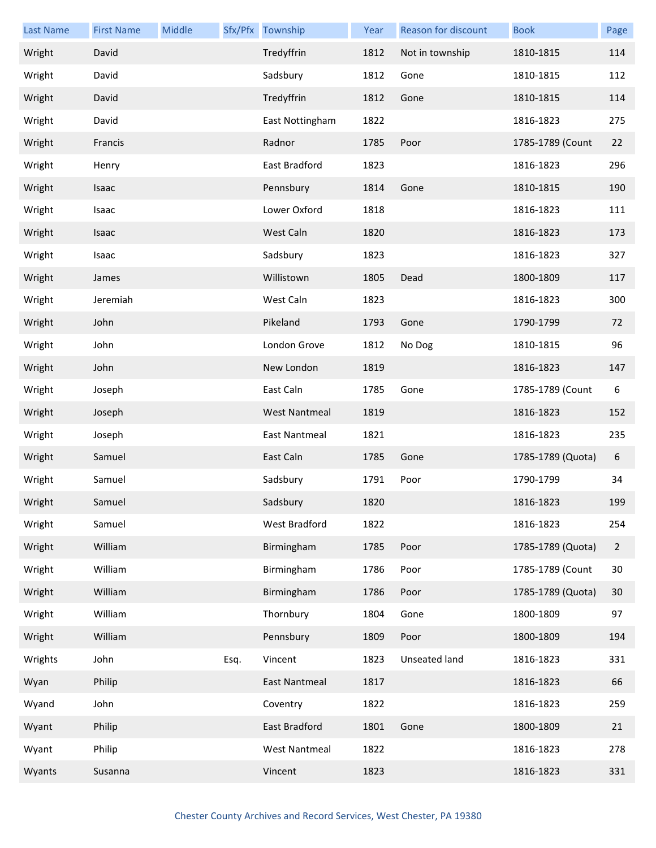| <b>Last Name</b> | <b>First Name</b> | Middle |      | Sfx/Pfx Township     | Year | Reason for discount | <b>Book</b>       | Page           |
|------------------|-------------------|--------|------|----------------------|------|---------------------|-------------------|----------------|
| Wright           | David             |        |      | Tredyffrin           | 1812 | Not in township     | 1810-1815         | 114            |
| Wright           | David             |        |      | Sadsbury             | 1812 | Gone                | 1810-1815         | 112            |
| Wright           | David             |        |      | Tredyffrin           | 1812 | Gone                | 1810-1815         | 114            |
| Wright           | David             |        |      | East Nottingham      | 1822 |                     | 1816-1823         | 275            |
| Wright           | Francis           |        |      | Radnor               | 1785 | Poor                | 1785-1789 (Count  | 22             |
| Wright           | Henry             |        |      | East Bradford        | 1823 |                     | 1816-1823         | 296            |
| Wright           | Isaac             |        |      | Pennsbury            | 1814 | Gone                | 1810-1815         | 190            |
| Wright           | Isaac             |        |      | Lower Oxford         | 1818 |                     | 1816-1823         | 111            |
| Wright           | Isaac             |        |      | West Caln            | 1820 |                     | 1816-1823         | 173            |
| Wright           | Isaac             |        |      | Sadsbury             | 1823 |                     | 1816-1823         | 327            |
| Wright           | James             |        |      | Willistown           | 1805 | Dead                | 1800-1809         | 117            |
| Wright           | Jeremiah          |        |      | West Caln            | 1823 |                     | 1816-1823         | 300            |
| Wright           | John              |        |      | Pikeland             | 1793 | Gone                | 1790-1799         | 72             |
| Wright           | John              |        |      | London Grove         | 1812 | No Dog              | 1810-1815         | 96             |
| Wright           | John              |        |      | New London           | 1819 |                     | 1816-1823         | 147            |
| Wright           | Joseph            |        |      | East Caln            | 1785 | Gone                | 1785-1789 (Count  | 6              |
| Wright           | Joseph            |        |      | <b>West Nantmeal</b> | 1819 |                     | 1816-1823         | 152            |
| Wright           | Joseph            |        |      | East Nantmeal        | 1821 |                     | 1816-1823         | 235            |
| Wright           | Samuel            |        |      | East Caln            | 1785 | Gone                | 1785-1789 (Quota) | 6              |
| Wright           | Samuel            |        |      | Sadsbury             | 1791 | Poor                | 1790-1799         | 34             |
| Wright           | Samuel            |        |      | Sadsbury             | 1820 |                     | 1816-1823         | 199            |
| Wright           | Samuel            |        |      | West Bradford        | 1822 |                     | 1816-1823         | 254            |
| Wright           | William           |        |      | Birmingham           | 1785 | Poor                | 1785-1789 (Quota) | $\overline{2}$ |
| Wright           | William           |        |      | Birmingham           | 1786 | Poor                | 1785-1789 (Count  | 30             |
| Wright           | William           |        |      | Birmingham           | 1786 | Poor                | 1785-1789 (Quota) | 30             |
| Wright           | William           |        |      | Thornbury            | 1804 | Gone                | 1800-1809         | 97             |
| Wright           | William           |        |      | Pennsbury            | 1809 | Poor                | 1800-1809         | 194            |
| Wrights          | John              |        | Esq. | Vincent              | 1823 | Unseated land       | 1816-1823         | 331            |
| Wyan             | Philip            |        |      | <b>East Nantmeal</b> | 1817 |                     | 1816-1823         | 66             |
| Wyand            | John              |        |      | Coventry             | 1822 |                     | 1816-1823         | 259            |
| Wyant            | Philip            |        |      | East Bradford        | 1801 | Gone                | 1800-1809         | 21             |
| Wyant            | Philip            |        |      | <b>West Nantmeal</b> | 1822 |                     | 1816-1823         | 278            |
| Wyants           | Susanna           |        |      | Vincent              | 1823 |                     | 1816-1823         | 331            |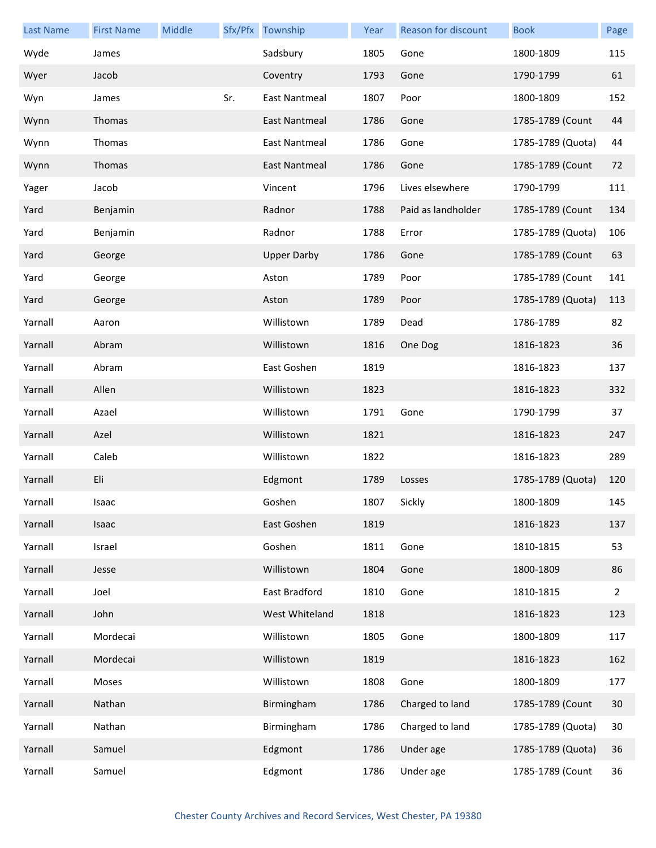| <b>Last Name</b> | <b>First Name</b> | Middle |     | Sfx/Pfx Township     | Year | Reason for discount | <b>Book</b>       | Page |
|------------------|-------------------|--------|-----|----------------------|------|---------------------|-------------------|------|
| Wyde             | James             |        |     | Sadsbury             | 1805 | Gone                | 1800-1809         | 115  |
| Wyer             | Jacob             |        |     | Coventry             | 1793 | Gone                | 1790-1799         | 61   |
| Wyn              | James             |        | Sr. | <b>East Nantmeal</b> | 1807 | Poor                | 1800-1809         | 152  |
| Wynn             | Thomas            |        |     | East Nantmeal        | 1786 | Gone                | 1785-1789 (Count  | 44   |
| Wynn             | Thomas            |        |     | <b>East Nantmeal</b> | 1786 | Gone                | 1785-1789 (Quota) | 44   |
| Wynn             | Thomas            |        |     | East Nantmeal        | 1786 | Gone                | 1785-1789 (Count  | 72   |
| Yager            | Jacob             |        |     | Vincent              | 1796 | Lives elsewhere     | 1790-1799         | 111  |
| Yard             | Benjamin          |        |     | Radnor               | 1788 | Paid as landholder  | 1785-1789 (Count  | 134  |
| Yard             | Benjamin          |        |     | Radnor               | 1788 | Error               | 1785-1789 (Quota) | 106  |
| Yard             | George            |        |     | <b>Upper Darby</b>   | 1786 | Gone                | 1785-1789 (Count  | 63   |
| Yard             | George            |        |     | Aston                | 1789 | Poor                | 1785-1789 (Count  | 141  |
| Yard             | George            |        |     | Aston                | 1789 | Poor                | 1785-1789 (Quota) | 113  |
| Yarnall          | Aaron             |        |     | Willistown           | 1789 | Dead                | 1786-1789         | 82   |
| Yarnall          | Abram             |        |     | Willistown           | 1816 | One Dog             | 1816-1823         | 36   |
| Yarnall          | Abram             |        |     | East Goshen          | 1819 |                     | 1816-1823         | 137  |
| Yarnall          | Allen             |        |     | Willistown           | 1823 |                     | 1816-1823         | 332  |
| Yarnall          | Azael             |        |     | Willistown           | 1791 | Gone                | 1790-1799         | 37   |
| Yarnall          | Azel              |        |     | Willistown           | 1821 |                     | 1816-1823         | 247  |
| Yarnall          | Caleb             |        |     | Willistown           | 1822 |                     | 1816-1823         | 289  |
| Yarnall          | Eli               |        |     | Edgmont              | 1789 | Losses              | 1785-1789 (Quota) | 120  |
| Yarnall          | Isaac             |        |     | Goshen               | 1807 | Sickly              | 1800-1809         | 145  |
| Yarnall          | Isaac             |        |     | East Goshen          | 1819 |                     | 1816-1823         | 137  |
| Yarnall          | Israel            |        |     | Goshen               | 1811 | Gone                | 1810-1815         | 53   |
| Yarnall          | Jesse             |        |     | Willistown           | 1804 | Gone                | 1800-1809         | 86   |
| Yarnall          | Joel              |        |     | East Bradford        | 1810 | Gone                | 1810-1815         | 2    |
| Yarnall          | John              |        |     | West Whiteland       | 1818 |                     | 1816-1823         | 123  |
| Yarnall          | Mordecai          |        |     | Willistown           | 1805 | Gone                | 1800-1809         | 117  |
| Yarnall          | Mordecai          |        |     | Willistown           | 1819 |                     | 1816-1823         | 162  |
| Yarnall          | Moses             |        |     | Willistown           | 1808 | Gone                | 1800-1809         | 177  |
| Yarnall          | Nathan            |        |     | Birmingham           | 1786 | Charged to land     | 1785-1789 (Count  | 30   |
| Yarnall          | Nathan            |        |     | Birmingham           | 1786 | Charged to land     | 1785-1789 (Quota) | 30   |
| Yarnall          | Samuel            |        |     | Edgmont              | 1786 | Under age           | 1785-1789 (Quota) | 36   |
| Yarnall          | Samuel            |        |     | Edgmont              | 1786 | Under age           | 1785-1789 (Count  | 36   |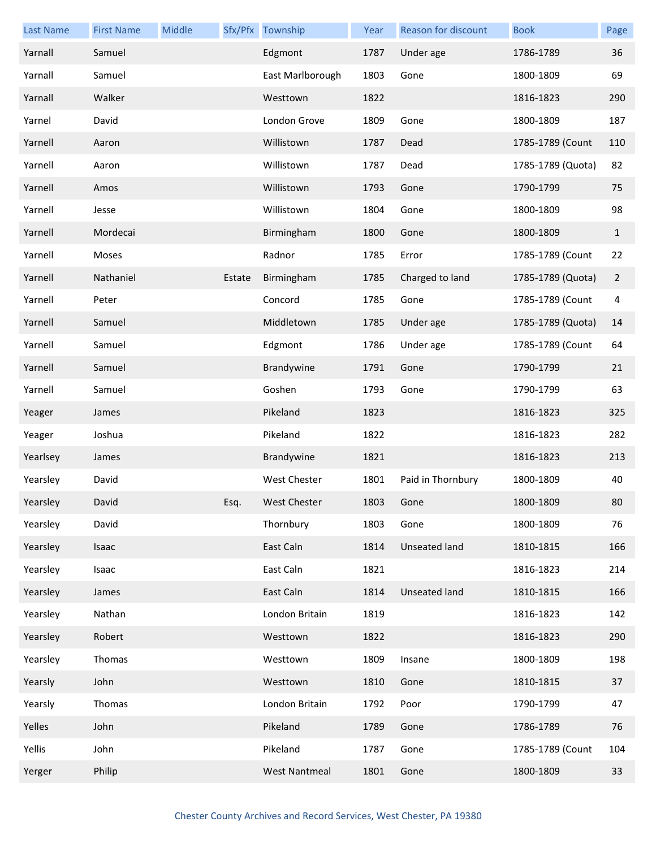| <b>Last Name</b> | <b>First Name</b> | Middle |        | Sfx/Pfx Township     | Year | <b>Reason for discount</b> | <b>Book</b>       | Page           |
|------------------|-------------------|--------|--------|----------------------|------|----------------------------|-------------------|----------------|
| Yarnall          | Samuel            |        |        | Edgmont              | 1787 | Under age                  | 1786-1789         | 36             |
| Yarnall          | Samuel            |        |        | East Marlborough     | 1803 | Gone                       | 1800-1809         | 69             |
| Yarnall          | Walker            |        |        | Westtown             | 1822 |                            | 1816-1823         | 290            |
| Yarnel           | David             |        |        | London Grove         | 1809 | Gone                       | 1800-1809         | 187            |
| Yarnell          | Aaron             |        |        | Willistown           | 1787 | Dead                       | 1785-1789 (Count  | 110            |
| Yarnell          | Aaron             |        |        | Willistown           | 1787 | Dead                       | 1785-1789 (Quota) | 82             |
| Yarnell          | Amos              |        |        | Willistown           | 1793 | Gone                       | 1790-1799         | 75             |
| Yarnell          | Jesse             |        |        | Willistown           | 1804 | Gone                       | 1800-1809         | 98             |
| Yarnell          | Mordecai          |        |        | Birmingham           | 1800 | Gone                       | 1800-1809         | $\mathbf{1}$   |
| Yarnell          | Moses             |        |        | Radnor               | 1785 | Error                      | 1785-1789 (Count  | 22             |
| Yarnell          | Nathaniel         |        | Estate | Birmingham           | 1785 | Charged to land            | 1785-1789 (Quota) | $\overline{2}$ |
| Yarnell          | Peter             |        |        | Concord              | 1785 | Gone                       | 1785-1789 (Count  | 4              |
| Yarnell          | Samuel            |        |        | Middletown           | 1785 | Under age                  | 1785-1789 (Quota) | 14             |
| Yarnell          | Samuel            |        |        | Edgmont              | 1786 | Under age                  | 1785-1789 (Count  | 64             |
| Yarnell          | Samuel            |        |        | Brandywine           | 1791 | Gone                       | 1790-1799         | 21             |
| Yarnell          | Samuel            |        |        | Goshen               | 1793 | Gone                       | 1790-1799         | 63             |
| Yeager           | James             |        |        | Pikeland             | 1823 |                            | 1816-1823         | 325            |
| Yeager           | Joshua            |        |        | Pikeland             | 1822 |                            | 1816-1823         | 282            |
| Yearlsey         | James             |        |        | Brandywine           | 1821 |                            | 1816-1823         | 213            |
| Yearsley         | David             |        |        | West Chester         | 1801 | Paid in Thornbury          | 1800-1809         | 40             |
| Yearsley         | David             |        | Esq.   | West Chester         | 1803 | Gone                       | 1800-1809         | 80             |
| Yearsley         | David             |        |        | Thornbury            | 1803 | Gone                       | 1800-1809         | 76             |
| Yearsley         | Isaac             |        |        | East Caln            | 1814 | <b>Unseated land</b>       | 1810-1815         | 166            |
| Yearsley         | Isaac             |        |        | East Caln            | 1821 |                            | 1816-1823         | 214            |
| Yearsley         | James             |        |        | East Caln            | 1814 | <b>Unseated land</b>       | 1810-1815         | 166            |
| Yearsley         | Nathan            |        |        | London Britain       | 1819 |                            | 1816-1823         | 142            |
| Yearsley         | Robert            |        |        | Westtown             | 1822 |                            | 1816-1823         | 290            |
| Yearsley         | Thomas            |        |        | Westtown             | 1809 | Insane                     | 1800-1809         | 198            |
| Yearsly          | John              |        |        | Westtown             | 1810 | Gone                       | 1810-1815         | 37             |
| Yearsly          | Thomas            |        |        | London Britain       | 1792 | Poor                       | 1790-1799         | 47             |
| Yelles           | John              |        |        | Pikeland             | 1789 | Gone                       | 1786-1789         | 76             |
| Yellis           | John              |        |        | Pikeland             | 1787 | Gone                       | 1785-1789 (Count  | 104            |
| Yerger           | Philip            |        |        | <b>West Nantmeal</b> | 1801 | Gone                       | 1800-1809         | 33             |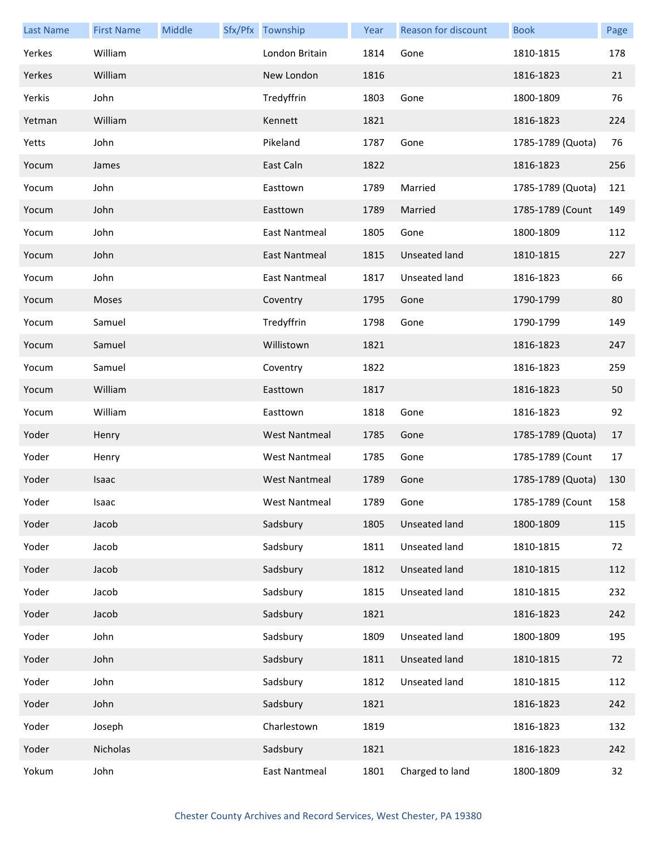| <b>Last Name</b> | <b>First Name</b> | Middle | Sfx/Pfx Township     | Year | Reason for discount | <b>Book</b>       | Page |
|------------------|-------------------|--------|----------------------|------|---------------------|-------------------|------|
| Yerkes           | William           |        | London Britain       | 1814 | Gone                | 1810-1815         | 178  |
| Yerkes           | William           |        | New London           | 1816 |                     | 1816-1823         | 21   |
| Yerkis           | John              |        | Tredyffrin           | 1803 | Gone                | 1800-1809         | 76   |
| Yetman           | William           |        | Kennett              | 1821 |                     | 1816-1823         | 224  |
| Yetts            | John              |        | Pikeland             | 1787 | Gone                | 1785-1789 (Quota) | 76   |
| Yocum            | James             |        | East Caln            | 1822 |                     | 1816-1823         | 256  |
| Yocum            | John              |        | Easttown             | 1789 | Married             | 1785-1789 (Quota) | 121  |
| Yocum            | John              |        | Easttown             | 1789 | Married             | 1785-1789 (Count  | 149  |
| Yocum            | John              |        | East Nantmeal        | 1805 | Gone                | 1800-1809         | 112  |
| Yocum            | John              |        | East Nantmeal        | 1815 | Unseated land       | 1810-1815         | 227  |
| Yocum            | John              |        | <b>East Nantmeal</b> | 1817 | Unseated land       | 1816-1823         | 66   |
| Yocum            | Moses             |        | Coventry             | 1795 | Gone                | 1790-1799         | 80   |
| Yocum            | Samuel            |        | Tredyffrin           | 1798 | Gone                | 1790-1799         | 149  |
| Yocum            | Samuel            |        | Willistown           | 1821 |                     | 1816-1823         | 247  |
| Yocum            | Samuel            |        | Coventry             | 1822 |                     | 1816-1823         | 259  |
| Yocum            | William           |        | Easttown             | 1817 |                     | 1816-1823         | 50   |
| Yocum            | William           |        | Easttown             | 1818 | Gone                | 1816-1823         | 92   |
| Yoder            | Henry             |        | <b>West Nantmeal</b> | 1785 | Gone                | 1785-1789 (Quota) | 17   |
| Yoder            | Henry             |        | <b>West Nantmeal</b> | 1785 | Gone                | 1785-1789 (Count  | 17   |
| Yoder            | Isaac             |        | <b>West Nantmeal</b> | 1789 | Gone                | 1785-1789 (Quota) | 130  |
| Yoder            | Isaac             |        | West Nantmeal        | 1789 | Gone                | 1785-1789 (Count  | 158  |
| Yoder            | Jacob             |        | Sadsbury             | 1805 | Unseated land       | 1800-1809         | 115  |
| Yoder            | Jacob             |        | Sadsbury             | 1811 | Unseated land       | 1810-1815         | 72   |
| Yoder            | Jacob             |        | Sadsbury             | 1812 | Unseated land       | 1810-1815         | 112  |
| Yoder            | Jacob             |        | Sadsbury             | 1815 | Unseated land       | 1810-1815         | 232  |
| Yoder            | Jacob             |        | Sadsbury             | 1821 |                     | 1816-1823         | 242  |
| Yoder            | John              |        | Sadsbury             | 1809 | Unseated land       | 1800-1809         | 195  |
| Yoder            | John              |        | Sadsbury             | 1811 | Unseated land       | 1810-1815         | 72   |
| Yoder            | John              |        | Sadsbury             | 1812 | Unseated land       | 1810-1815         | 112  |
| Yoder            | John              |        | Sadsbury             | 1821 |                     | 1816-1823         | 242  |
| Yoder            | Joseph            |        | Charlestown          | 1819 |                     | 1816-1823         | 132  |
| Yoder            | Nicholas          |        | Sadsbury             | 1821 |                     | 1816-1823         | 242  |
| Yokum            | John              |        | <b>East Nantmeal</b> | 1801 | Charged to land     | 1800-1809         | 32   |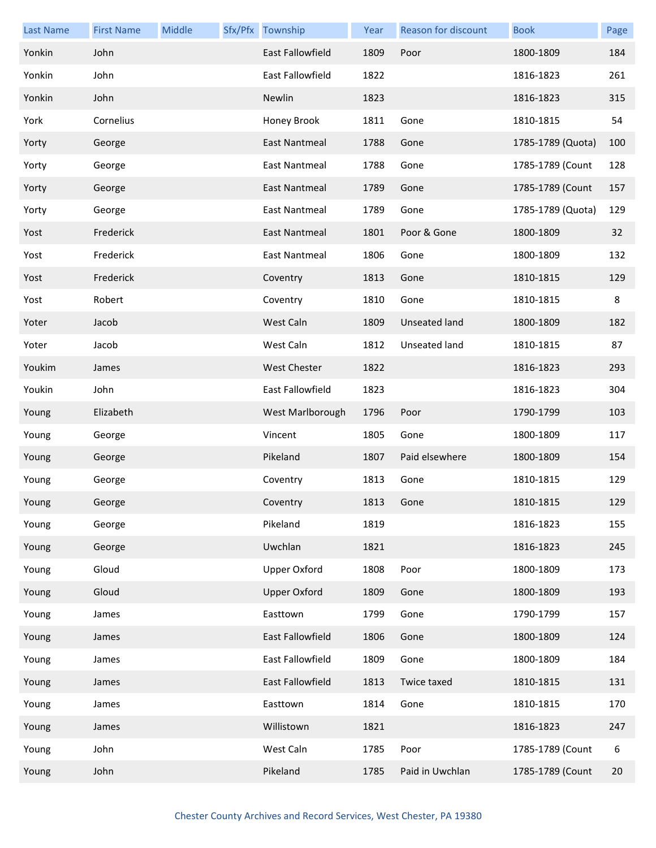| <b>Last Name</b> | <b>First Name</b> | Middle | Sfx/Pfx Township    | Year | Reason for discount | <b>Book</b>       | Page |
|------------------|-------------------|--------|---------------------|------|---------------------|-------------------|------|
| Yonkin           | John              |        | East Fallowfield    | 1809 | Poor                | 1800-1809         | 184  |
| Yonkin           | John              |        | East Fallowfield    | 1822 |                     | 1816-1823         | 261  |
| Yonkin           | John              |        | Newlin              | 1823 |                     | 1816-1823         | 315  |
| York             | Cornelius         |        | Honey Brook         | 1811 | Gone                | 1810-1815         | 54   |
| Yorty            | George            |        | East Nantmeal       | 1788 | Gone                | 1785-1789 (Quota) | 100  |
| Yorty            | George            |        | East Nantmeal       | 1788 | Gone                | 1785-1789 (Count  | 128  |
| Yorty            | George            |        | East Nantmeal       | 1789 | Gone                | 1785-1789 (Count  | 157  |
| Yorty            | George            |        | East Nantmeal       | 1789 | Gone                | 1785-1789 (Quota) | 129  |
| Yost             | Frederick         |        | East Nantmeal       | 1801 | Poor & Gone         | 1800-1809         | 32   |
| Yost             | Frederick         |        | East Nantmeal       | 1806 | Gone                | 1800-1809         | 132  |
| Yost             | Frederick         |        | Coventry            | 1813 | Gone                | 1810-1815         | 129  |
| Yost             | Robert            |        | Coventry            | 1810 | Gone                | 1810-1815         | 8    |
| Yoter            | Jacob             |        | West Caln           | 1809 | Unseated land       | 1800-1809         | 182  |
| Yoter            | Jacob             |        | West Caln           | 1812 | Unseated land       | 1810-1815         | 87   |
| Youkim           | James             |        | <b>West Chester</b> | 1822 |                     | 1816-1823         | 293  |
| Youkin           | John              |        | East Fallowfield    | 1823 |                     | 1816-1823         | 304  |
| Young            | Elizabeth         |        | West Marlborough    | 1796 | Poor                | 1790-1799         | 103  |
| Young            | George            |        | Vincent             | 1805 | Gone                | 1800-1809         | 117  |
| Young            | George            |        | Pikeland            | 1807 | Paid elsewhere      | 1800-1809         | 154  |
| Young            | George            |        | Coventry            | 1813 | Gone                | 1810-1815         | 129  |
| Young            | George            |        | Coventry            | 1813 | Gone                | 1810-1815         | 129  |
| Young            | George            |        | Pikeland            | 1819 |                     | 1816-1823         | 155  |
| Young            | George            |        | Uwchlan             | 1821 |                     | 1816-1823         | 245  |
| Young            | Gloud             |        | <b>Upper Oxford</b> | 1808 | Poor                | 1800-1809         | 173  |
| Young            | Gloud             |        | <b>Upper Oxford</b> | 1809 | Gone                | 1800-1809         | 193  |
| Young            | James             |        | Easttown            | 1799 | Gone                | 1790-1799         | 157  |
| Young            | James             |        | East Fallowfield    | 1806 | Gone                | 1800-1809         | 124  |
| Young            | James             |        | East Fallowfield    | 1809 | Gone                | 1800-1809         | 184  |
| Young            | James             |        | East Fallowfield    | 1813 | Twice taxed         | 1810-1815         | 131  |
| Young            | James             |        | Easttown            | 1814 | Gone                | 1810-1815         | 170  |
| Young            | James             |        | Willistown          | 1821 |                     | 1816-1823         | 247  |
| Young            | John              |        | West Caln           | 1785 | Poor                | 1785-1789 (Count  | 6    |
| Young            | John              |        | Pikeland            | 1785 | Paid in Uwchlan     | 1785-1789 (Count  | 20   |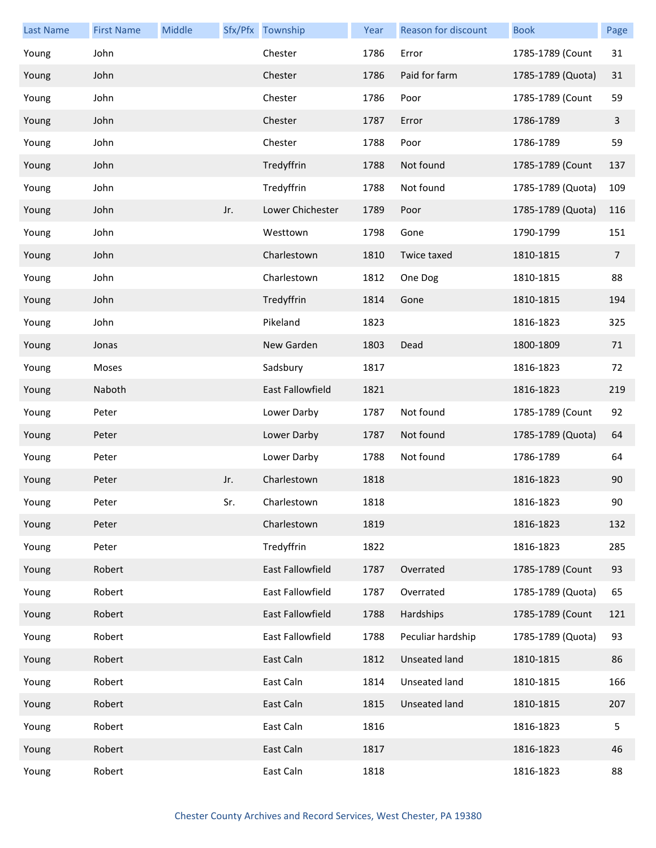| <b>Last Name</b> | <b>First Name</b> | Middle |     | Sfx/Pfx Township        | Year | Reason for discount  | <b>Book</b>       | Page           |
|------------------|-------------------|--------|-----|-------------------------|------|----------------------|-------------------|----------------|
| Young            | John              |        |     | Chester                 | 1786 | Error                | 1785-1789 (Count  | 31             |
| Young            | John              |        |     | Chester                 | 1786 | Paid for farm        | 1785-1789 (Quota) | 31             |
| Young            | John              |        |     | Chester                 | 1786 | Poor                 | 1785-1789 (Count  | 59             |
| Young            | John              |        |     | Chester                 | 1787 | Error                | 1786-1789         | 3              |
| Young            | John              |        |     | Chester                 | 1788 | Poor                 | 1786-1789         | 59             |
| Young            | John              |        |     | Tredyffrin              | 1788 | Not found            | 1785-1789 (Count  | 137            |
| Young            | John              |        |     | Tredyffrin              | 1788 | Not found            | 1785-1789 (Quota) | 109            |
| Young            | John              |        | Jr. | Lower Chichester        | 1789 | Poor                 | 1785-1789 (Quota) | 116            |
| Young            | John              |        |     | Westtown                | 1798 | Gone                 | 1790-1799         | 151            |
| Young            | John              |        |     | Charlestown             | 1810 | Twice taxed          | 1810-1815         | $\overline{7}$ |
| Young            | John              |        |     | Charlestown             | 1812 | One Dog              | 1810-1815         | 88             |
| Young            | John              |        |     | Tredyffrin              | 1814 | Gone                 | 1810-1815         | 194            |
| Young            | John              |        |     | Pikeland                | 1823 |                      | 1816-1823         | 325            |
| Young            | Jonas             |        |     | New Garden              | 1803 | Dead                 | 1800-1809         | 71             |
| Young            | Moses             |        |     | Sadsbury                | 1817 |                      | 1816-1823         | 72             |
| Young            | Naboth            |        |     | <b>East Fallowfield</b> | 1821 |                      | 1816-1823         | 219            |
| Young            | Peter             |        |     | Lower Darby             | 1787 | Not found            | 1785-1789 (Count  | 92             |
| Young            | Peter             |        |     | Lower Darby             | 1787 | Not found            | 1785-1789 (Quota) | 64             |
| Young            | Peter             |        |     | Lower Darby             | 1788 | Not found            | 1786-1789         | 64             |
| Young            | Peter             |        | Jr. | Charlestown             | 1818 |                      | 1816-1823         | 90             |
| Young            | Peter             |        | Sr. | Charlestown             | 1818 |                      | 1816-1823         | 90             |
| Young            | Peter             |        |     | Charlestown             | 1819 |                      | 1816-1823         | 132            |
| Young            | Peter             |        |     | Tredyffrin              | 1822 |                      | 1816-1823         | 285            |
| Young            | Robert            |        |     | East Fallowfield        | 1787 | Overrated            | 1785-1789 (Count  | 93             |
| Young            | Robert            |        |     | East Fallowfield        | 1787 | Overrated            | 1785-1789 (Quota) | 65             |
| Young            | Robert            |        |     | East Fallowfield        | 1788 | Hardships            | 1785-1789 (Count  | 121            |
| Young            | Robert            |        |     | East Fallowfield        | 1788 | Peculiar hardship    | 1785-1789 (Quota) | 93             |
| Young            | Robert            |        |     | East Caln               | 1812 | <b>Unseated land</b> | 1810-1815         | 86             |
| Young            | Robert            |        |     | East Caln               | 1814 | Unseated land        | 1810-1815         | 166            |
| Young            | Robert            |        |     | East Caln               | 1815 | <b>Unseated land</b> | 1810-1815         | 207            |
| Young            | Robert            |        |     | East Caln               | 1816 |                      | 1816-1823         | 5              |
| Young            | Robert            |        |     | East Caln               | 1817 |                      | 1816-1823         | 46             |
| Young            | Robert            |        |     | East Caln               | 1818 |                      | 1816-1823         | 88             |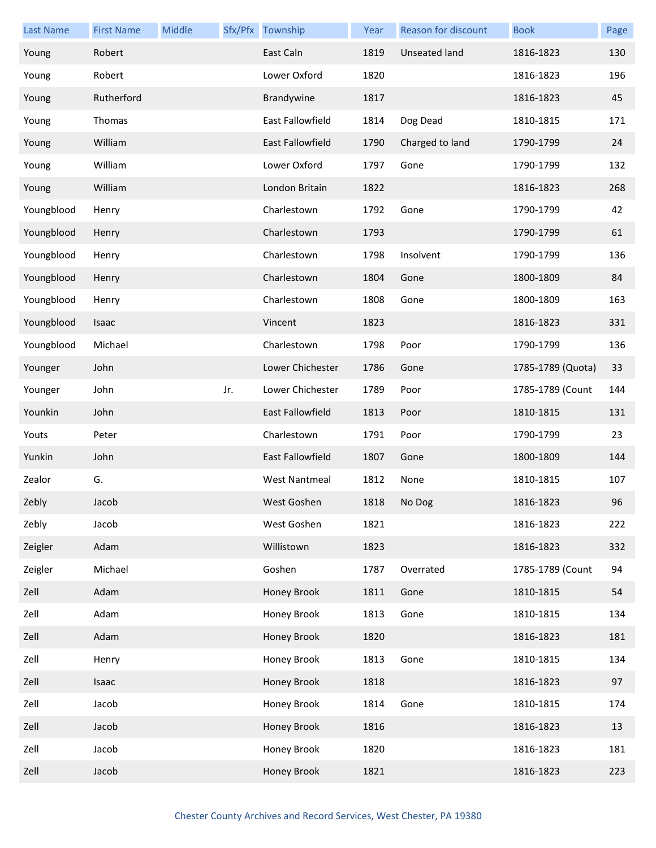| <b>Last Name</b> | <b>First Name</b> | Middle |     | Sfx/Pfx Township     | Year | <b>Reason for discount</b> | <b>Book</b>       | Page |
|------------------|-------------------|--------|-----|----------------------|------|----------------------------|-------------------|------|
| Young            | Robert            |        |     | East Caln            | 1819 | Unseated land              | 1816-1823         | 130  |
| Young            | Robert            |        |     | Lower Oxford         | 1820 |                            | 1816-1823         | 196  |
| Young            | Rutherford        |        |     | Brandywine           | 1817 |                            | 1816-1823         | 45   |
| Young            | Thomas            |        |     | East Fallowfield     | 1814 | Dog Dead                   | 1810-1815         | 171  |
| Young            | William           |        |     | East Fallowfield     | 1790 | Charged to land            | 1790-1799         | 24   |
| Young            | William           |        |     | Lower Oxford         | 1797 | Gone                       | 1790-1799         | 132  |
| Young            | William           |        |     | London Britain       | 1822 |                            | 1816-1823         | 268  |
| Youngblood       | Henry             |        |     | Charlestown          | 1792 | Gone                       | 1790-1799         | 42   |
| Youngblood       | Henry             |        |     | Charlestown          | 1793 |                            | 1790-1799         | 61   |
| Youngblood       | Henry             |        |     | Charlestown          | 1798 | Insolvent                  | 1790-1799         | 136  |
| Youngblood       | Henry             |        |     | Charlestown          | 1804 | Gone                       | 1800-1809         | 84   |
| Youngblood       | Henry             |        |     | Charlestown          | 1808 | Gone                       | 1800-1809         | 163  |
| Youngblood       | Isaac             |        |     | Vincent              | 1823 |                            | 1816-1823         | 331  |
| Youngblood       | Michael           |        |     | Charlestown          | 1798 | Poor                       | 1790-1799         | 136  |
| Younger          | John              |        |     | Lower Chichester     | 1786 | Gone                       | 1785-1789 (Quota) | 33   |
| Younger          | John              |        | Jr. | Lower Chichester     | 1789 | Poor                       | 1785-1789 (Count  | 144  |
| Younkin          | John              |        |     | East Fallowfield     | 1813 | Poor                       | 1810-1815         | 131  |
| Youts            | Peter             |        |     | Charlestown          | 1791 | Poor                       | 1790-1799         | 23   |
| Yunkin           | John              |        |     | East Fallowfield     | 1807 | Gone                       | 1800-1809         | 144  |
| Zealor           | G.                |        |     | <b>West Nantmeal</b> | 1812 | None                       | 1810-1815         | 107  |
| Zebly            | Jacob             |        |     | West Goshen          |      | 1818 No Dog                | 1816-1823         | 96   |
| Zebly            | Jacob             |        |     | West Goshen          | 1821 |                            | 1816-1823         | 222  |
| Zeigler          | Adam              |        |     | Willistown           | 1823 |                            | 1816-1823         | 332  |
| Zeigler          | Michael           |        |     | Goshen               | 1787 | Overrated                  | 1785-1789 (Count  | 94   |
| Zell             | Adam              |        |     | Honey Brook          | 1811 | Gone                       | 1810-1815         | 54   |
| Zell             | Adam              |        |     | Honey Brook          | 1813 | Gone                       | 1810-1815         | 134  |
| Zell             | Adam              |        |     | Honey Brook          | 1820 |                            | 1816-1823         | 181  |
| Zell             | Henry             |        |     | Honey Brook          | 1813 | Gone                       | 1810-1815         | 134  |
| Zell             | Isaac             |        |     | Honey Brook          | 1818 |                            | 1816-1823         | 97   |
| Zell             | Jacob             |        |     | Honey Brook          | 1814 | Gone                       | 1810-1815         | 174  |
| Zell             | Jacob             |        |     | Honey Brook          | 1816 |                            | 1816-1823         | 13   |
| Zell             | Jacob             |        |     | Honey Brook          | 1820 |                            | 1816-1823         | 181  |
| Zell             | Jacob             |        |     | Honey Brook          | 1821 |                            | 1816-1823         | 223  |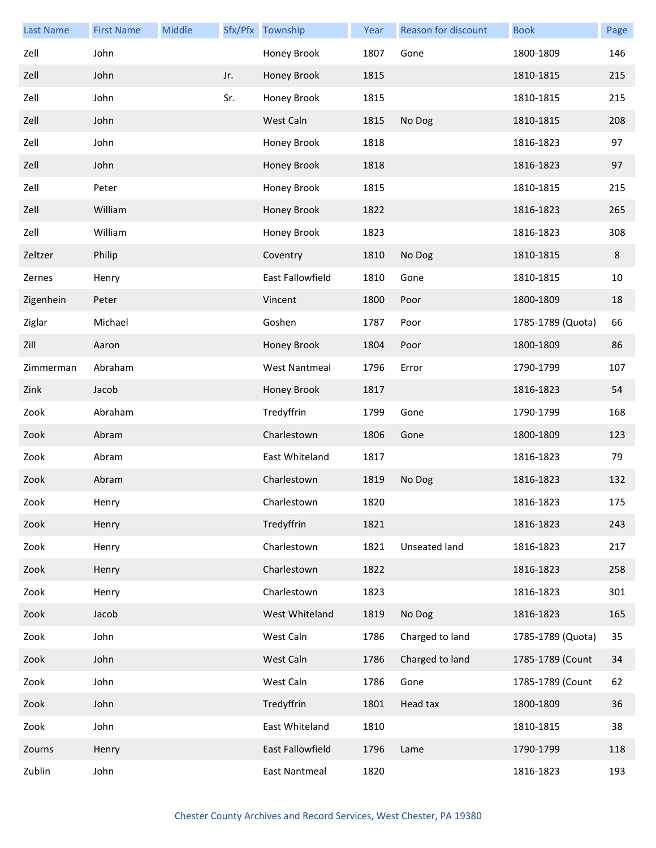| <b>Last Name</b> | <b>First Name</b> | Middle |     | Sfx/Pfx Township     | Year | Reason for discount | <b>Book</b>       | Page |
|------------------|-------------------|--------|-----|----------------------|------|---------------------|-------------------|------|
| Zell             | John              |        |     | Honey Brook          | 1807 | Gone                | 1800-1809         | 146  |
| Zell             | John              |        | Jr. | Honey Brook          | 1815 |                     | 1810-1815         | 215  |
| Zell             | John              |        | Sr. | Honey Brook          | 1815 |                     | 1810-1815         | 215  |
| Zell             | John              |        |     | West Caln            | 1815 | No Dog              | 1810-1815         | 208  |
| Zell             | John              |        |     | Honey Brook          | 1818 |                     | 1816-1823         | 97   |
| Zell             | John              |        |     | Honey Brook          | 1818 |                     | 1816-1823         | 97   |
| Zell             | Peter             |        |     | Honey Brook          | 1815 |                     | 1810-1815         | 215  |
| Zell             | William           |        |     | Honey Brook          | 1822 |                     | 1816-1823         | 265  |
| Zell             | William           |        |     | Honey Brook          | 1823 |                     | 1816-1823         | 308  |
| Zeltzer          | Philip            |        |     | Coventry             | 1810 | No Dog              | 1810-1815         | 8    |
| Zernes           | Henry             |        |     | East Fallowfield     | 1810 | Gone                | 1810-1815         | 10   |
| Zigenhein        | Peter             |        |     | Vincent              | 1800 | Poor                | 1800-1809         | 18   |
| Ziglar           | Michael           |        |     | Goshen               | 1787 | Poor                | 1785-1789 (Quota) | 66   |
| Zill             | Aaron             |        |     | Honey Brook          | 1804 | Poor                | 1800-1809         | 86   |
| Zimmerman        | Abraham           |        |     | <b>West Nantmeal</b> | 1796 | Error               | 1790-1799         | 107  |
| Zink             | Jacob             |        |     | Honey Brook          | 1817 |                     | 1816-1823         | 54   |
| Zook             | Abraham           |        |     | Tredyffrin           | 1799 | Gone                | 1790-1799         | 168  |
| Zook             | Abram             |        |     | Charlestown          | 1806 | Gone                | 1800-1809         | 123  |
| Zook             | Abram             |        |     | East Whiteland       | 1817 |                     | 1816-1823         | 79   |
| Zook             | Abram             |        |     | Charlestown          | 1819 | No Dog              | 1816-1823         | 132  |
| Zook             | Henry             |        |     | Charlestown          | 1820 |                     | 1816-1823         | 175  |
| Zook             | Henry             |        |     | Tredyffrin           | 1821 |                     | 1816-1823         | 243  |
| Zook             | Henry             |        |     | Charlestown          | 1821 | Unseated land       | 1816-1823         | 217  |
| Zook             | Henry             |        |     | Charlestown          | 1822 |                     | 1816-1823         | 258  |
| Zook             | Henry             |        |     | Charlestown          | 1823 |                     | 1816-1823         | 301  |
| Zook             | Jacob             |        |     | West Whiteland       | 1819 | No Dog              | 1816-1823         | 165  |
| Zook             | John              |        |     | West Caln            | 1786 | Charged to land     | 1785-1789 (Quota) | 35   |
| Zook             | John              |        |     | West Caln            | 1786 | Charged to land     | 1785-1789 (Count  | 34   |
| Zook             | John              |        |     | West Caln            | 1786 | Gone                | 1785-1789 (Count  | 62   |
| Zook             | John              |        |     | Tredyffrin           | 1801 | Head tax            | 1800-1809         | 36   |
| Zook             | John              |        |     | East Whiteland       | 1810 |                     | 1810-1815         | 38   |
| Zourns           | Henry             |        |     | East Fallowfield     | 1796 | Lame                | 1790-1799         | 118  |
| Zublin           | John              |        |     | East Nantmeal        | 1820 |                     | 1816-1823         | 193  |